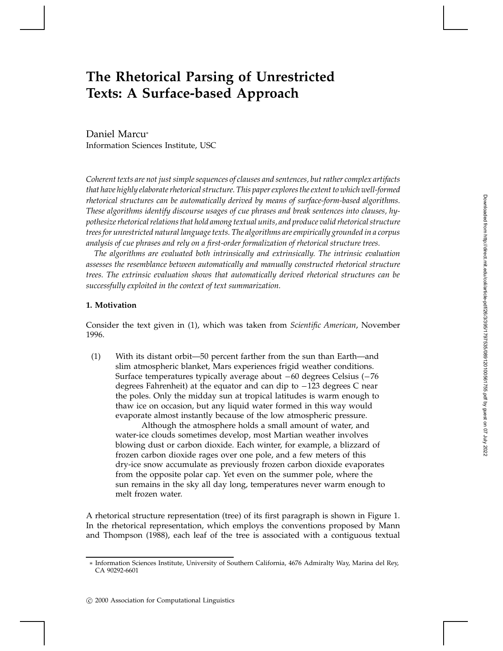# **The Rhetorical Parsing of Unrestricted Texts: A Surface-based Approach**

Daniel Marcu Information Sciences Institute, USC

*Coherent texts are not just simple sequences of clauses and sentences, but rather complex artifacts that have highly elaborate rhetorical structure. This paper explores the extent to which well-formed rhetorical structures can be automatically derived by means of surface-form-based algorithms. These algorithms identify discourse usages of cue phrases and break sentences into clauses, hypothesize rhetorical relations that hold among textual units, and produce valid rhetorical structure trees for unrestricted natural language texts. The algorithms are empirically grounded in a corpus analysis of cue phrases and rely on a first-order formalization of rhetorical structure trees.*

*The algorithms are evaluated both intrinsically and extrinsically. The intrinsic evaluation assesses the resemblance between automatically and manually constructed rhetorical structure trees. The extrinsic evaluation shows that automatically derived rhetorical structures can be successfully exploited in the context of text summarization.*

# **1. Motivation**

Consider the text given in (1), which was taken from *Scientific American*, November 1996.

(1) With its distant orbit—50 percent farther from the sun than Earth—and slim atmospheric blanket, Mars experiences frigid weather conditions. Surface temperatures typically average about  $-60$  degrees Celsius ( $-76$ ) degrees Fahrenheit) at the equator and can dip to  $-123$  degrees C near the poles. Only the midday sun at tropical latitudes is warm enough to thaw ice on occasion, but any liquid water formed in this way would evaporate almost instantly because of the low atmospheric pressure.

Although the atmosphere holds a small amount of water, and water-ice clouds sometimes develop, most Martian weather involves blowing dust or carbon dioxide. Each winter, for example, a blizzard of frozen carbon dioxide rages over one pole, and a few meters of this dry-ice snow accumulate as previously frozen carbon dioxide evaporates from the opposite polar cap. Yet even on the summer pole, where the sun remains in the sky all day long, temperatures never warm enough to melt frozen water.

A rhetorical structure representation (tree) of its first paragraph is shown in Figure 1. In the rhetorical representation, which employs the conventions proposed by Mann and Thompson (1988), each leaf of the tree is associated with a contiguous textual

Information Sciences Institute, University of Southern California, 4676 Admiralty Way, Marina del Rey, CA 90292-6601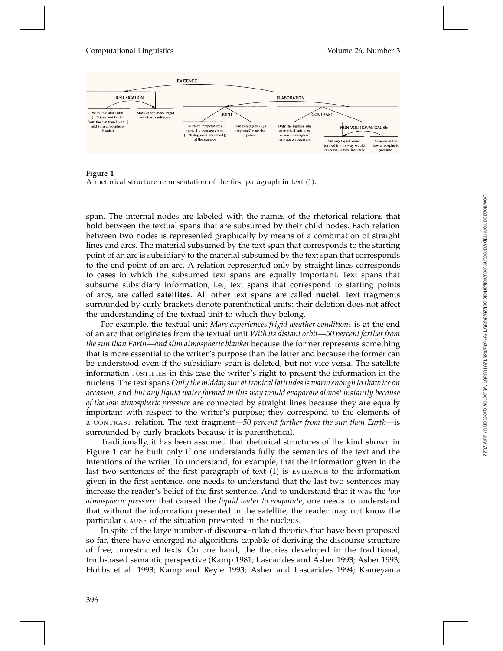

**Figure 1**

A rhetorical structure representation of the first paragraph in text (1).

span. The internal nodes are labeled with the names of the rhetorical relations that hold between the textual spans that are subsumed by their child nodes. Each relation between two nodes is represented graphically by means of a combination of straight lines and arcs. The material subsumed by the text span that corresponds to the starting point of an arc is subsidiary to the material subsumed by the text span that corresponds to the end point of an arc. A relation represented only by straight lines corresponds to cases in which the subsumed text spans are equally important. Text spans that subsume subsidiary information, i.e., text spans that correspond to starting points of arcs, are called **satellites**. All other text spans are called **nuclei**. Text fragments surrounded by curly brackets denote parenthetical units: their deletion does not affect the understanding of the textual unit to which they belong.

For example, the textual unit *Mars experiences frigid weather conditions* is at the end of an arc that originates from the textual unit *With its distant orbit—50 percent farther from the sun than Earth—and slim atmospheric blanket* because the former represents something that is more essential to the writer's purpose than the latter and because the former can be understood even if the subsidiary span is deleted, but not vice versa. The satellite information justifies in this case the writer's right to present the information in the nucleus. The text spans *Only the midday sun at tropical latitudes is warm enough to thaw ice on occasion,* and *but any liquid water formed in this way would evaporate almost instantly because of the low atmospheric pressure* are connected by straight lines because they are equally important with respect to the writer's purpose; they correspond to the elements of a CONTRAST relation. The text fragment—50 percent farther from the sun than Earth—is surrounded by curly brackets because it is parenthetical.

Traditionally, it has been assumed that rhetorical structures of the kind shown in Figure 1 can be built only if one understands fully the semantics of the text and the intentions of the writer. To understand, for example, that the information given in the last two sentences of the first paragraph of text  $(1)$  is EVIDENCE to the information given in the first sentence, one needs to understand that the last two sentences may increase the reader's belief of the first sentence. And to understand that it was the *low atmospheric pressure* that caused the *liquid water to evaporate*, one needs to understand that without the information presented in the satellite, the reader may not know the particular cause of the situation presented in the nucleus.

In spite of the large number of discourse-related theories that have been proposed so far, there have emerged no algorithms capable of deriving the discourse structure of free, unrestricted texts. On one hand, the theories developed in the traditional, truth-based semantic perspective (Kamp 1981; Lascarides and Asher 1993; Asher 1993; Hobbs et al. 1993; Kamp and Reyle 1993; Asher and Lascarides 1994; Kameyama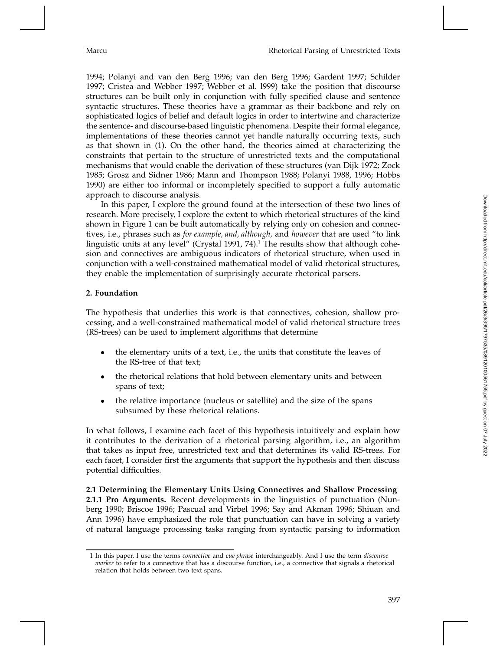1994; Polanyi and van den Berg 1996; van den Berg 1996; Gardent 1997; Schilder 1997; Cristea and Webber 1997; Webber et al. l999) take the position that discourse structures can be built only in conjunction with fully specified clause and sentence syntactic structures. These theories have a grammar as their backbone and rely on sophisticated logics of belief and default logics in order to intertwine and characterize the sentence- and discourse-based linguistic phenomena. Despite their formal elegance, implementations of these theories cannot yet handle naturally occurring texts, such as that shown in (1). On the other hand, the theories aimed at characterizing the constraints that pertain to the structure of unrestricted texts and the computational mechanisms that would enable the derivation of these structures (van Dijk 1972; Zock 1985; Grosz and Sidner 1986; Mann and Thompson 1988; Polanyi 1988, 1996; Hobbs 1990) are either too informal or incompletely specified to support a fully automatic approach to discourse analysis.

In this paper, I explore the ground found at the intersection of these two lines of research. More precisely, I explore the extent to which rhetorical structures of the kind shown in Figure 1 can be built automatically by relying only on cohesion and connectives, i.e., phrases such as *for example, and, although,* and *however* that are used "to link linguistic units at any level" (Crystal 1991, 74). <sup>1</sup> The results show that although cohesion and connectives are ambiguous indicators of rhetorical structure, when used in conjunction with a well-constrained mathematical model of valid rhetorical structures, they enable the implementation of surprisingly accurate rhetorical parsers.

# **2. Foundation**

The hypothesis that underlies this work is that connectives, cohesion, shallow processing, and a well-constrained mathematical model of valid rhetorical structure trees (RS-trees) can be used to implement algorithms that determine

- 0 the elementary units of a text, i.e., the units that constitute the leaves of the RS-tree of that text;
- 0 the rhetorical relations that hold between elementary units and between spans of text;
- 0 the relative importance (nucleus or satellite) and the size of the spans subsumed by these rhetorical relations.

In what follows, I examine each facet of this hypothesis intuitively and explain how it contributes to the derivation of a rhetorical parsing algorithm, i.e., an algorithm that takes as input free, unrestricted text and that determines its valid RS-trees. For each facet, I consider first the arguments that support the hypothesis and then discuss potential difficulties.

**2.1 Determining the Elementary Units Using Connectives and Shallow Processing 2.1.1 Pro Arguments.** Recent developments in the linguistics of punctuation (Nunberg 1990; Briscoe 1996; Pascual and Virbel 1996; Say and Akman 1996; Shiuan and Ann 1996) have emphasized the role that punctuation can have in solving a variety of natural language processing tasks ranging from syntactic parsing to information

<sup>1</sup> In this paper, I use the terms *connective* and *cue phrase* interchangeably. And I use the term *discourse marker* to refer to a connective that has a discourse function, i.e., a connective that signals a rhetorical relation that holds between two text spans.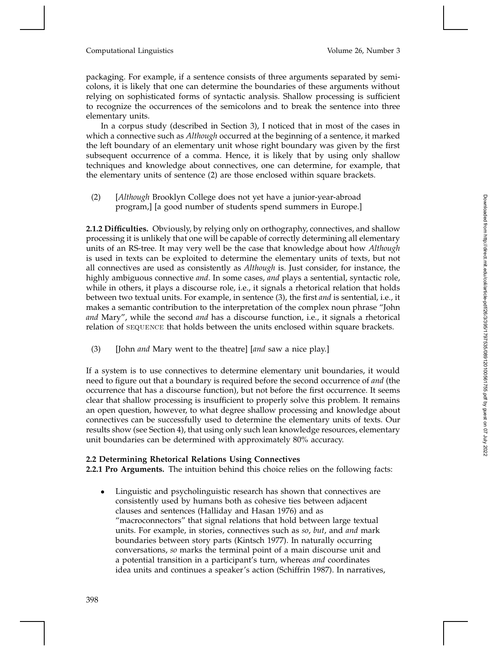packaging. For example, if a sentence consists of three arguments separated by semicolons, it is likely that one can determine the boundaries of these arguments without relying on sophisticated forms of syntactic analysis. Shallow processing is sufficient to recognize the occurrences of the semicolons and to break the sentence into three elementary units.

In a corpus study (described in Section 3), I noticed that in most of the cases in which a connective such as *Although* occurred at the beginning of a sentence, it marked the left boundary of an elementary unit whose right boundary was given by the first subsequent occurrence of a comma. Hence, it is likely that by using only shallow techniques and knowledge about connectives, one can determine, for example, that the elementary units of sentence (2) are those enclosed within square brackets.

(2) [*Although* Brooklyn College does not yet have a junior-year-abroad program,] [a good number of students spend summers in Europe.]

**2.1.2 Difficulties.** Obviously, by relying only on orthography, connectives, and shallow processing it is unlikely that one will be capable of correctly determining all elementary units of an RS-tree. It may very well be the case that knowledge about how *Although* is used in texts can be exploited to determine the elementary units of texts, but not all connectives are used as consistently as *Although* is. Just consider, for instance, the highly ambiguous connective *and*. In some cases, *and* plays a sentential, syntactic role, while in others, it plays a discourse role, i.e., it signals a rhetorical relation that holds between two textual units. For example, in sentence (3), the first *and* is sentential, i.e., it makes a semantic contribution to the interpretation of the complex noun phrase "John *and* Mary", while the second *and* has a discourse function, i.e., it signals a rhetorical relation of sequence that holds between the units enclosed within square brackets.

(3) [John *and* Mary went to the theatre] [*and* saw a nice play.]

If a system is to use connectives to determine elementary unit boundaries, it would need to figure out that a boundary is required before the second occurrence of *and* (the occurrence that has a discourse function), but not before the first occurrence. It seems clear that shallow processing is insufficient to properly solve this problem. It remains an open question, however, to what degree shallow processing and knowledge about connectives can be successfully used to determine the elementary units of texts. Our results show (see Section 4), that using only such lean knowledge resources, elementary unit boundaries can be determined with approximately 80% accuracy.

# **2.2 Determining Rhetorical Relations Using Connectives**

**2.2.1 Pro Arguments.** The intuition behind this choice relies on the following facts:

0 Linguistic and psycholinguistic research has shown that connectives are consistently used by humans both as cohesive ties between adjacent clauses and sentences (Halliday and Hasan 1976) and as "macroconnectors" that signal relations that hold between large textual units. For example, in stories, connectives such as *so* , *but*, and *and* mark boundaries between story parts (Kintsch 1977). In naturally occurring conversations, *so* marks the terminal point of a main discourse unit and a potential transition in a participant's turn, whereas *and* coordinates idea units and continues a speaker's action (Schiffrin 1987). In narratives,

398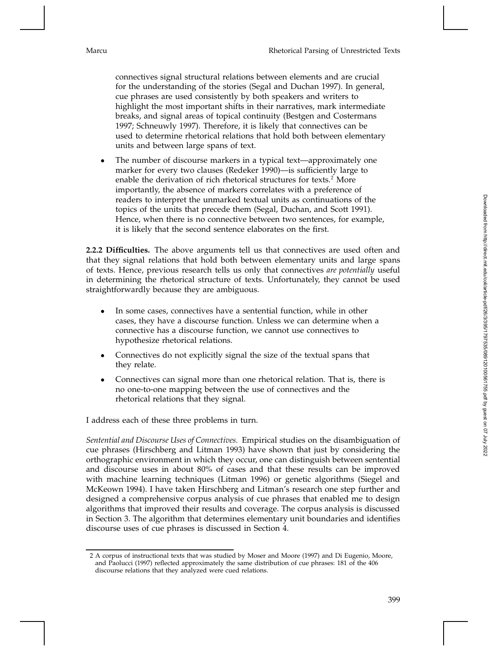connectives signal structural relations between elements and are crucial for the understanding of the stories (Segal and Duchan 1997). In general, cue phrases are used consistently by both speakers and writers to highlight the most important shifts in their narratives, mark intermediate breaks, and signal areas of topical continuity (Bestgen and Costermans 1997; Schneuwly 1997). Therefore, it is likely that connectives can be used to determine rhetorical relations that hold both between elementary units and between large spans of text.

0 The number of discourse markers in a typical text—approximately one marker for every two clauses (Redeker 1990)—is sufficiently large to enable the derivation of rich rhetorical structures for texts. <sup>2</sup> More importantly, the absence of markers correlates with a preference of readers to interpret the unmarked textual units as continuations of the topics of the units that precede them (Segal, Duchan, and Scott 1991). Hence, when there is no connective between two sentences, for example, it is likely that the second sentence elaborates on the first.

**2.2.2 Difficulties.** The above arguments tell us that connectives are used often and that they signal relations that hold both between elementary units and large spans of texts. Hence, previous research tells us only that connectives *are potentially* useful in determining the rhetorical structure of texts. Unfortunately, they cannot be used straightforwardly because they are ambiguous.

- 0 In some cases, connectives have a sentential function, while in other cases, they have a discourse function. Unless we can determine when a connective has a discourse function, we cannot use connectives to hypothesize rhetorical relations.
- 0 Connectives do not explicitly signal the size of the textual spans that they relate.
- 0 Connectives can signal more than one rhetorical relation. That is, there is no one-to-one mapping between the use of connectives and the rhetorical relations that they signal.

I address each of these three problems in turn.

*Sentential and Discourse Uses of Connectives.* Empirical studies on the disambiguation of cue phrases (Hirschberg and Litman 1993) have shown that just by considering the orthographic environment in which they occur, one can distinguish between sentential and discourse uses in about 80% of cases and that these results can be improved with machine learning techniques (Litman 1996) or genetic algorithms (Siegel and McKeown 1994). I have taken Hirschberg and Litman's research one step further and designed a comprehensive corpus analysis of cue phrases that enabled me to design algorithms that improved their results and coverage. The corpus analysis is discussed in Section 3. The algorithm that determines elementary unit boundaries and identifies discourse uses of cue phrases is discussed in Section 4.

<sup>2</sup> A corpus of instructional texts that was studied by Moser and Moore (1997) and Di Eugenio, Moore, and Paolucci (1997) reflected approximately the same distribution of cue phrases: 181 of the 406 discourse relations that they analyzed were cued relations.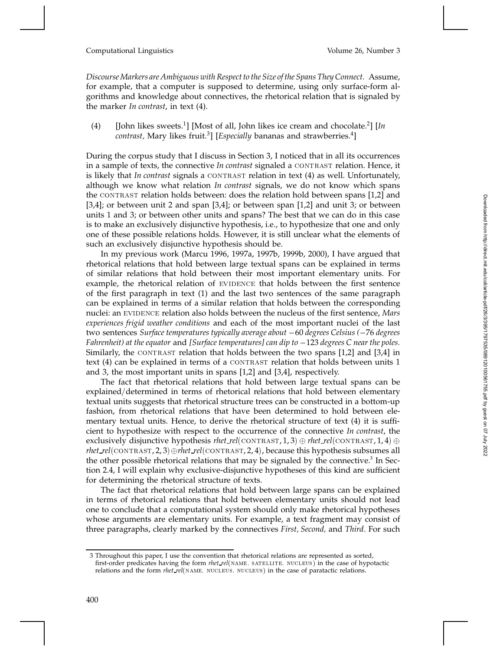*Discourse Markers are Ambiguous with Respect to the Size of the Spans They Connect.* Assume, for example, that a computer is supposed to determine, using only surface-form algorithms and knowledge about connectives, the rhetorical relation that is signaled by the marker *In contrast*, in text (4).

(4) [John likes sweets. 1] [Most of all, John likes ice cream and chocolate. 2] [*In contrast,* Mary likes fruit. 3] [*Especially* bananas and strawberries. 4 ]

During the corpus study that I discuss in Section 3, I noticed that in all its occurrences in a sample of texts, the connective *In contrast* signaled a CONTRAST relation. Hence, it is likely that *In contrast* signals a CONTRAST relation in text  $(4)$  as well. Unfortunately, although we know what relation *In contrast* signals, we do not know which spans the CONTRAST relation holds between: does the relation hold between spans [1,2] and [3,4]; or between unit 2 and span [3,4]; or between span [1,2] and unit 3; or between units 1 and 3; or between other units and spans? The best that we can do in this case is to make an exclusively disjunctive hypothesis, i.e., to hypothesize that one and only one of these possible relations holds. However, it is still unclear what the elements of such an exclusively disjunctive hypothesis should be.

In my previous work (Marcu 1996, 1997a, 1997b, 1999b, 2000), I have argued that rhetorical relations that hold between large textual spans can be explained in terms of similar relations that hold between their most important elementary units. For example, the rhetorical relation of EVIDENCE that holds between the first sentence of the first paragraph in text (1) and the last two sentences of the same paragraph can be explained in terms of a similar relation that holds between the corresponding nuclei: an evidence relation also holds between the nucleus of the first sentence, *Mars experiences frigid weather conditions* and each of the most important nuclei of the last two sentences *Surface temperatures typically average about* 60 *degrees Celsius (* 76 *degrees Fahrenheit) at the equator* and *[Surface temperatures] can dip to* 123 *degrees C near the poles.* Similarly, the CONTRAST relation that holds between the two spans  $[1,2]$  and  $[3,4]$  in text (4) can be explained in terms of a CONTRAST relation that holds between units  $1$ and 3, the most important units in spans [1,2] and [3,4], respectively.

The fact that rhetorical relations that hold between large textual spans can be explained/determined in terms of rhetorical relations that hold between elementary textual units suggests that rhetorical structure trees can be constructed in a bottom-up fashion, from rhetorical relations that have been determined to hold between elementary textual units. Hence, to derive the rhetorical structure of text (4) it is sufficient to hypothesize with respect to the occurrence of the connective *In contrast*, the exclusively disjunctive hypothesis *rhet\_rel*(CONTRAST, 1, 3)  $\oplus$  *rhet\_rel*(CONTRAST, 1, 4)  $\oplus$  *rhet rel* (contrast, 2, 3 ) *rhet rel* (contrast, 2, 4 ), because this hypothesis subsumes all the other possible rhetorical relations that may be signaled by the connective.<sup>3</sup> In Section 2.4, I will explain why exclusive-disjunctive hypotheses of this kind are sufficient for determining the rhetorical structure of texts.

The fact that rhetorical relations that hold between large spans can be explained in terms of rhetorical relations that hold between elementary units should not lead one to conclude that a computational system should only make rhetorical hypotheses whose arguments are elementary units. For example, a text fragment may consist of three paragraphs, clearly marked by the connectives *First, Second,* and *Third*. For such

<sup>3</sup> Throughout this paper, I use the convention that rhetorical relations are represented as sorted, first-order predicates having the form *rhet rel* (name, satellite, nucleus ) in the case of hypotactic relations and the form *rhet rel* (name, nucleus, nucleus ) in the case of paratactic relations.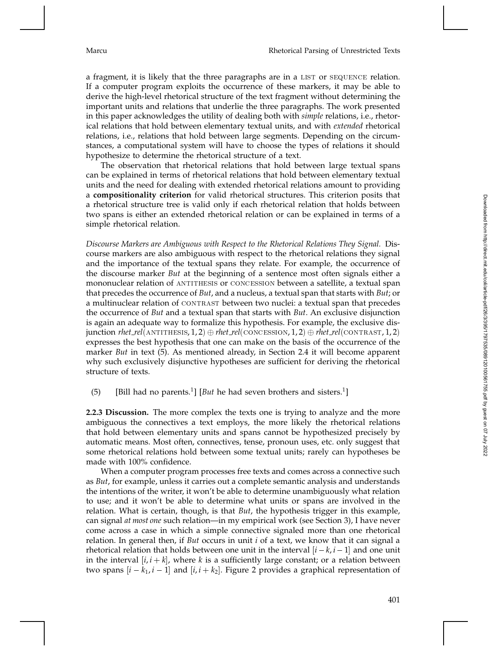a fragment, it is likely that the three paragraphs are in a LIST or SEQUENCE relation. If a computer program exploits the occurrence of these markers, it may be able to derive the high-level rhetorical structure of the text fragment without determining the important units and relations that underlie the three paragraphs. The work presented in this paper acknowledges the utility of dealing both with *simple* relations, i.e., rhetorical relations that hold between elementary textual units, and with *extended* rhetorical relations, i.e., relations that hold between large segments. Depending on the circumstances, a computational system will have to choose the types of relations it should hypothesize to determine the rhetorical structure of a text.

The observation that rhetorical relations that hold between large textual spans can be explained in terms of rhetorical relations that hold between elementary textual units and the need for dealing with extended rhetorical relations amount to providing a **compositionality criterion** for valid rhetorical structures. This criterion posits that a rhetorical structure tree is valid only if each rhetorical relation that holds between two spans is either an extended rhetorical relation or can be explained in terms of a simple rhetorical relation.

*Discourse Markers are Ambiguous with Respect to the Rhetorical Relations They Signal.* Discourse markers are also ambiguous with respect to the rhetorical relations they signal and the importance of the textual spans they relate. For example, the occurrence of the discourse marker *But* at the beginning of a sentence most often signals either a mononuclear relation of ANTITHESIS or CONCESSION between a satellite, a textual span that precedes the occurrence of *But*, and a nucleus, a textual span that starts with *But*; or a multinuclear relation of CONTRAST between two nuclei: a textual span that precedes the occurrence of *But* and a textual span that starts with *But*. An exclusive disjunction is again an adequate way to formalize this hypothesis. For example, the exclusive disjunction *rhet*  $rel(\text{ANTITIES1, 1, 2}) \oplus \text{rhet} \text{rel}(\text{concession}, 1, 2) \oplus \text{rhet} \text{rel}(\text{contrans}, 1, 2)$ expresses the best hypothesis that one can make on the basis of the occurrence of the marker *But* in text (5). As mentioned already, in Section 2.4 it will become apparent why such exclusively disjunctive hypotheses are sufficient for deriving the rhetorical structure of texts.

(5) [Bill had no parents.<sup>1</sup>] [*But* he had seven brothers and sisters.<sup>1</sup>]

**2.2.3 Discussion.** The more complex the texts one is trying to analyze and the more ambiguous the connectives a text employs, the more likely the rhetorical relations that hold between elementary units and spans cannot be hypothesized precisely by automatic means. Most often, connectives, tense, pronoun uses, etc. only suggest that some rhetorical relations hold between some textual units; rarely can hypotheses be made with 100% confidence.

When a computer program processes free texts and comes across a connective such as *But*, for example, unless it carries out a complete semantic analysis and understands the intentions of the writer, it won't be able to determine unambiguously what relation to use; and it won't be able to determine what units or spans are involved in the relation. What is certain, though, is that *But*, the hypothesis trigger in this example, can signal *at most one* such relation—in my empirical work (see Section 3), I have never come across a case in which a simple connective signaled more than one rhetorical relation. In general then, if *But* occurs in unit *i* of a text, we know that it can signal a rhetorical relation that holds between one unit in the interval  $[i - k, i - 1]$  and one unit in the interval  $[i, i + k]$ , where k is a sufficiently large constant; or a relation between two spans  $[i - k_1, i - 1]$  and  $[i, i + k_2]$ . Figure 2 provides a graphical representation of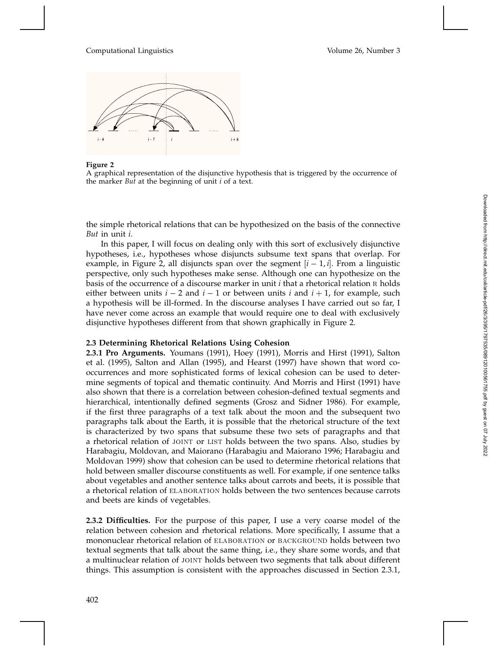



**Figure 2**

A graphical representation of the disjunctive hypothesis that is triggered by the occurrence of the marker *But* at the beginning of unit *i* of a text.

the simple rhetorical relations that can be hypothesized on the basis of the connective *But* in unit *i*.

In this paper, I will focus on dealing only with this sort of exclusively disjunctive hypotheses, i.e., hypotheses whose disjuncts subsume text spans that overlap. For example, in Figure 2, all disjuncts span over the segment  $[i - 1, i]$ . From a linguistic perspective, only such hypotheses make sense. Although one can hypothesize on the basis of the occurrence of a discourse marker in unit *i* that a rhetorical relation <sup>r</sup> holds either between units  $i - 2$  and  $i - 1$  or between units  $i$  and  $i + 1$ , for example, such a hypothesis will be ill-formed. In the discourse analyses I have carried out so far, I have never come across an example that would require one to deal with exclusively disjunctive hypotheses different from that shown graphically in Figure 2.

# **2.3 Determining Rhetorical Relations Using Cohesion**

**2.3.1 Pro Arguments.** Youmans (1991), Hoey (1991), Morris and Hirst (1991), Salton et al. (1995), Salton and Allan (1995), and Hearst (1997) have shown that word cooccurrences and more sophisticated forms of lexical cohesion can be used to determine segments of topical and thematic continuity. And Morris and Hirst (1991) have also shown that there is a correlation between cohesion-defined textual segments and hierarchical, intentionally defined segments (Grosz and Sidner 1986). For example, if the first three paragraphs of a text talk about the moon and the subsequent two paragraphs talk about the Earth, it is possible that the rhetorical structure of the text is characterized by two spans that subsume these two sets of paragraphs and that a rhetorical relation of JOINT or LIST holds between the two spans. Also, studies by Harabagiu, Moldovan, and Maiorano (Harabagiu and Maiorano 1996; Harabagiu and Moldovan 1999) show that cohesion can be used to determine rhetorical relations that hold between smaller discourse constituents as well. For example, if one sentence talks about vegetables and another sentence talks about carrots and beets, it is possible that a rhetorical relation of ELABORATION holds between the two sentences because carrots and beets are kinds of vegetables.

**2.3.2 Difficulties.** For the purpose of this paper, I use a very coarse model of the relation between cohesion and rhetorical relations. More specifically, I assume that a mononuclear rhetorical relation of elaboration or background holds between two textual segments that talk about the same thing, i.e., they share some words, and that a multinuclear relation of JOINT holds between two segments that talk about different things. This assumption is consistent with the approaches discussed in Section 2.3.1,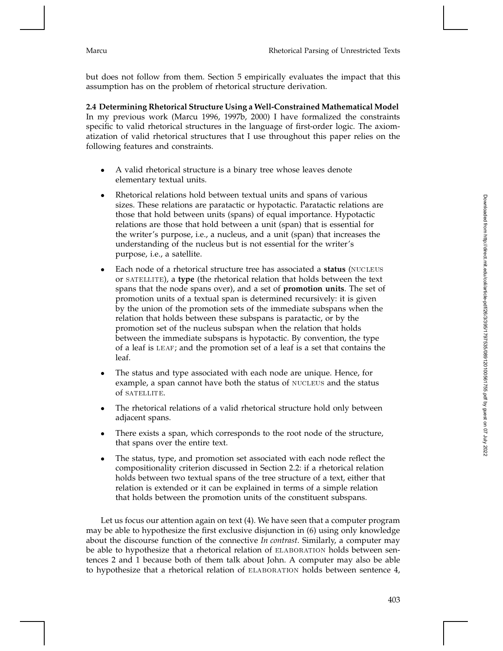but does not follow from them. Section 5 empirically evaluates the impact that this assumption has on the problem of rhetorical structure derivation.

**2.4 Determining Rhetorical Structure Using a Well-Constrained Mathematical Model** In my previous work (Marcu 1996, 1997b, 2000) I have formalized the constraints specific to valid rhetorical structures in the language of first-order logic. The axiomatization of valid rhetorical structures that I use throughout this paper relies on the following features and constraints.

- A valid rhetorical structure is a binary tree whose leaves denote elementary textual units.
- Rhetorical relations hold between textual units and spans of various sizes. These relations are paratactic or hypotactic. Paratactic relations are those that hold between units (spans) of equal importance. Hypotactic relations are those that hold between a unit (span) that is essential for the writer's purpose, i.e., a nucleus, and a unit (span) that increases the understanding of the nucleus but is not essential for the writer's purpose, i.e., a satellite.
- 0 Each node of a rhetorical structure tree has associated a **status** (nucleus or satellite), a **type** (the rhetorical relation that holds between the text spans that the node spans over), and a set of **promotion units**. The set of promotion units of a textual span is determined recursively: it is given by the union of the promotion sets of the immediate subspans when the relation that holds between these subspans is paratactic, or by the promotion set of the nucleus subspan when the relation that holds between the immediate subspans is hypotactic. By convention, the type of a leaf is leaf; and the promotion set of a leaf is a set that contains the leaf.
- 0 The status and type associated with each node are unique. Hence, for example, a span cannot have both the status of NUCLEUS and the status of satellite .
- 0 The rhetorical relations of a valid rhetorical structure hold only between adjacent spans.
- 0 There exists a span, which corresponds to the root node of the structure, that spans over the entire text.
- 0 The status, type, and promotion set associated with each node reflect the compositionality criterion discussed in Section 2.2: if a rhetorical relation holds between two textual spans of the tree structure of a text, either that relation is extended or it can be explained in terms of a simple relation that holds between the promotion units of the constituent subspans.

Let us focus our attention again on text (4). We have seen that a computer program may be able to hypothesize the first exclusive disjunction in (6) using only knowledge about the discourse function of the connective *In contrast*. Similarly, a computer may be able to hypothesize that a rhetorical relation of ELABORATION holds between sentences 2 and 1 because both of them talk about John. A computer may also be able to hypothesize that a rhetorical relation of ELABORATION holds between sentence 4,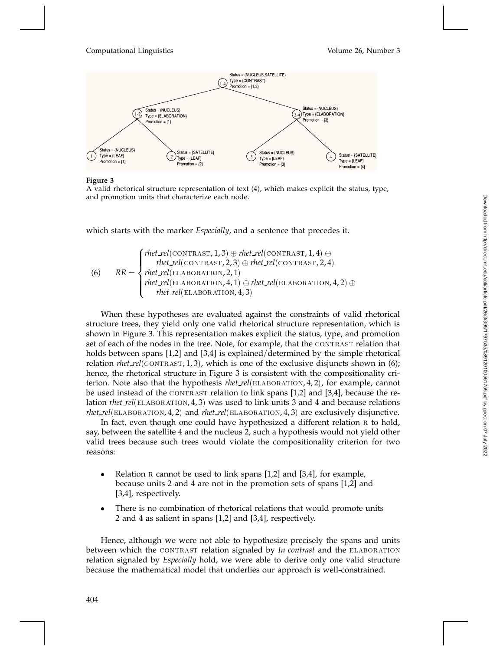

**Figure 3**

A valid rhetorical structure representation of text (4), which makes explicit the status, type, and promotion units that characterize each node.

which starts with the marker *Especially*, and a sentence that precedes it.

(6) *RR* <sup>=</sup> <sup>8</sup>  $\text{rhet}$  *rel*(CONTRAST, 2, 3)  $\oplus$  *rhet rel*(CONTRAST, 2, 4)  $rhet_{rel}(\text{ELABORATION}, 4, 1) \oplus \text{rhet}_{rel}(\text{ELABORATION}, 4, 2) \oplus$ *rhet\_rel*(CONTRAST, 1, 3)  $\oplus$  *rhet\_rel*(CONTRAST, 1, 4)  $\oplus$ *rhet\_rel*(ELABORATION, 2, 1) *rhet\_rel*(ELABORATION, 4, 3)

When these hypotheses are evaluated against the constraints of valid rhetorical structure trees, they yield only one valid rhetorical structure representation, which is shown in Figure 3. This representation makes explicit the status, type, and promotion set of each of the nodes in the tree. Note, for example, that the CONTRAST relation that holds between spans  $[1,2]$  and  $[3,4]$  is explained/determined by the simple rhetorical relation *rhet\_rel*(CONTRAST, 1, 3), which is one of the exclusive disjuncts shown in (6); hence, the rhetorical structure in Figure 3 is consistent with the compositionality criterion. Note also that the hypothesis *rhet rel*(elaboration, 4, 2), for example, cannot be used instead of the CONTRAST relation to link spans  $[1,2]$  and  $[3,4]$ , because the relation *rhet rel*(ELABORATION, 4, 3) was used to link units 3 and 4 and because relations *rhet rel*(elaboration, 4, 2) and *rhet rel*(elaboration, 4, 3) are exclusively disjunctive.

In fact, even though one could have hypothesized a different relation  $R$  to hold, say, between the satellite 4 and the nucleus 2, such a hypothesis would not yield other valid trees because such trees would violate the compositionality criterion for two reasons:

- $\bullet$ Relation  $R$  cannot be used to link spans  $[1,2]$  and  $[3,4]$ , for example, because units 2 and 4 are not in the promotion sets of spans [1,2] and [3,4], respectively.
- $\bullet$  There is no combination of rhetorical relations that would promote units 2 and 4 as salient in spans [1,2] and [3,4], respectively.

Hence, although we were not able to hypothesize precisely the spans and units between which the CONTRAST relation signaled by *In contrast* and the ELABORATION relation signaled by *Especially* hold, we were able to derive only one valid structure because the mathematical model that underlies our approach is well-constrained.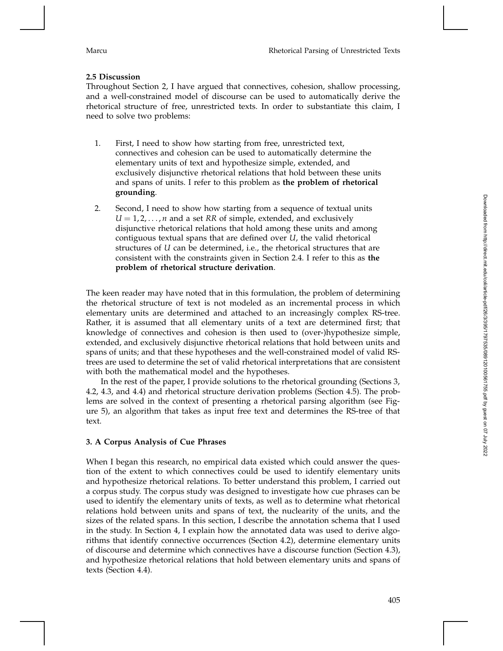# **2.5 Discussion**

Throughout Section 2, I have argued that connectives, cohesion, shallow processing, and a well-constrained model of discourse can be used to automatically derive the rhetorical structure of free, unrestricted texts. In order to substantiate this claim, I need to solve two problems:

- 1. First, I need to show how starting from free, unrestricted text, connectives and cohesion can be used to automatically determine the elementary units of text and hypothesize simple, extended, and exclusively disjunctive rhetorical relations that hold between these units and spans of units. I refer to this problem as **the problem of rhetorical grounding** .
- 2. Second, I need to show how starting from a sequence of textual units  $U = 1, 2, \ldots, n$  and a set *RR* of simple, extended, and exclusively disjunctive rhetorical relations that hold among these units and among contiguous textual spans that are defined over *U*, the valid rhetorical structures of *U* can be determined, i.e., the rhetorical structures that are consistent with the constraints given in Section 2.4. I refer to this as **the problem of rhetorical structure derivation** .

The keen reader may have noted that in this formulation, the problem of determining the rhetorical structure of text is not modeled as an incremental process in which elementary units are determined and attached to an increasingly complex RS-tree. Rather, it is assumed that all elementary units of a text are determined first; that knowledge of connectives and cohesion is then used to (over-)hypothesize simple, extended, and exclusively disjunctive rhetorical relations that hold between units and spans of units; and that these hypotheses and the well-constrained model of valid RStrees are used to determine the set of valid rhetorical interpretations that are consistent with both the mathematical model and the hypotheses.

In the rest of the paper, I provide solutions to the rhetorical grounding (Sections 3, 4.2, 4.3, and 4.4) and rhetorical structure derivation problems (Section 4.5). The problems are solved in the context of presenting a rhetorical parsing algorithm (see Figure 5), an algorithm that takes as input free text and determines the RS-tree of that text.

# **3. A Corpus Analysis of Cue Phrases**

When I began this research, no empirical data existed which could answer the question of the extent to which connectives could be used to identify elementary units and hypothesize rhetorical relations. To better understand this problem, I carried out a corpus study. The corpus study was designed to investigate how cue phrases can be used to identify the elementary units of texts, as well as to determine what rhetorical relations hold between units and spans of text, the nuclearity of the units, and the sizes of the related spans. In this section, I describe the annotation schema that I used in the study. In Section 4, I explain how the annotated data was used to derive algorithms that identify connective occurrences (Section 4.2), determine elementary units of discourse and determine which connectives have a discourse function (Section 4.3), and hypothesize rhetorical relations that hold between elementary units and spans of texts (Section 4.4).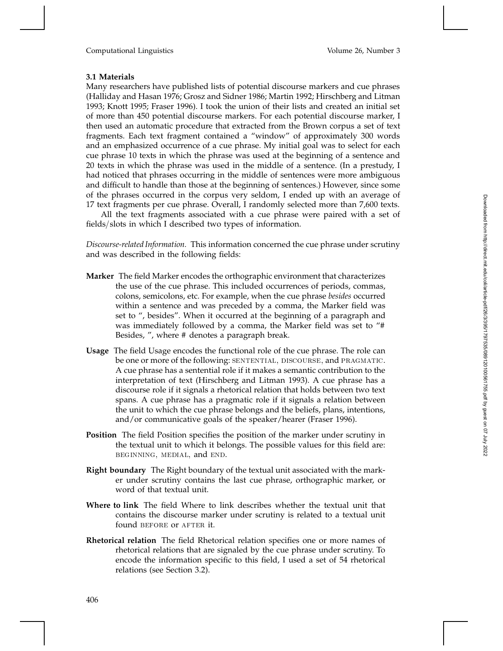### **3.1 Materials**

Many researchers have published lists of potential discourse markers and cue phrases (Halliday and Hasan 1976; Grosz and Sidner 1986; Martin 1992; Hirschberg and Litman 1993; Knott 1995; Fraser 1996). I took the union of their lists and created an initial set of more than 450 potential discourse markers. For each potential discourse marker, I then used an automatic procedure that extracted from the Brown corpus a set of text fragments. Each text fragment contained a "window" of approximately 300 words and an emphasized occurrence of a cue phrase. My initial goal was to select for each cue phrase 10 texts in which the phrase was used at the beginning of a sentence and 20 texts in which the phrase was used in the middle of a sentence. (In a prestudy, I had noticed that phrases occurring in the middle of sentences were more ambiguous and difficult to handle than those at the beginning of sentences.) However, since some of the phrases occurred in the corpus very seldom, I ended up with an average of 17 text fragments per cue phrase. Overall, I randomly selected more than 7,600 texts.

All the text fragments associated with a cue phrase were paired with a set of fields/slots in which I described two types of information.

*Discourse-related Information.* This information concerned the cue phrase under scrutiny and was described in the following fields:

- **Marker** The field Marker encodes the orthographic environment that characterizes the use of the cue phrase. This included occurrences of periods, commas, colons, semicolons, etc. For example, when the cue phrase *besides* occurred within a sentence and was preceded by a comma, the Marker field was set to ", besides". When it occurred at the beginning of a paragraph and was immediately followed by a comma, the Marker field was set to "# Besides, ", where # denotes a paragraph break.
- **Usage** The field Usage encodes the functional role of the cue phrase. The role can be one or more of the following: sentential, discourse, and pragmatic . A cue phrase has a sentential role if it makes a semantic contribution to the interpretation of text (Hirschberg and Litman 1993). A cue phrase has a discourse role if it signals a rhetorical relation that holds between two text spans. A cue phrase has a pragmatic role if it signals a relation between the unit to which the cue phrase belongs and the beliefs, plans, intentions, and/or communicative goals of the speaker/hearer (Fraser 1996).
- **Position** The field Position specifies the position of the marker under scrutiny in the textual unit to which it belongs. The possible values for this field are: BEGINNING, MEDIAL, and END.
- **Right boundary** The Right boundary of the textual unit associated with the marker under scrutiny contains the last cue phrase, orthographic marker, or word of that textual unit.
- **Where to link** The field Where to link describes whether the textual unit that contains the discourse marker under scrutiny is related to a textual unit found BEFORE or AFTER it.
- **Rhetorical relation** The field Rhetorical relation specifies one or more names of rhetorical relations that are signaled by the cue phrase under scrutiny. To encode the information specific to this field, I used a set of 54 rhetorical relations (see Section 3.2).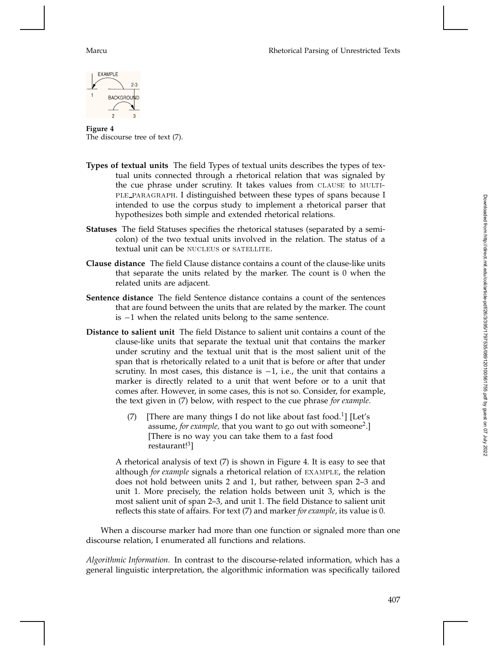

**Figure 4** The discourse tree of text (7).

- **Types of textual units** The field Types of textual units describes the types of textual units connected through a rhetorical relation that was signaled by the cue phrase under scrutiny. It takes values from CLAUSE to MULTIple paragraph. I distinguished between these types of spans because I intended to use the corpus study to implement a rhetorical parser that hypothesizes both simple and extended rhetorical relations.
- **Statuses** The field Statuses specifies the rhetorical statuses (separated by a semicolon) of the two textual units involved in the relation. The status of a textual unit can be NUCLEUS or SATELLITE.
- **Clause distance** The field Clause distance contains a count of the clause-like units that separate the units related by the marker. The count is 0 when the related units are adjacent.
- **Sentence distance** The field Sentence distance contains a count of the sentences that are found between the units that are related by the marker. The count is  $-1$  when the related units belong to the same sentence.
- **Distance to salient unit** The field Distance to salient unit contains a count of the clause-like units that separate the textual unit that contains the marker under scrutiny and the textual unit that is the most salient unit of the span that is rhetorically related to a unit that is before or after that under scrutiny. In most cases, this distance is  $-1$ , i.e., the unit that contains a marker is directly related to a unit that went before or to a unit that comes after. However, in some cases, this is not so. Consider, for example, the text given in (7) below, with respect to the cue phrase *for example*.
	- (7) [There are many things I do not like about fast food.<sup>1</sup>] [Let's assume, *for example,* that you want to go out with someone2.] [There is no way you can take them to a fast food restaurant!<sup>3</sup>]

A rhetorical analysis of text (7) is shown in Figure 4. It is easy to see that although *for example* signals a rhetorical relation of example, the relation does not hold between units 2 and 1, but rather, between span 2–3 and unit 1. More precisely, the relation holds between unit 3, which is the most salient unit of span 2–3, and unit 1. The field Distance to salient unit reflects this state of affairs. For text (7) and marker *for example*, its value is 0.

When a discourse marker had more than one function or signaled more than one discourse relation, I enumerated all functions and relations.

*Algorithmic Information.* In contrast to the discourse-related information, which has a general linguistic interpretation, the algorithmic information was specifically tailored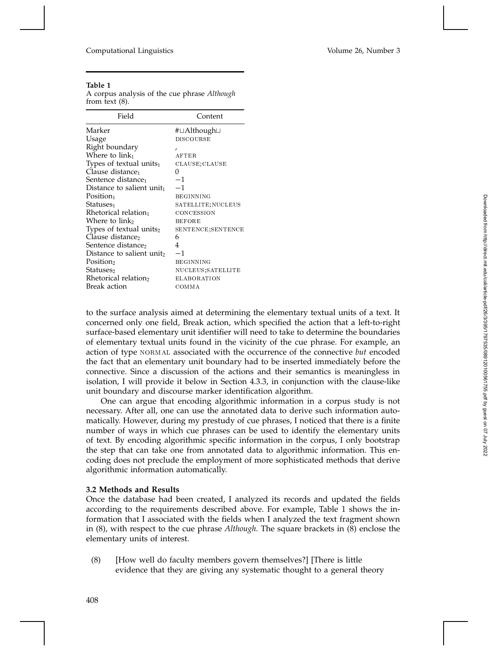#### **Table 1**

A corpus analysis of the cue phrase *Although* from text (8).

| Field                          | Content            |
|--------------------------------|--------------------|
| Marker                         | #⊔Although⊔        |
| Usage                          | <b>DISCOURSE</b>   |
| Right boundary                 |                    |
| Where to $link_1$              | AFTER              |
| Types of textual units $_1$    | CLAUSE; CLAUSE     |
| Clause distance $_1$           | $\theta$           |
| Sentence distance <sub>1</sub> | $-1$               |
| Distance to salient unit       | $-1$               |
| Position <sub>1</sub>          | <b>BEGINNING</b>   |
| Statuses <sub>1</sub>          | SATELLITE;NUCLEUS  |
| Rhetorical relation            | CONCESSION         |
| Where to $link_2$              | <b>BEFORE</b>      |
| Types of textual units2        | SENTENCE; SENTENCE |
| Clause distance,               | 6                  |
| Sentence distance,             | 4                  |
| Distance to salient unit       | $-1$               |
| Position <sub>2</sub>          | <b>BEGINNING</b>   |
| Statuses <sub>2</sub>          | NUCLEUS; SATELLITE |
| Rhetorical relation,           | ELABORATION        |
| Break action                   | COMMA              |

to the surface analysis aimed at determining the elementary textual units of a text. It concerned only one field, Break action, which specified the action that a left-to-right surface-based elementary unit identifier will need to take to determine the boundaries of elementary textual units found in the vicinity of the cue phrase. For example, an action of type normal associated with the occurrence of the connective *but* encoded the fact that an elementary unit boundary had to be inserted immediately before the connective. Since a discussion of the actions and their semantics is meaningless in isolation, I will provide it below in Section 4.3.3, in conjunction with the clause-like unit boundary and discourse marker identification algorithm.

One can argue that encoding algorithmic information in a corpus study is not necessary. After all, one can use the annotated data to derive such information automatically. However, during my prestudy of cue phrases, I noticed that there is a finite number of ways in which cue phrases can be used to identify the elementary units of text. By encoding algorithmic specific information in the corpus, I only bootstrap the step that can take one from annotated data to algorithmic information. This encoding does not preclude the employment of more sophisticated methods that derive algorithmic information automatically.

# **3.2 Methods and Results**

Once the database had been created, I analyzed its records and updated the fields according to the requirements described above. For example, Table 1 shows the information that I associated with the fields when I analyzed the text fragment shown in (8), with respect to the cue phrase *Although*. The square brackets in (8) enclose the elementary units of interest.

(8) [How well do faculty members govern themselves?] [There is little evidence that they are giving any systematic thought to a general theory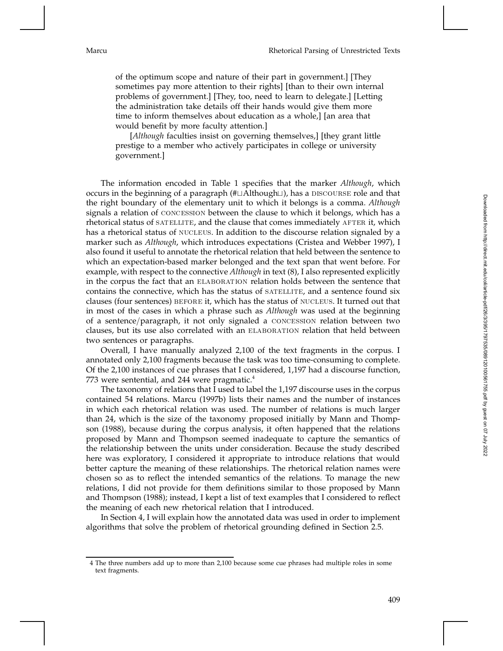of the optimum scope and nature of their part in government.] [They sometimes pay more attention to their rights] [than to their own internal problems of government.] [They, too, need to learn to delegate.] [Letting the administration take details off their hands would give them more time to inform themselves about education as a whole,] [an area that would benefit by more faculty attention.]

[*Although* faculties insist on governing themselves,] [they grant little prestige to a member who actively participates in college or university government.]

The information encoded in Table 1 specifies that the marker *Although*, which occurs in the beginning of a paragraph  $(\#\sqcup\text{Although}\sqcup)$ , has a DISCOURSE role and that the right boundary of the elementary unit to which it belongs is a comma. *Although* signals a relation of concession between the clause to which it belongs, which has a rhetorical status of SATELLITE, and the clause that comes immediately AFTER it, which has a rhetorical status of NUCLEUS. In addition to the discourse relation signaled by a marker such as *Although*, which introduces expectations (Cristea and Webber 1997), I also found it useful to annotate the rhetorical relation that held between the sentence to which an expectation-based marker belonged and the text span that went before. For example, with respect to the connective *Although* in text (8), I also represented explicitly in the corpus the fact that an ELABORATION relation holds between the sentence that contains the connective, which has the status of SATELLITE, and a sentence found six clauses (four sentences) before it, which has the status of nucleus. It turned out that in most of the cases in which a phrase such as *Although* was used at the beginning of a sentence/paragraph, it not only signaled a CONCESSION relation between two clauses, but its use also correlated with an ELABORATION relation that held between two sentences or paragraphs.

Overall, I have manually analyzed 2,100 of the text fragments in the corpus. I annotated only 2,100 fragments because the task was too time-consuming to complete. Of the 2,100 instances of cue phrases that I considered, 1,197 had a discourse function, 773 were sentential, and 244 were pragmatic.<sup>4</sup>

The taxonomy of relations that I used to label the 1,197 discourse uses in the corpus contained 54 relations. Marcu (1997b) lists their names and the number of instances in which each rhetorical relation was used. The number of relations is much larger than 24, which is the size of the taxonomy proposed initially by Mann and Thompson (1988), because during the corpus analysis, it often happened that the relations proposed by Mann and Thompson seemed inadequate to capture the semantics of the relationship between the units under consideration. Because the study described here was exploratory, I considered it appropriate to introduce relations that would better capture the meaning of these relationships. The rhetorical relation names were chosen so as to reflect the intended semantics of the relations. To manage the new relations, I did not provide for them definitions similar to those proposed by Mann and Thompson (1988); instead, I kept a list of text examples that I considered to reflect the meaning of each new rhetorical relation that I introduced.

In Section 4, I will explain how the annotated data was used in order to implement algorithms that solve the problem of rhetorical grounding defined in Section 2.5.

<sup>4</sup> The three numbers add up to more than 2,100 because some cue phrases had multiple roles in some text fragments.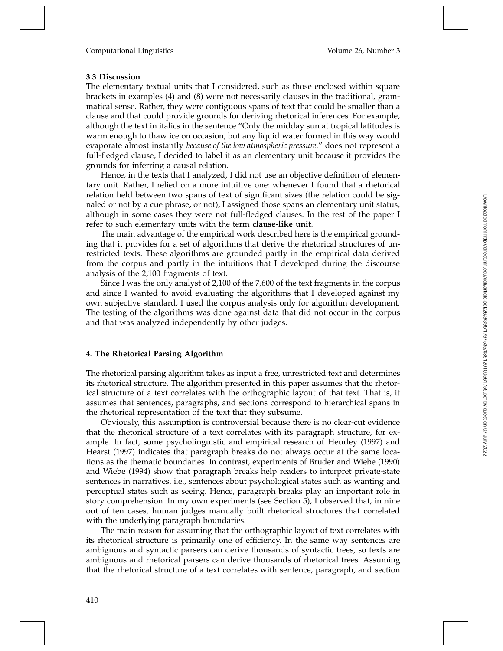### **3.3 Discussion**

The elementary textual units that I considered, such as those enclosed within square brackets in examples (4) and (8) were not necessarily clauses in the traditional, grammatical sense. Rather, they were contiguous spans of text that could be smaller than a clause and that could provide grounds for deriving rhetorical inferences. For example, although the text in italics in the sentence "Only the midday sun at tropical latitudes is warm enough to thaw ice on occasion, but any liquid water formed in this way would evaporate almost instantly *because of the low atmospheric pressure.*" does not represent a full-fledged clause, I decided to label it as an elementary unit because it provides the grounds for inferring a causal relation.

Hence, in the texts that I analyzed, I did not use an objective definition of elementary unit. Rather, I relied on a more intuitive one: whenever I found that a rhetorical relation held between two spans of text of significant sizes (the relation could be signaled or not by a cue phrase, or not), I assigned those spans an elementary unit status, although in some cases they were not full-fledged clauses. In the rest of the paper I refer to such elementary units with the term **clause-like unit** .

The main advantage of the empirical work described here is the empirical grounding that it provides for a set of algorithms that derive the rhetorical structures of unrestricted texts. These algorithms are grounded partly in the empirical data derived from the corpus and partly in the intuitions that I developed during the discourse analysis of the 2,100 fragments of text.

Since I was the only analyst of 2,100 of the 7,600 of the text fragments in the corpus and since I wanted to avoid evaluating the algorithms that I developed against my own subjective standard, I used the corpus analysis only for algorithm development. The testing of the algorithms was done against data that did not occur in the corpus and that was analyzed independently by other judges.

# **4. The Rhetorical Parsing Algorithm**

The rhetorical parsing algorithm takes as input a free, unrestricted text and determines its rhetorical structure. The algorithm presented in this paper assumes that the rhetorical structure of a text correlates with the orthographic layout of that text. That is, it assumes that sentences, paragraphs, and sections correspond to hierarchical spans in the rhetorical representation of the text that they subsume.

Obviously, this assumption is controversial because there is no clear-cut evidence that the rhetorical structure of a text correlates with its paragraph structure, for example. In fact, some psycholinguistic and empirical research of Heurley (1997) and Hearst (1997) indicates that paragraph breaks do not always occur at the same locations as the thematic boundaries. In contrast, experiments of Bruder and Wiebe (1990) and Wiebe (1994) show that paragraph breaks help readers to interpret private-state sentences in narratives, i.e., sentences about psychological states such as wanting and perceptual states such as seeing. Hence, paragraph breaks play an important role in story comprehension. In my own experiments (see Section 5), I observed that, in nine out of ten cases, human judges manually built rhetorical structures that correlated with the underlying paragraph boundaries.

The main reason for assuming that the orthographic layout of text correlates with its rhetorical structure is primarily one of efficiency. In the same way sentences are ambiguous and syntactic parsers can derive thousands of syntactic trees, so texts are ambiguous and rhetorical parsers can derive thousands of rhetorical trees. Assuming that the rhetorical structure of a text correlates with sentence, paragraph, and section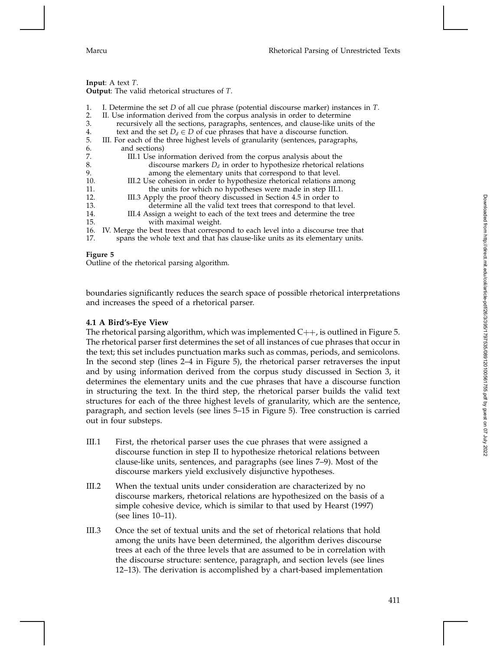# **Input**: A text *T* .

**Output**: The valid rhetorical structures of *T* .

| 1.<br>2.<br>3. | I. Determine the set $D$ of all cue phrase (potential discourse marker) instances in $T$ .<br>II. Use information derived from the corpus analysis in order to determine<br>recursively all the sections, paragraphs, sentences, and clause-like units of the |
|----------------|---------------------------------------------------------------------------------------------------------------------------------------------------------------------------------------------------------------------------------------------------------------|
| 4.             | text and the set $D_d \in D$ of cue phrases that have a discourse function.                                                                                                                                                                                   |
| 5.             | III. For each of the three highest levels of granularity (sentences, paragraphs,                                                                                                                                                                              |
| 6.             | and sections)                                                                                                                                                                                                                                                 |
| 7.             | III.1 Use information derived from the corpus analysis about the                                                                                                                                                                                              |
| 8.             | discourse markers $D_d$ in order to hypothesize rhetorical relations                                                                                                                                                                                          |
| 9.             | among the elementary units that correspond to that level.                                                                                                                                                                                                     |
| 10.            | III.2 Use cohesion in order to hypothesize rhetorical relations among                                                                                                                                                                                         |
| 11.            | the units for which no hypotheses were made in step III.1.                                                                                                                                                                                                    |
| 12.            | III.3 Apply the proof theory discussed in Section 4.5 in order to                                                                                                                                                                                             |
| 13.            | determine all the valid text trees that correspond to that level.                                                                                                                                                                                             |
| 14.            | III.4 Assign a weight to each of the text trees and determine the tree                                                                                                                                                                                        |
| 15.            | with maximal weight.                                                                                                                                                                                                                                          |
| 16.            | IV. Merge the best trees that correspond to each level into a discourse tree that                                                                                                                                                                             |
| 17.            | spans the whole text and that has clause-like units as its elementary units.                                                                                                                                                                                  |
|                |                                                                                                                                                                                                                                                               |

# **Figure 5**

Outline of the rhetorical parsing algorithm.

boundaries significantly reduces the search space of possible rhetorical interpretations and increases the speed of a rhetorical parser.

# **4.1 A Bird's-Eye View**

The rhetorical parsing algorithm, which was implemented  $C_{++}$ , is outlined in Figure 5. The rhetorical parser first determines the set of all instances of cue phrases that occur in the text; this set includes punctuation marks such as commas, periods, and semicolons. In the second step (lines 2–4 in Figure 5), the rhetorical parser retraverses the input and by using information derived from the corpus study discussed in Section 3, it determines the elementary units and the cue phrases that have a discourse function in structuring the text. In the third step, the rhetorical parser builds the valid text structures for each of the three highest levels of granularity, which are the sentence, paragraph, and section levels (see lines 5–15 in Figure 5). Tree construction is carried out in four substeps.

- III.1 First, the rhetorical parser uses the cue phrases that were assigned a discourse function in step II to hypothesize rhetorical relations between clause-like units, sentences, and paragraphs (see lines 7–9). Most of the discourse markers yield exclusively disjunctive hypotheses.
- III.2 When the textual units under consideration are characterized by no discourse markers, rhetorical relations are hypothesized on the basis of a simple cohesive device, which is similar to that used by Hearst (1997) (see lines 10–11).
- III.3 Once the set of textual units and the set of rhetorical relations that hold among the units have been determined, the algorithm derives discourse trees at each of the three levels that are assumed to be in correlation with the discourse structure: sentence, paragraph, and section levels (see lines 12–13). The derivation is accomplished by a chart-based implementation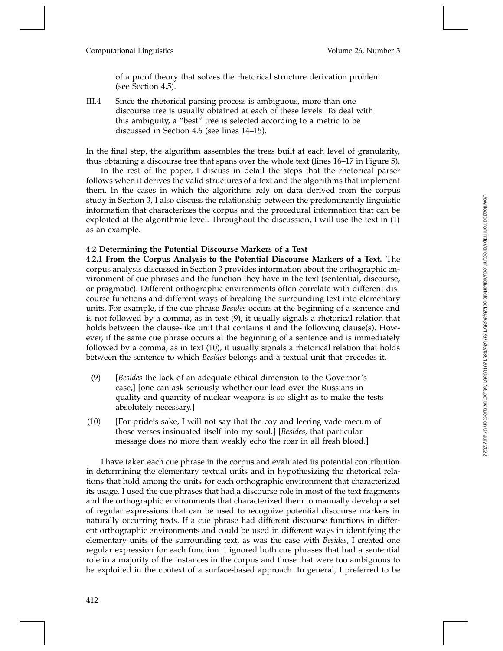of a proof theory that solves the rhetorical structure derivation problem (see Section 4.5).

III.4 Since the rhetorical parsing process is ambiguous, more than one discourse tree is usually obtained at each of these levels. To deal with this ambiguity, a "best" tree is selected according to a metric to be discussed in Section 4.6 (see lines 14–15).

In the final step, the algorithm assembles the trees built at each level of granularity, thus obtaining a discourse tree that spans over the whole text (lines 16–17 in Figure 5).

In the rest of the paper, I discuss in detail the steps that the rhetorical parser follows when it derives the valid structures of a text and the algorithms that implement them. In the cases in which the algorithms rely on data derived from the corpus study in Section 3, I also discuss the relationship between the predominantly linguistic information that characterizes the corpus and the procedural information that can be exploited at the algorithmic level. Throughout the discussion, I will use the text in (1) as an example.

# **4.2 Determining the Potential Discourse Markers of a Text**

**4.2.1 From the Corpus Analysis to the Potential Discourse Markers of a Text.** The corpus analysis discussed in Section 3 provides information about the orthographic environment of cue phrases and the function they have in the text (sentential, discourse, or pragmatic). Different orthographic environments often correlate with different discourse functions and different ways of breaking the surrounding text into elementary units. For example, if the cue phrase *Besides* occurs at the beginning of a sentence and is not followed by a comma, as in text (9), it usually signals a rhetorical relation that holds between the clause-like unit that contains it and the following clause(s). However, if the same cue phrase occurs at the beginning of a sentence and is immediately followed by a comma, as in text (10), it usually signals a rhetorical relation that holds between the sentence to which *Besides* belongs and a textual unit that precedes it.

- (9) [*Besides* the lack of an adequate ethical dimension to the Governor's case,] [one can ask seriously whether our lead over the Russians in quality and quantity of nuclear weapons is so slight as to make the tests absolutely necessary.]
- (10) [For pride's sake, I will not say that the coy and leering vade mecum of those verses insinuated itself into my soul.] [*Besides,* that particular message does no more than weakly echo the roar in all fresh blood.]

I have taken each cue phrase in the corpus and evaluated its potential contribution in determining the elementary textual units and in hypothesizing the rhetorical relations that hold among the units for each orthographic environment that characterized its usage. I used the cue phrases that had a discourse role in most of the text fragments and the orthographic environments that characterized them to manually develop a set of regular expressions that can be used to recognize potential discourse markers in naturally occurring texts. If a cue phrase had different discourse functions in different orthographic environments and could be used in different ways in identifying the elementary units of the surrounding text, as was the case with *Besides*, I created one regular expression for each function. I ignored both cue phrases that had a sentential role in a majority of the instances in the corpus and those that were too ambiguous to be exploited in the context of a surface-based approach. In general, I preferred to be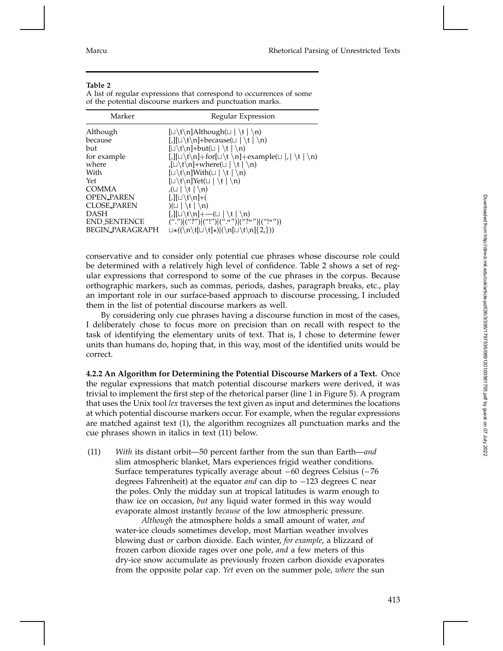| Marker                 | Regular Expression                                                                                                |
|------------------------|-------------------------------------------------------------------------------------------------------------------|
| Although               | $[\Box \setminus \mathfrak{t} \setminus n]$ Although $(\Box \setminus \mathfrak{t} \setminus n)$                  |
| because                | $\left[ ,\right]$ [ $\cup \t\in \mathbb{N}$ ]+because( $\sqcup \setminus t \setminus n$ )                         |
| but                    | $[\Box \setminus t \setminus n] + \text{but}(\Box \setminus t \setminus n)$                                       |
| for example            | $[J][\Box\$ t\n]+for[ $\Box\$ t \n]+example( $\Box$  ,  \t   \n)                                                  |
| where                  | $\lfloor \lfloor \lfloor t \rfloor \rfloor + \text{where}(\lfloor \lfloor t \rfloor \rfloor + \lfloor n \rfloor)$ |
| With                   | $[\Box \setminus \mathfrak{t} \setminus n]$ With $(\Box \setminus \mathfrak{t} \setminus n)$                      |
| Yet                    | $[\Box \setminus t \setminus n]$ Yet $(\Box \setminus \setminus t \setminus n)$                                   |
| <b>COMMA</b>           | $(L \mid \{t \mid \} n)$                                                                                          |
| <b>OPEN_PAREN</b>      | $[J][\Box\backslash t\backslash n]+($                                                                             |
| <b>CLOSE PAREN</b>     | $(C \cup   \tbinom{t}{}  \setminus n)$                                                                            |
| <b>DASH</b>            | $[J][\sqcup \setminus t \setminus n] + \longleftarrow (\sqcup \setminus \setminus t \setminus n)$                 |
| <b>END_SENTENCE</b>    | $($ ".") ("?") ("!") ("."") ("?"") ("!"))                                                                         |
| <b>BEGIN_PARAGRAPH</b> | $\Box\star((\langle n\setminus t[\Box\setminus t]\star) (\langle n[\Box\setminus t\setminus n]\{2\}\rangle))$     |

#### **Table 2**

A list of regular expressions that correspond to occurrences of some of the potential discourse markers and punctuation marks.

conservative and to consider only potential cue phrases whose discourse role could be determined with a relatively high level of confidence. Table 2 shows a set of regular expressions that correspond to some of the cue phrases in the corpus. Because orthographic markers, such as commas, periods, dashes, paragraph breaks, etc., play an important role in our surface-based approach to discourse processing, I included them in the list of potential discourse markers as well.

By considering only cue phrases having a discourse function in most of the cases, I deliberately chose to focus more on precision than on recall with respect to the task of identifying the elementary units of text. That is, I chose to determine fewer units than humans do, hoping that, in this way, most of the identified units would be correct.

**4.2.2 An Algorithm for Determining the Potential Discourse Markers of a Text.** Once the regular expressions that match potential discourse markers were derived, it was trivial to implement the first step of the rhetorical parser (line 1 in Figure 5). A program that uses the Unix tool *lex* traverses the text given as input and determines the locations at which potential discourse markers occur. For example, when the regular expressions are matched against text (1), the algorithm recognizes all punctuation marks and the cue phrases shown in italics in text (11) below.

(11) *With* its distant orbit—50 percent farther from the sun than Earth—*and* slim atmospheric blanket, Mars experiences frigid weather conditions. Surface temperatures typically average about 60 degrees Celsius ( 76 degrees Fahrenheit) at the equator *and* can dip to 123 degrees C near the poles. Only the midday sun at tropical latitudes is warm enough to thaw ice on occasion, *but* any liquid water formed in this way would evaporate almost instantly *because* of the low atmospheric pressure.

*Although* the atmosphere holds a small amount of water, *and* water-ice clouds sometimes develop, most Martian weather involves blowing dust *or* carbon dioxide. Each winter, *for example*, a blizzard of frozen carbon dioxide rages over one pole, *and* a few meters of this dry-ice snow accumulate as previously frozen carbon dioxide evaporates from the opposite polar cap. *Yet* even on the summer pole, *where* the sun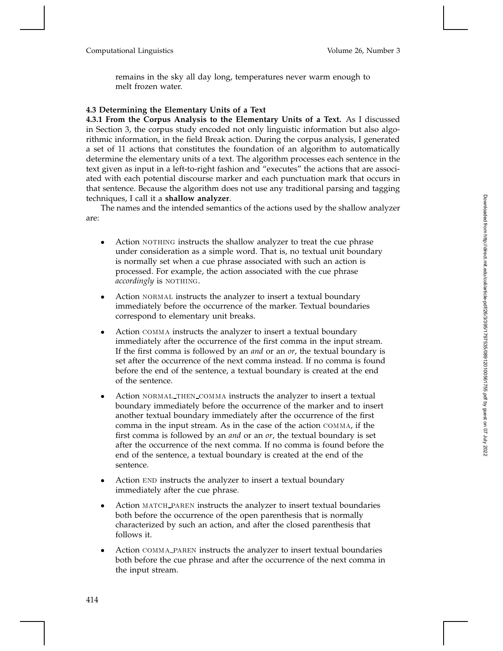remains in the sky all day long, temperatures never warm enough to melt frozen water.

# **4.3 Determining the Elementary Units of a Text**

**4.3.1 From the Corpus Analysis to the Elementary Units of a Text.** As I discussed in Section 3, the corpus study encoded not only linguistic information but also algorithmic information, in the field Break action. During the corpus analysis, I generated a set of 11 actions that constitutes the foundation of an algorithm to automatically determine the elementary units of a text. The algorithm processes each sentence in the text given as input in a left-to-right fashion and "executes" the actions that are associated with each potential discourse marker and each punctuation mark that occurs in that sentence. Because the algorithm does not use any traditional parsing and tagging techniques, I call it a **shallow analyzer** .

The names and the intended semantics of the actions used by the shallow analyzer are:

- 0 Action NOTHING instructs the shallow analyzer to treat the cue phrase under consideration as a simple word. That is, no textual unit boundary is normally set when a cue phrase associated with such an action is processed. For example, the action associated with the cue phrase *accordingly* is nothing.
- 0 Action normal instructs the analyzer to insert a textual boundary immediately before the occurrence of the marker. Textual boundaries correspond to elementary unit breaks.
- 0 Action comma instructs the analyzer to insert a textual boundary immediately after the occurrence of the first comma in the input stream. If the first comma is followed by an *and* or an *or*, the textual boundary is set after the occurrence of the next comma instead. If no comma is found before the end of the sentence, a textual boundary is created at the end of the sentence.
- 0 Action NORMAL THEN COMMA instructs the analyzer to insert a textual boundary immediately before the occurrence of the marker and to insert another textual boundary immediately after the occurrence of the first comma in the input stream. As in the case of the action comma, if the first comma is followed by an *and* or an *or*, the textual boundary is set after the occurrence of the next comma. If no comma is found before the end of the sentence, a textual boundary is created at the end of the sentence.
- 0 Action END instructs the analyzer to insert a textual boundary immediately after the cue phrase.
- 0 Action MATCH\_PAREN instructs the analyzer to insert textual boundaries both before the occurrence of the open parenthesis that is normally characterized by such an action, and after the closed parenthesis that follows it.
- 0 Action COMMA\_PAREN instructs the analyzer to insert textual boundaries both before the cue phrase and after the occurrence of the next comma in the input stream.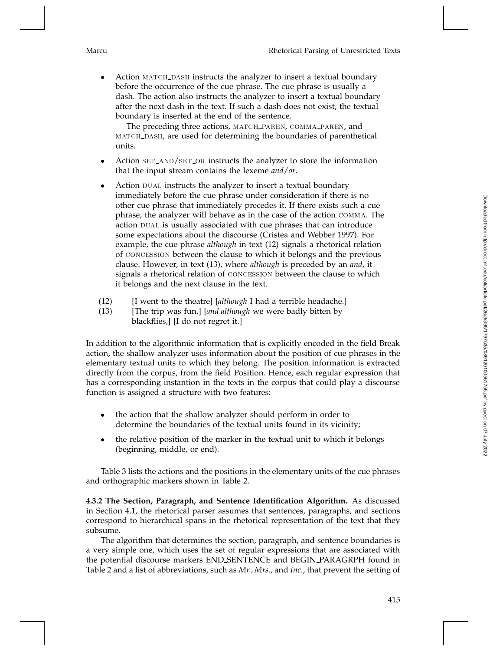0 Action MATCH\_DASH instructs the analyzer to insert a textual boundary before the occurrence of the cue phrase. The cue phrase is usually a dash. The action also instructs the analyzer to insert a textual boundary after the next dash in the text. If such a dash does not exist, the textual boundary is inserted at the end of the sentence.

The preceding three actions, MATCH\_PAREN, COMMA\_PAREN, and MATCH\_DASH, are used for determining the boundaries of parenthetical units.

- 0 Action SET\_AND/SET\_OR instructs the analyzer to store the information that the input stream contains the lexeme *and* /*or* .
- 0 Action DUAL instructs the analyzer to insert a textual boundary immediately before the cue phrase under consideration if there is no other cue phrase that immediately precedes it. If there exists such a cue phrase, the analyzer will behave as in the case of the action comma. The action DUAL is usually associated with cue phrases that can introduce some expectations about the discourse (Cristea and Webber 1997). For example, the cue phrase *although* in text (12) signals a rhetorical relation of concession between the clause to which it belongs and the previous clause. However, in text (13), where *although* is preceded by an *and*, it signals a rhetorical relation of concession between the clause to which it belongs and the next clause in the text.
- (12) [I went to the theatre] [*although* I had a terrible headache.]
- (13) [The trip was fun,] [*and although* we were badly bitten by blackflies,] [I do not regret it.]

In addition to the algorithmic information that is explicitly encoded in the field Break action, the shallow analyzer uses information about the position of cue phrases in the elementary textual units to which they belong. The position information is extracted directly from the corpus, from the field Position. Hence, each regular expression that has a corresponding instantion in the texts in the corpus that could play a discourse function is assigned a structure with two features:

- 0 the action that the shallow analyzer should perform in order to determine the boundaries of the textual units found in its vicinity;
- $\bullet$  the relative position of the marker in the textual unit to which it belongs (beginning, middle, or end).

Table 3 lists the actions and the positions in the elementary units of the cue phrases and orthographic markers shown in Table 2.

**4.3.2 The Section, Paragraph, and Sentence Identification Algorithm.** As discussed in Section 4.1, the rhetorical parser assumes that sentences, paragraphs, and sections correspond to hierarchical spans in the rhetorical representation of the text that they subsume.

The algorithm that determines the section, paragraph, and sentence boundaries is a very simple one, which uses the set of regular expressions that are associated with the potential discourse markers END SENTENCE and BEGIN PARAGRPH found in Table 2 and a list of abbreviations, such as *Mr., Mrs.,* and *Inc.*, that prevent the setting of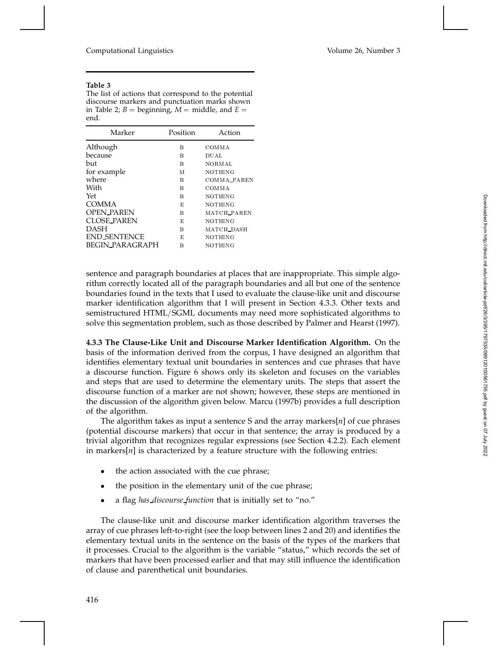### **Table 3**

The list of actions that correspond to the potential discourse markers and punctuation marks shown in Table 2;  $B =$  beginning,  $M =$  middle, and  $E =$ end.

| Marker              | Position | Action         |
|---------------------|----------|----------------|
| Although            | B        | COMMA          |
| because             | B        | DUAL           |
| but                 | B        | NORMAL         |
| for example         | М        | <b>NOTHING</b> |
| where               | B        | COMMA_PAREN    |
| With                | B        | COMMA          |
| Yet                 | B        | NOTHING        |
| <b>COMMA</b>        | F.       | NOTHING        |
| <b>OPEN_PAREN</b>   | B        | MATCH_PAREN    |
| <b>CLOSE_PAREN</b>  | F.       | NOTHING        |
| <b>DASH</b>         | B        | MATCH_DASH     |
| <b>END_SENTENCE</b> | E        | NOTHING        |
| BEGIN_PARAGRAPH     | B        | NOTHING        |

sentence and paragraph boundaries at places that are inappropriate. This simple algorithm correctly located all of the paragraph boundaries and all but one of the sentence boundaries found in the texts that I used to evaluate the clause-like unit and discourse marker identification algorithm that I will present in Section 4.3.3. Other texts and semistructured HTML/SGML documents may need more sophisticated algorithms to solve this segmentation problem, such as those described by Palmer and Hearst (1997).

**4.3.3 The Clause-Like Unit and Discourse Marker Identification Algorithm.** On the basis of the information derived from the corpus, I have designed an algorithm that identifies elementary textual unit boundaries in sentences and cue phrases that have a discourse function. Figure 6 shows only its skeleton and focuses on the variables and steps that are used to determine the elementary units. The steps that assert the discourse function of a marker are not shown; however, these steps are mentioned in the discussion of the algorithm given below. Marcu (1997b) provides a full description of the algorithm.

The algorithm takes as input a sentence S and the array markers[*n*] of cue phrases (potential discourse markers) that occur in that sentence; the array is produced by a trivial algorithm that recognizes regular expressions (see Section 4.2.2). Each element in markers[*n*] is characterized by a feature structure with the following entries:

- 0 the action associated with the cue phrase;
- 0 the position in the elementary unit of the cue phrase;
- 0 a flag *has discourse function* that is initially set to "no."

The clause-like unit and discourse marker identification algorithm traverses the array of cue phrases left-to-right (see the loop between lines 2 and 20) and identifies the elementary textual units in the sentence on the basis of the types of the markers that it processes. Crucial to the algorithm is the variable "status," which records the set of markers that have been processed earlier and that may still influence the identification of clause and parenthetical unit boundaries.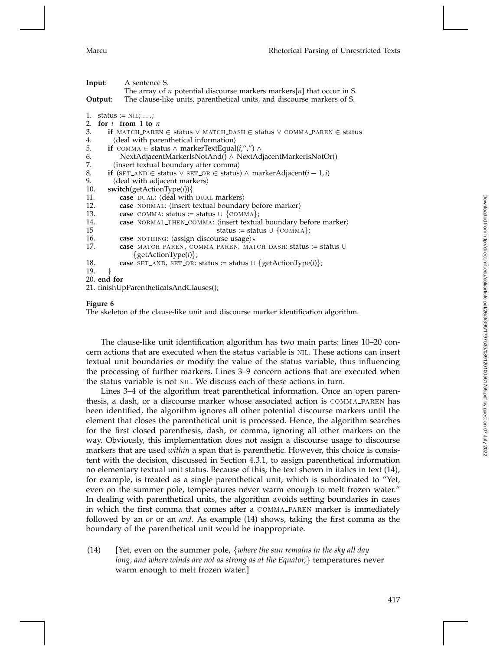### Marcu **Rhetorical Parsing of Unrestricted Texts**

```
Input: A sentence S.
           The array of
n potential discourse markers markers[
n] that occur in S.
Output: The clause-like units, parenthetical units, and discourse markers of S.
1. status := \text{NIL}; ;
2. for
i from
1 to
n
3. if MATCH_PAREN \in status \vee MATCH_DASH \in status \vee COMMA_PAREN \in status
4.
       \langle deal with parenthetical information\rangle5. if COMMA \in status \wedge markerTextEqual(i, "') \wedge6. NextAdjacentMarkerIsNotAnd()
^ NextAdjacentMarkerIsNotOr()
7.
       \langleinsert textual boundary after comma\rangle8. if (SET\_AND \in status \vee SET\_OR \in status) \wedge markerAdjacent(i-1,i)\frac{9}{10}.
       \langle deal with adjacent markers\rangle10. switch(getActionType(
i))
f11. case DUAL: {deal with DUAL markers}
12. case NORMAL: (insert textual boundary before marker)
13. case COMMA: status := status \cup {COMMA};
14. case NORMAL_THEN_COMMA: (insert textual boundary before marker)
15 status := status \cup {COMMA};
16.           case NOTHING: (assign discourse usage)
17. case MATCH_PAREN, COMMA_PAREN, MATCH_DASH: status := status U
             {getActionType(i)};
18. case SET_AND, SET_OR: status := status \cup {getActionType(i)};
19.
      \overline{\phantom{a}}20. end for
21. finishUpParentheticalsAndClauses();
```
### **Figure 6**

The skeleton of the clause-like unit and discourse marker identification algorithm.

The clause-like unit identification algorithm has two main parts: lines 10–20 concern actions that are executed when the status variable is nil. These actions can insert textual unit boundaries or modify the value of the status variable, thus influencing the processing of further markers. Lines 3–9 concern actions that are executed when the status variable is not nil. We discuss each of these actions in turn.

Lines 3–4 of the algorithm treat parenthetical information. Once an open parenthesis, a dash, or a discourse marker whose associated action is COMMA\_PAREN has been identified, the algorithm ignores all other potential discourse markers until the element that closes the parenthetical unit is processed. Hence, the algorithm searches for the first closed parenthesis, dash, or comma, ignoring all other markers on the way. Obviously, this implementation does not assign a discourse usage to discourse markers that are used *within* a span that is parenthetic. However, this choice is consistent with the decision, discussed in Section 4.3.1, to assign parenthetical information no elementary textual unit status. Because of this, the text shown in italics in text (14), for example, is treated as a single parenthetical unit, which is subordinated to "Yet, even on the summer pole, temperatures never warm enough to melt frozen water." In dealing with parenthetical units, the algorithm avoids setting boundaries in cases in which the first comma that comes after a COMMA\_PAREN marker is immediately followed by an *or* or an *and*. As example (14) shows, taking the first comma as the boundary of the parenthetical unit would be inappropriate.

(14) [Yet, even on the summer pole, f*where the sun remains in the sky all day long, and where winds are not as strong as at the Equator,* g temperatures never warm enough to melt frozen water.]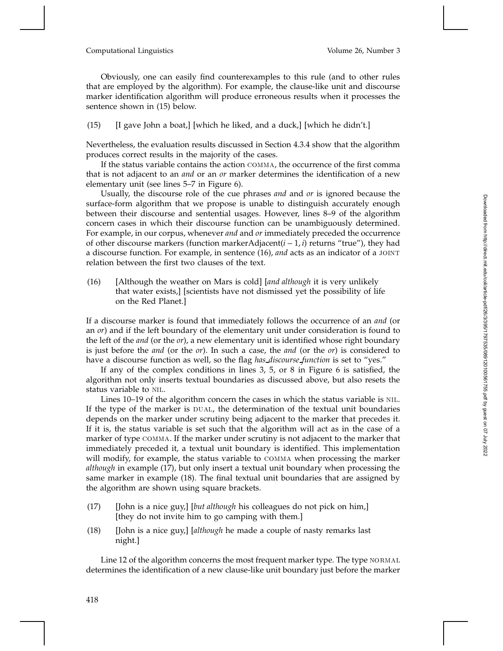Obviously, one can easily find counterexamples to this rule (and to other rules that are employed by the algorithm). For example, the clause-like unit and discourse marker identification algorithm will produce erroneous results when it processes the sentence shown in (15) below.

 $(15)$  [I gave John a boat,] [which he liked, and a duck,] [which he didn't.]

Nevertheless, the evaluation results discussed in Section 4.3.4 show that the algorithm produces correct results in the majority of the cases.

If the status variable contains the action comma, the occurrence of the first comma that is not adjacent to an *and* or an *or* marker determines the identification of a new elementary unit (see lines 5–7 in Figure 6).

Usually, the discourse role of the cue phrases *and* and *or* is ignored because the surface-form algorithm that we propose is unable to distinguish accurately enough between their discourse and sentential usages. However, lines 8–9 of the algorithm concern cases in which their discourse function can be unambiguously determined. For example, in our corpus, whenever *and* and *or* immediately preceded the occurrence of other discourse markers (function markerAdjacent( *i* 1, *i*) returns "true"), they had a discourse function. For example, in sentence (16), *and* acts as an indicator of a joint relation between the first two clauses of the text.

(16) [Although the weather on Mars is cold] [*and although* it is very unlikely that water exists,] [scientists have not dismissed yet the possibility of life on the Red Planet.]

If a discourse marker is found that immediately follows the occurrence of an *and* (or an *or*) and if the left boundary of the elementary unit under consideration is found to the left of the *and* (or the *or*), a new elementary unit is identified whose right boundary is just before the *and* (or the *or*). In such a case, the *and* (or the *or*) is considered to have a discourse function as well, so the flag *has discourse function* is set to "yes."

If any of the complex conditions in lines 3, 5, or 8 in Figure 6 is satisfied, the algorithm not only inserts textual boundaries as discussed above, but also resets the status variable to nil .

Lines 10–19 of the algorithm concern the cases in which the status variable is nil . If the type of the marker is  $DUAL$ , the determination of the textual unit boundaries depends on the marker under scrutiny being adjacent to the marker that precedes it. If it is, the status variable is set such that the algorithm will act as in the case of a marker of type comma. If the marker under scrutiny is not adjacent to the marker that immediately preceded it, a textual unit boundary is identified. This implementation will modify, for example, the status variable to comma when processing the marker *although* in example (17), but only insert a textual unit boundary when processing the same marker in example (18). The final textual unit boundaries that are assigned by the algorithm are shown using square brackets.

- (17) [John is a nice guy,] [*but although* his colleagues do not pick on him,] [they do not invite him to go camping with them.]
- (18) [John is a nice guy,] [*although* he made a couple of nasty remarks last night.]

Line 12 of the algorithm concerns the most frequent marker type. The type NORMAL determines the identification of a new clause-like unit boundary just before the marker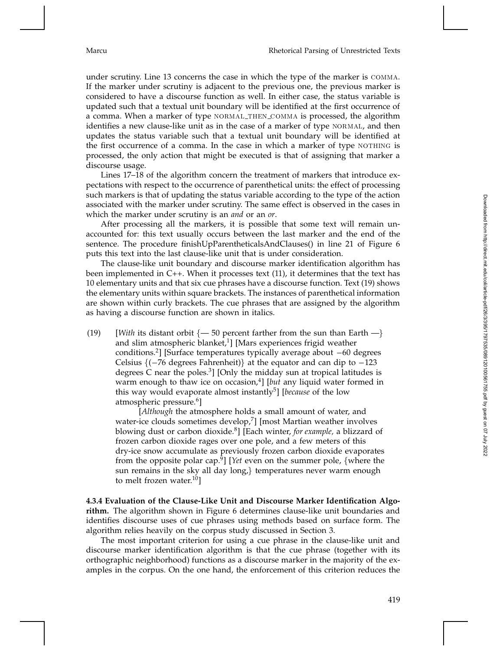under scrutiny. Line 13 concerns the case in which the type of the marker is comma . If the marker under scrutiny is adjacent to the previous one, the previous marker is considered to have a discourse function as well. In either case, the status variable is updated such that a textual unit boundary will be identified at the first occurrence of a comma. When a marker of type NORMAL\_THEN\_COMMA is processed, the algorithm identifies a new clause-like unit as in the case of a marker of type NORMAL, and then updates the status variable such that a textual unit boundary will be identified at the first occurrence of a comma. In the case in which a marker of type NOTHING is processed, the only action that might be executed is that of assigning that marker a discourse usage.

Lines 17–18 of the algorithm concern the treatment of markers that introduce expectations with respect to the occurrence of parenthetical units: the effect of processing such markers is that of updating the status variable according to the type of the action associated with the marker under scrutiny. The same effect is observed in the cases in which the marker under scrutiny is an *and* or an *or* .

After processing all the markers, it is possible that some text will remain unaccounted for: this text usually occurs between the last marker and the end of the sentence. The procedure finishUpParentheticalsAndClauses() in line 21 of Figure 6 puts this text into the last clause-like unit that is under consideration.

The clause-like unit boundary and discourse marker identification algorithm has been implemented in C++. When it processes text (11), it determines that the text has 10 elementary units and that six cue phrases have a discourse function. Text (19) shows the elementary units within square brackets. The instances of parenthetical information are shown within curly brackets. The cue phrases that are assigned by the algorithm as having a discourse function are shown in italics.

 $(19)$  [*With* its distant orbit  $\{-50$  percent farther from the sun than Earth —  $\}$ and slim atmospheric blanket, 1] [Mars experiences frigid weather conditions. 2] [Surface temperatures typically average about 60 degrees Celsius {(–76 degrees Fahrenheit)} at the equator and can dip to –123 degrees C near the poles.<sup>3</sup>] [Only the midday sun at tropical latitudes is warm enough to thaw ice on occasion, 4] [*but* any liquid water formed in this way would evaporate almost instantly 5] [*because* of the low atmospheric pressure. 6 ]

[*Although* the atmosphere holds a small amount of water, and water-ice clouds sometimes develop,<sup>7</sup>] [most Martian weather involves blowing dust or carbon dioxide. 8] [Each winter, *for example,* a blizzard of frozen carbon dioxide rages over one pole, and a few meters of this dry-ice snow accumulate as previously frozen carbon dioxide evaporates from the opposite polar cap. 9] [*Yet* even on the summer pole, fwhere the sun remains in the sky all day long,} temperatures never warm enough to melt frozen water.<sup>10</sup>]

**4.3.4 Evaluation of the Clause-Like Unit and Discourse Marker Identification Algorithm.** The algorithm shown in Figure 6 determines clause-like unit boundaries and identifies discourse uses of cue phrases using methods based on surface form. The algorithm relies heavily on the corpus study discussed in Section 3.

The most important criterion for using a cue phrase in the clause-like unit and discourse marker identification algorithm is that the cue phrase (together with its orthographic neighborhood) functions as a discourse marker in the majority of the examples in the corpus. On the one hand, the enforcement of this criterion reduces the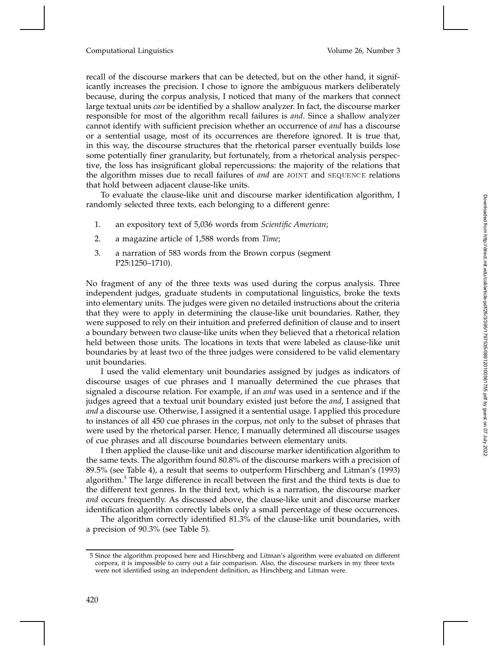recall of the discourse markers that can be detected, but on the other hand, it significantly increases the precision. I chose to ignore the ambiguous markers deliberately because, during the corpus analysis, I noticed that many of the markers that connect large textual units *can* be identified by a shallow analyzer. In fact, the discourse marker responsible for most of the algorithm recall failures is *and*. Since a shallow analyzer cannot identify with sufficient precision whether an occurrence of *and* has a discourse or a sentential usage, most of its occurrences are therefore ignored. It is true that, in this way, the discourse structures that the rhetorical parser eventually builds lose some potentially finer granularity, but fortunately, from a rhetorical analysis perspective, the loss has insignificant global repercussions: the majority of the relations that the algorithm misses due to recall failures of *and* are JOINT and SEQUENCE relations that hold between adjacent clause-like units.

To evaluate the clause-like unit and discourse marker identification algorithm, I randomly selected three texts, each belonging to a different genre:

- 1. an expository text of 5,036 words from *Scientific American* ;
- 2. a magazine article of 1,588 words from *Time* ;
- 3. a narration of 583 words from the Brown corpus (segment P25:1250–1710).

No fragment of any of the three texts was used during the corpus analysis. Three independent judges, graduate students in computational linguistics, broke the texts into elementary units. The judges were given no detailed instructions about the criteria that they were to apply in determining the clause-like unit boundaries. Rather, they were supposed to rely on their intuition and preferred definition of clause and to insert a boundary between two clause-like units when they believed that a rhetorical relation held between those units. The locations in texts that were labeled as clause-like unit boundaries by at least two of the three judges were considered to be valid elementary unit boundaries.

I used the valid elementary unit boundaries assigned by judges as indicators of discourse usages of cue phrases and I manually determined the cue phrases that signaled a discourse relation. For example, if an *and* was used in a sentence and if the judges agreed that a textual unit boundary existed just before the *and*, I assigned that *and* a discourse use. Otherwise, I assigned it a sentential usage. I applied this procedure to instances of all 450 cue phrases in the corpus, not only to the subset of phrases that were used by the rhetorical parser. Hence, I manually determined all discourse usages of cue phrases and all discourse boundaries between elementary units.

I then applied the clause-like unit and discourse marker identification algorithm to the same texts. The algorithm found 80.8% of the discourse markers with a precision of 89 :5% (see Table 4), a result that seems to outperform Hirschberg and Litman's (1993) algorithm. <sup>5</sup> The large difference in recall between the first and the third texts is due to the different text genres. In the third text, which is a narration, the discourse marker *and* occurs frequently. As discussed above, the clause-like unit and discourse marker identification algorithm correctly labels only a small percentage of these occurrences.

The algorithm correctly identified 81 :3% of the clause-like unit boundaries, with a precision of 90.3% (see Table 5).

<sup>5</sup> Since the algorithm proposed here and Hirschberg and Litman's algorithm were evaluated on different corpora, it is impossible to carry out a fair comparison. Also, the discourse markers in my three texts were not identified using an independent definition, as Hirschberg and Litman were.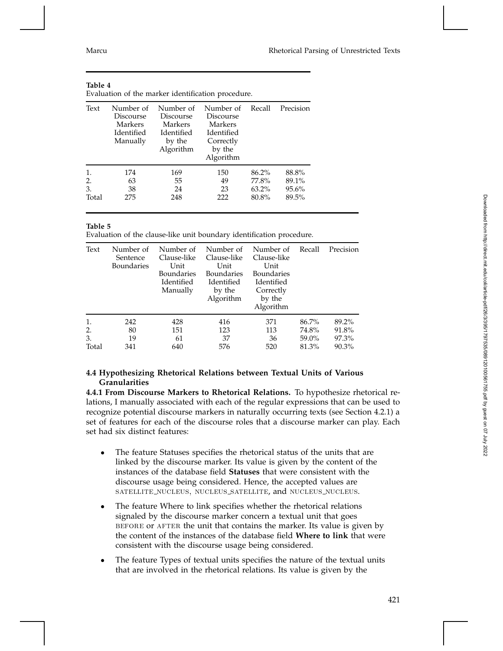| Table 4<br>Evaluation of the marker identification procedure. |                                                             |                                                                        |                                                                                     |                                        |                                  |  |  |  |  |  |
|---------------------------------------------------------------|-------------------------------------------------------------|------------------------------------------------------------------------|-------------------------------------------------------------------------------------|----------------------------------------|----------------------------------|--|--|--|--|--|
| Text                                                          | Number of<br>Discourse<br>Markers<br>Identified<br>Manually | Number of<br>Discourse<br>Markers<br>Identified<br>by the<br>Algorithm | Number of<br>Discourse<br>Markers<br>Identified<br>Correctly<br>by the<br>Algorithm | Recall                                 | Precision                        |  |  |  |  |  |
| 1.<br>2.<br>3.<br>Total                                       | 174<br>63<br>38<br>275                                      | 169<br>55<br>24<br>248                                                 | 150<br>49<br>23<br>222                                                              | $86.2\%$<br>77.8%<br>$63.2\%$<br>80.8% | 88.8%<br>89.1%<br>95.6%<br>89.5% |  |  |  |  |  |

**Table 5**

Evaluation of the clause-like unit boundary identification procedure.

| Text  | Number of<br>Sentence<br><b>Boundaries</b> | Number of<br>Clause-like<br>Unit<br><b>Boundaries</b><br>Identified<br>Manually | Number of<br>Clause-like<br>Unit<br><b>Boundaries</b><br>Identified<br>by the<br>Algorithm | Number of<br>Clause-like<br>Unit<br><b>Boundaries</b><br>Identified<br>Correctly<br>by the<br>Algorithm | Recall | Precision |
|-------|--------------------------------------------|---------------------------------------------------------------------------------|--------------------------------------------------------------------------------------------|---------------------------------------------------------------------------------------------------------|--------|-----------|
| 1.    | 242                                        | 428                                                                             | 416                                                                                        | 371                                                                                                     | 86.7%  | 89.2%     |
| 2.    | 80                                         | 151                                                                             | 123                                                                                        | 113                                                                                                     | 74.8%  | 91.8%     |
| 3.    | 19                                         | 61                                                                              | 37                                                                                         | 36                                                                                                      | 59.0%  | 97.3%     |
| Total | 341                                        | 640                                                                             | 576                                                                                        | 520                                                                                                     | 81.3%  | 90.3%     |

# **4.4 Hypothesizing Rhetorical Relations between Textual Units of Various Granularities**

**4.4.1 From Discourse Markers to Rhetorical Relations.** To hypothesize rhetorical relations, I manually associated with each of the regular expressions that can be used to recognize potential discourse markers in naturally occurring texts (see Section 4.2.1) a set of features for each of the discourse roles that a discourse marker can play. Each set had six distinct features:

- $\bullet$  The feature Statuses specifies the rhetorical status of the units that are linked by the discourse marker. Its value is given by the content of the instances of the database field **Statuses** that were consistent with the discourse usage being considered. Hence, the accepted values are satellite\_nucleus, nucleus\_satellite**, and** nucleus\_nucleus.
- 0 The feature Where to link specifies whether the rhetorical relations signaled by the discourse marker concern a textual unit that goes BEFORE or AFTER the unit that contains the marker. Its value is given by the content of the instances of the database field **Where to link** that were consistent with the discourse usage being considered.
- 0 The feature Types of textual units specifies the nature of the textual units that are involved in the rhetorical relations. Its value is given by the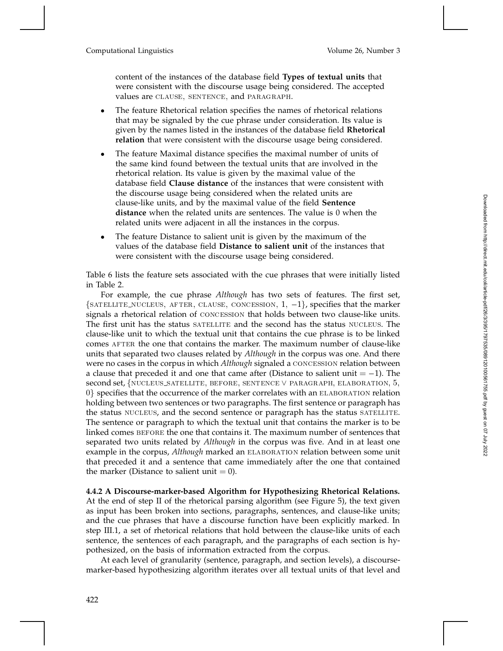content of the instances of the database field **Types of textual units** that were consistent with the discourse usage being considered. The accepted values are <code>clause</code>, <code>sentence</code>, and <code>paragraph</code>.

- 0 The feature Rhetorical relation specifies the names of rhetorical relations that may be signaled by the cue phrase under consideration. Its value is given by the names listed in the instances of the database field **Rhetorical relation** that were consistent with the discourse usage being considered.
- 0 The feature Maximal distance specifies the maximal number of units of the same kind found between the textual units that are involved in the rhetorical relation. Its value is given by the maximal value of the database field **Clause distance** of the instances that were consistent with the discourse usage being considered when the related units are clause-like units, and by the maximal value of the field **Sentence distance** when the related units are sentences. The value is 0 when the related units were adjacent in all the instances in the corpus.
- 0 The feature Distance to salient unit is given by the maximum of the values of the database field **Distance to salient unit** of the instances that were consistent with the discourse usage being considered.

Table 6 lists the feature sets associated with the cue phrases that were initially listed in Table 2.

For example, the cue phrase *Although* has two sets of features. The first set,  $\{$ SATELLITE\_NUCLEUS, AFTER, CLAUSE, CONCESSION,  $1, -1\}$ , specifies that the marker signals a rhetorical relation of concession that holds between two clause-like units. The first unit has the status SATELLITE and the second has the status NUCLEUS. The clause-like unit to which the textual unit that contains the cue phrase is to be linked comes AFTER the one that contains the marker. The maximum number of clause-like units that separated two clauses related by *Although* in the corpus was one. And there were no cases in the corpus in which *Although* signaled a concession relation between a clause that preceded it and one that came after (Distance to salient unit  $= -1$ ). The second set, fnucleus satellite, before, sentence \_ paragraph, elaboration, 5, 0} specifies that the occurrence of the marker correlates with an ELABORATION relation holding between two sentences or two paragraphs. The first sentence or paragraph has the status NUCLEUS, and the second sentence or paragraph has the status SATELLITE. The sentence or paragraph to which the textual unit that contains the marker is to be linked comes before the one that contains it. The maximum number of sentences that separated two units related by *Although* in the corpus was five. And in at least one example in the corpus, *Although* marked an ELABORATION relation between some unit that preceded it and a sentence that came immediately after the one that contained the marker (Distance to salient unit  $= 0$ ).

# **4.4.2 A Discourse-marker-based Algorithm for Hypothesizing Rhetorical Relations.** At the end of step II of the rhetorical parsing algorithm (see Figure 5), the text given as input has been broken into sections, paragraphs, sentences, and clause-like units; and the cue phrases that have a discourse function have been explicitly marked. In step III.1, a set of rhetorical relations that hold between the clause-like units of each sentence, the sentences of each paragraph, and the paragraphs of each section is hypothesized, on the basis of information extracted from the corpus.

At each level of granularity (sentence, paragraph, and section levels), a discoursemarker-based hypothesizing algorithm iterates over all textual units of that level and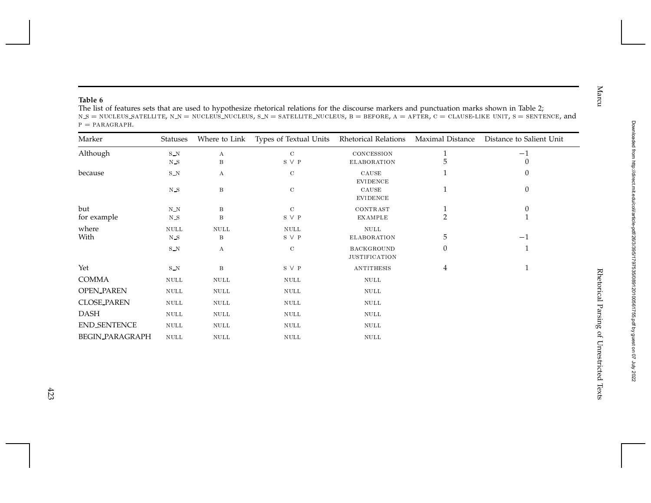| Marker                 | <b>Statuses</b>                   | Where to Link                             | Types of Textual Units    | Rhetorical Relations                      | Maximal Distance            | Distance to Salient Unit |
|------------------------|-----------------------------------|-------------------------------------------|---------------------------|-------------------------------------------|-----------------------------|--------------------------|
| Although               | $\mathbf{S}\_\mathbf{N}$<br>$N_S$ | $\boldsymbol{\mathrm{A}}$<br>$\, {\bf B}$ | $\mathbf C$<br>$S~\vee~P$ | CONCESSION<br>ELABORATION                 | $\mathbf{1}$<br>$\mathbf 5$ | $-1$<br>$\boldsymbol{0}$ |
| because                | $\mathbf{S} \_ \mathbf{N}$        | $\mathbf{A}$                              | $\mathbf C$               | CAUSE<br><b>EVIDENCE</b>                  | 1                           | $\theta$                 |
|                        | $N_S$                             | $\, {\bf B}$                              | $\mathbf C$               | CAUSE<br><b>EVIDENCE</b>                  | $\mathbf{1}$                | $\mathbf{0}$             |
| but                    | $\mathcal{N}\_\mathcal{N}$        | $\, {\bf B}$                              | $\mathbf C$               | CONTRAST                                  | 1                           | 0                        |
| for example            | $N_S$                             | $\mathbf B$                               | $S \vee P$                | <b>EXAMPLE</b>                            | $\overline{2}$              |                          |
| where<br>With          | <b>NULL</b><br>$N_S$              | $\rm NULL$<br>$\, {\bf B}$                | <b>NULL</b><br>$S \vee P$ | $\mathop{\rm NULL}$<br><b>ELABORATION</b> | 5                           | $-1$                     |
|                        | $\mathbf{S} \_ \mathbf{N}$        | $\mathbf{A}$                              | $\mathbf C$               | <b>BACKGROUND</b><br><b>JUSTIFICATION</b> | $\mathbf{0}$                | 1                        |
| Yet                    | $\mathbf{S}\_\mathbf{N}$          | $\, {\bf B}$                              | $S \vee P$                | <b>ANTITHESIS</b>                         | 4                           | $\mathbf{1}$             |
| <b>COMMA</b>           | $\mathop{\rm NULL}$               | $\rm NULL$                                | <b>NULL</b>               | $\mathop{\rm NULL}$                       |                             |                          |
| <b>OPEN_PAREN</b>      | $\rm NULL$                        | $\mathop{\rm NULL}$                       | <b>NULL</b>               | $\mathop{\rm NULL}$                       |                             |                          |
| <b>CLOSE_PAREN</b>     | $\rm NULL$                        | $\mathop{\rm NULL}$                       | <b>NULL</b>               | $\mathop{\rm NULL}$                       |                             |                          |
| <b>DASH</b>            | $\rm NULL$                        | $\mathop{\rm NULL}$                       | <b>NULL</b>               | $\mathop{\rm NULL}$                       |                             |                          |
| <b>END_SENTENCE</b>    | $\rm NULL$                        | $\mathop{\rm NULL}$                       | NULL                      | $\mathop{\rm NULL}$                       |                             |                          |
| <b>BEGIN_PARAGRAPH</b> | $\mathop{\rm NULL}$               | $\mathop{\rm NULL}$                       | <b>NULL</b>               | $\mathop{\rm NULL}$                       |                             |                          |

Downloaded from http://direct.mit.edu/coli/article-pdf/26/3/395/1797535/089120100561755.pdf by guest on 07 July 2022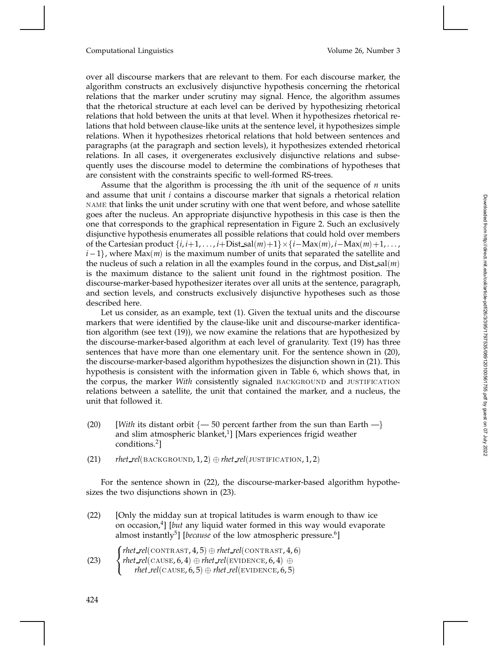over all discourse markers that are relevant to them. For each discourse marker, the algorithm constructs an exclusively disjunctive hypothesis concerning the rhetorical relations that the marker under scrutiny may signal. Hence, the algorithm assumes that the rhetorical structure at each level can be derived by hypothesizing rhetorical relations that hold between the units at that level. When it hypothesizes rhetorical relations that hold between clause-like units at the sentence level, it hypothesizes simple relations. When it hypothesizes rhetorical relations that hold between sentences and paragraphs (at the paragraph and section levels), it hypothesizes extended rhetorical relations. In all cases, it overgenerates exclusively disjunctive relations and subsequently uses the discourse model to determine the combinations of hypotheses that are consistent with the constraints specific to well-formed RS-trees.

Assume that the algorithm is processing the *i*th unit of the sequence of *n* units and assume that unit *i* contains a discourse marker that signals a rhetorical relation name that links the unit under scrutiny with one that went before, and whose satellite goes after the nucleus. An appropriate disjunctive hypothesis in this case is then the one that corresponds to the graphical representation in Figure 2. Such an exclusively disjunctive hypothesis enumerates all possible relations that could hold over members of the Cartesian product  $\{i, i+1, \ldots, i+\text{Dist\_sal}(m)+1\} \times \{i-\text{Max}(m), i-\text{Max}(m)+1, \ldots,$  $i-1$ }, where  $\text{Max}(m)$  is the maximum number of units that separated the satellite and the nucleus of such a relation in all the examples found in the corpus, and Dist sal ( *m*  $\overline{a}$ is the maximum distance to the salient unit found in the rightmost position. The discourse-marker-based hypothesizer iterates over all units at the sentence, paragraph, and section levels, and constructs exclusively disjunctive hypotheses such as those described here.

Let us consider, as an example, text (1). Given the textual units and the discourse markers that were identified by the clause-like unit and discourse-marker identification algorithm (see text (19)), we now examine the relations that are hypothesized by the discourse-marker-based algorithm at each level of granularity. Text (19) has three sentences that have more than one elementary unit. For the sentence shown in (20), the discourse-marker-based algorithm hypothesizes the disjunction shown in (21). This hypothesis is consistent with the information given in Table 6, which shows that, in the corpus, the marker *With* consistently signaled BACKGROUND and JUSTIFICATION relations between a satellite, the unit that contained the marker, and a nucleus, the unit that followed it.

- $(20)$  [*With* its distant orbit  $\{-50\}$  percent farther from the sun than Earth  $\}$ and slim atmospheric blanket, 1] [Mars experiences frigid weather conditions. 2 ]
- (21)  $r$  *rhet\_rel*(background, 1, 2)  $\oplus$  *rhet\_rel*(justification, 1, 2)  $\overline{a}$

For the sentence shown in (22), the discourse-marker-based algorithm hypothesizes the two disjunctions shown in (23).

(22) [Only the midday sun at tropical latitudes is warm enough to thaw ice on occasion, 4] [*but* any liquid water formed in this way would evaporate almost instantly<sup>5</sup>] [because of the low atmospheric pressure.<sup>6</sup>]

(23) 
$$
\begin{cases}\n\text{rhet}\_\text{rel}(\text{CONTRAST},4,5) \oplus \text{rhet}\_\text{rel}(\text{CONTRAST},4,6) \\
\text{rhet}\_\text{rel}(\text{CAUSE},6,4) \oplus \text{rhet}\_\text{rel}(\text{EVIDENCE},6,4) \oplus \\
\text{rhet}\_\text{rel}(\text{CAUSE},6,5) \oplus \text{rhet}\_\text{rel}(\text{EVIDENCE},6,5)\n\end{cases}
$$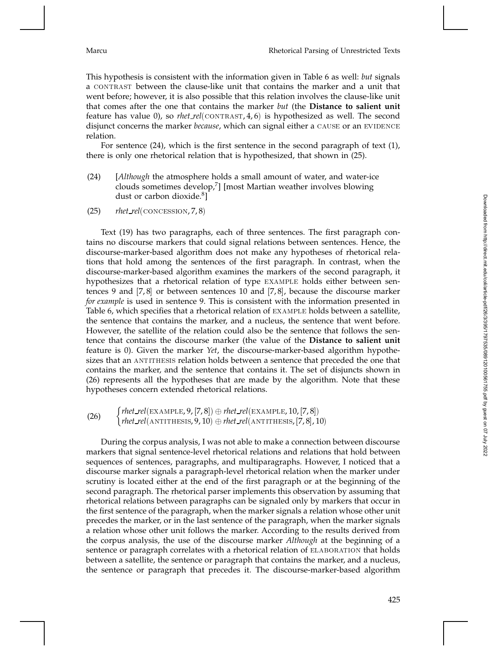#### Marcu **Rhetorical Parsing of Unrestricted Texts**

This hypothesis is consistent with the information given in Table 6 as well: *but* signals a CONTRAST between the clause-like unit that contains the marker and a unit that went before; however, it is also possible that this relation involves the clause-like unit that comes after the one that contains the marker *but* (the **Distance to salient unit** feature has value 0), so *rhet\_rel*(CONTRAST, 4, 6) is hypothesized as well. The second disjunct concerns the marker *because*, which can signal either a CAUSE or an EVIDENCE relation.

For sentence (24), which is the first sentence in the second paragraph of text (1), there is only one rhetorical relation that is hypothesized, that shown in (25).

- (24) [*Although* the atmosphere holds a small amount of water, and water-ice clouds sometimes develop, 7] [most Martian weather involves blowing dust or carbon dioxide.<sup>8</sup>]
- (25) *rhet rel* (concession, 7, 8  $\overline{\phantom{a}}$

Text (19) has two paragraphs, each of three sentences. The first paragraph contains no discourse markers that could signal relations between sentences. Hence, the discourse-marker-based algorithm does not make any hypotheses of rhetorical relations that hold among the sentences of the first paragraph. In contrast, when the discourse-marker-based algorithm examines the markers of the second paragraph, it hypothesizes that a rhetorical relation of type example holds either between sentences 9 and [7, 8] or between sentences 10 and [7, 8], because the discourse marker *for example* is used in sentence 9. This is consistent with the information presented in Table 6, which specifies that a rhetorical relation of EXAMPLE holds between a satellite, the sentence that contains the marker, and a nucleus, the sentence that went before. However, the satellite of the relation could also be the sentence that follows the sentence that contains the discourse marker (the value of the **Distance to salient unit** feature is 0). Given the marker *Yet*, the discourse-marker-based algorithm hypothesizes that an ANTITHESIS relation holds between a sentence that preceded the one that contains the marker, and the sentence that contains it. The set of disjuncts shown in (26) represents all the hypotheses that are made by the algorithm. Note that these hypotheses concern extended rhetorical relations.

(26) 
$$
\begin{cases}\n\text{rhet}\ \text{rel}(\text{EXAMPLE},9,[7,8]) \oplus \text{rhet}\ \text{rel}(\text{EXAMPLE},10,[7,8]) \\
\text{rhet}\ \text{rel}(\text{ANTITHESIS},9,10) \oplus \text{rhet}\ \text{rel}(\text{ANTITHESIS},[7,8],10)\n\end{cases}
$$

During the corpus analysis, I was not able to make a connection between discourse markers that signal sentence-level rhetorical relations and relations that hold between sequences of sentences, paragraphs, and multiparagraphs. However, I noticed that a discourse marker signals a paragraph-level rhetorical relation when the marker under scrutiny is located either at the end of the first paragraph or at the beginning of the second paragraph. The rhetorical parser implements this observation by assuming that rhetorical relations between paragraphs can be signaled only by markers that occur in the first sentence of the paragraph, when the marker signals a relation whose other unit precedes the marker, or in the last sentence of the paragraph, when the marker signals a relation whose other unit follows the marker. According to the results derived from the corpus analysis, the use of the discourse marker *Although* at the beginning of a sentence or paragraph correlates with a rhetorical relation of ELABORATION that holds between a satellite, the sentence or paragraph that contains the marker, and a nucleus, the sentence or paragraph that precedes it. The discourse-marker-based algorithm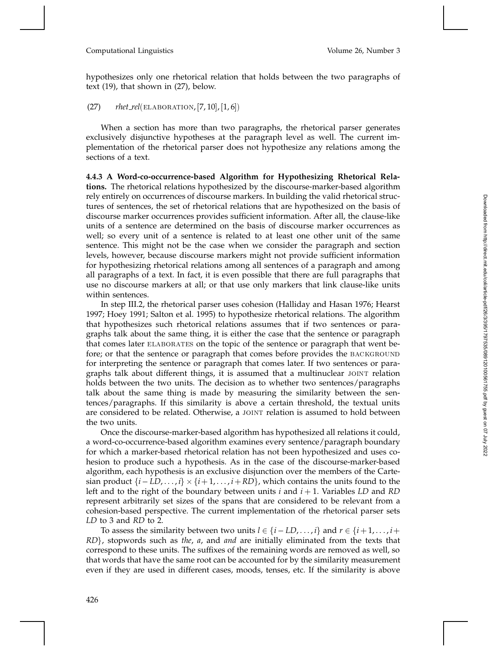hypothesizes only one rhetorical relation that holds between the two paragraphs of text (19), that shown in (27), below.

# (27) *rhet\_rel* (ELABORATION, [7, 10], [1, 6])

When a section has more than two paragraphs, the rhetorical parser generates exclusively disjunctive hypotheses at the paragraph level as well. The current implementation of the rhetorical parser does not hypothesize any relations among the sections of a text.

**4.4.3 A Word-co-occurrence-based Algorithm for Hypothesizing Rhetorical Relations.** The rhetorical relations hypothesized by the discourse-marker-based algorithm rely entirely on occurrences of discourse markers. In building the valid rhetorical structures of sentences, the set of rhetorical relations that are hypothesized on the basis of discourse marker occurrences provides sufficient information. After all, the clause-like units of a sentence are determined on the basis of discourse marker occurrences as well; so every unit of a sentence is related to at least one other unit of the same sentence. This might not be the case when we consider the paragraph and section levels, however, because discourse markers might not provide sufficient information for hypothesizing rhetorical relations among all sentences of a paragraph and among all paragraphs of a text. In fact, it is even possible that there are full paragraphs that use no discourse markers at all; or that use only markers that link clause-like units within sentences.

In step III.2, the rhetorical parser uses cohesion (Halliday and Hasan 1976; Hearst 1997; Hoey 1991; Salton et al. 1995) to hypothesize rhetorical relations. The algorithm that hypothesizes such rhetorical relations assumes that if two sentences or paragraphs talk about the same thing, it is either the case that the sentence or paragraph that comes later ELABORATES on the topic of the sentence or paragraph that went before; or that the sentence or paragraph that comes before provides the BACKGROUND for interpreting the sentence or paragraph that comes later. If two sentences or paragraphs talk about different things, it is assumed that a multinuclear joint relation holds between the two units. The decision as to whether two sentences/paragraphs talk about the same thing is made by measuring the similarity between the sentences/paragraphs. If this similarity is above a certain threshold, the textual units are considered to be related. Otherwise, a JOINT relation is assumed to hold between the two units.

Once the discourse-marker-based algorithm has hypothesized all relations it could, a word-co-occurrence-based algorithm examines every sentence/paragraph boundary for which a marker-based rhetorical relation has not been hypothesized and uses cohesion to produce such a hypothesis. As in the case of the discourse-marker-based algorithm, each hypothesis is an exclusive disjunction over the members of the Cartesian product  $\{i - LD, \ldots, i\} \times \{i + 1, \ldots, i + RD\}$ , which contains the units found to the left and to the right of the boundary between units *i* and *i* <sup>+</sup> 1. Variables *LD* and *RD* represent arbitrarily set sizes of the spans that are considered to be relevant from a cohesion-based perspective. The current implementation of the rhetorical parser sets *LD* to 3 and *RD* to 2.

To assess the similarity between two units  $l \in \{i - LD, \ldots, i\}$  and  $r \in \{i + 1, \ldots, i +$ the contract of the contract of the contract of the contract of the contract of the contract of the contract o *RD*}, stopwords such as *the*, *a*, and *and* are initially eliminated from the texts that correspond to these units. The suffixes of the remaining words are removed as well, so that words that have the same root can be accounted for by the similarity measurement even if they are used in different cases, moods, tenses, etc. If the similarity is above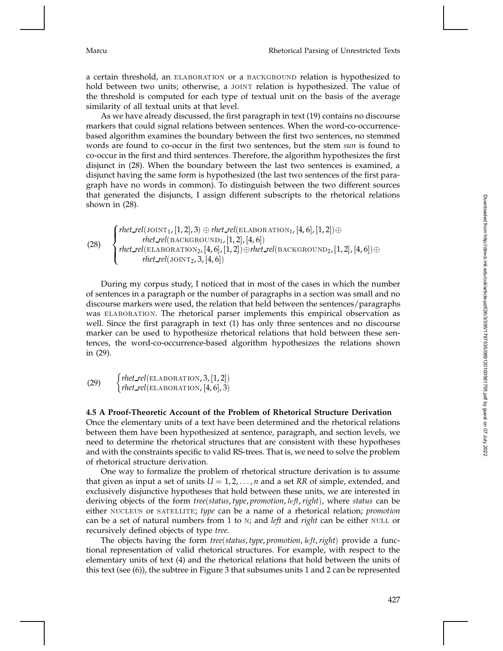a certain threshold, an ELABORATION or a BACKGROUND relation is hypothesized to hold between two units; otherwise, a JOINT relation is hypothesized. The value of the threshold is computed for each type of textual unit on the basis of the average similarity of all textual units at that level.

As we have already discussed, the first paragraph in text (19) contains no discourse markers that could signal relations between sentences. When the word-co-occurrencebased algorithm examines the boundary between the first two sentences, no stemmed words are found to co-occur in the first two sentences, but the stem *sun* is found to co-occur in the first and third sentences. Therefore, the algorithm hypothesizes the first disjunct in (28). When the boundary between the last two sentences is examined, a disjunct having the same form is hypothesized (the last two sentences of the first paragraph have no words in common). To distinguish between the two different sources that generated the disjuncts, I assign different subscripts to the rhetorical relations shown in (28).

(28) 
$$
\begin{cases}\n\text{fhet-rel}(\text{JOINT}_1, [1,2], 3) \oplus \text{rhet} \text{rel}(\text{ELABORATION}_1, [4,6], [1,2]) \oplus \\
\text{rhet} \text{rel}(\text{BACKGROWND}_1, [1,2], [4,6]) \\
\text{rhet} \text{rel}(\text{ELABORATION}_2, [4,6], [1,2]) \oplus \text{rhet} \text{rel}(\text{BACKGROWND}_2, [1,2], [4,6]) \oplus \\
\text{rhet} \text{rel}(\text{JOINT}_2, 3, [4,6])\n\end{cases}
$$

During my corpus study, I noticed that in most of the cases in which the number of sentences in a paragraph or the number of paragraphs in a section was small and no discourse markers were used, the relation that held between the sentences/paragraphs was ELABORATION. The rhetorical parser implements this empirical observation as well. Since the first paragraph in text (1) has only three sentences and no discourse marker can be used to hypothesize rhetorical relations that hold between these sentences, the word-co-occurrence-based algorithm hypothesizes the relations shown in (29).

(29)  $\int$ *rhet\_rel*(ELABORATION, 3, [1, 2]) *rhet \_rel* (ELABORATION, [4, 6], 3)  $\overline{a}$ 

# **4.5 A Proof-Theoretic Account of the Problem of Rhetorical Structure Derivation**

Once the elementary units of a text have been determined and the rhetorical relations between them have been hypothesized at sentence, paragraph, and section levels, we need to determine the rhetorical structures that are consistent with these hypotheses and with the constraints specific to valid RS-trees. That is, we need to solve the problem of rhetorical structure derivation.

One way to formalize the problem of rhetorical structure derivation is to assume that given as input a set of units  $U = 1, 2, \ldots, n$  and a set RR of simple, extended, and exclusively disjunctive hypotheses that hold between these units, we are interested in deriving objects of the form *tree* (*status* , *type* , *promotion* , left ,*right* ), where *status* can be either nucleus or satellite ; *type* can be a name of a rhetorical relation; *promotion* can be a set of natural numbers from 1 to <sup>n</sup>; and *left* and *right* can be either null or recursively defined objects of type *tree* .

The objects having the form *tree* (*status* , *type* , *promotion* , left ,*right* ) provide a functional representation of valid rhetorical structures. For example, with respect to the elementary units of text (4) and the rhetorical relations that hold between the units of this text (see (6)), the subtree in Figure 3 that subsumes units 1 and 2 can be represented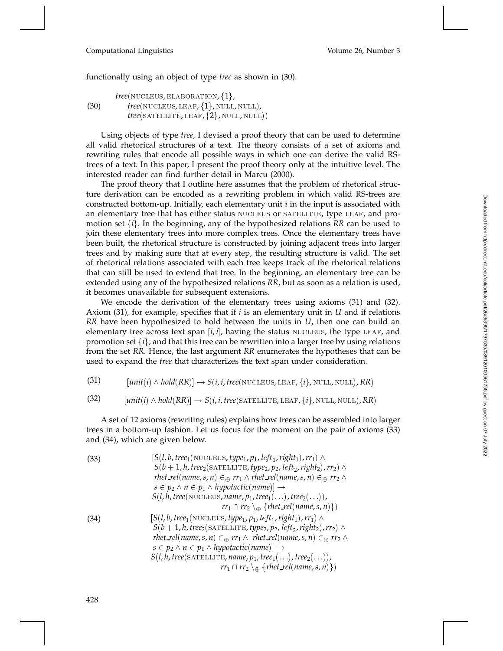functionally using an object of type *tree* as shown in (30).

(30) *tree* (NUCLEUS*,* ELABORATION*,*  $\{1\}$ *,*  $\}$ , *tree* (NUCLEUS, LEAF,  $\{1\}$ , NULL, NULL),  $\blacksquare$ *tree* (SATELLITE, LEAF, {2}, NULL, NULL))

Using objects of type *tree*, I devised a proof theory that can be used to determine all valid rhetorical structures of a text. The theory consists of a set of axioms and rewriting rules that encode all possible ways in which one can derive the valid RStrees of a text. In this paper, I present the proof theory only at the intuitive level. The interested reader can find further detail in Marcu (2000).

The proof theory that I outline here assumes that the problem of rhetorical structure derivation can be encoded as a rewriting problem in which valid RS-trees are constructed bottom-up. Initially, each elementary unit *i* in the input is associated with an elementary tree that has either status NUCLEUS or SATELLITE, type LEAF, and promotion set  $\{i\}$ . In the beginning, any of the hypothesized relations *RR* can be used to join these elementary trees into more complex trees. Once the elementary trees have been built, the rhetorical structure is constructed by joining adjacent trees into larger trees and by making sure that at every step, the resulting structure is valid. The set of rhetorical relations associated with each tree keeps track of the rhetorical relations that can still be used to extend that tree. In the beginning, an elementary tree can be extended using any of the hypothesized relations *RR*, but as soon as a relation is used, it becomes unavailable for subsequent extensions.

We encode the derivation of the elementary trees using axioms (31) and (32). Axiom (31), for example, specifies that if *i* is an elementary unit in *U* and if relations *RR* have been hypothesized to hold between the units in *U*, then one can build an elementary tree across text span [*i*, *i*], having the status NUCLEUS, the type LEAF, and promotion set  $\{i\}$ ; and that this tree can be rewritten into a larger tree by using relations from the set *RR*. Hence, the last argument *RR* enumerates the hypotheses that can be used to expand the *tree* that characterizes the text span under consideration.

(31)  $[unit(i) \land hold(RR)] \rightarrow S(i,i,tree(\texttt{NUCLEUS,LEAF},\{i\},\texttt{NULL},\texttt{NULL}),RR)$  $\overline{a}$ 

(32)  $[unit(i) \wedge hold(RR)] \rightarrow S(i,i,tree(\texttt{STATELLITE,LEAF},\{i\},\texttt{NULL},\texttt{NULL}),RR)$  $\overline{a}$ 

A set of 12 axioms (rewriting rules) explains how trees can be assembled into larger trees in a bottom-up fashion. Let us focus for the moment on the pair of axioms (33) and (34), which are given below.

(33) 
$$
S(l,b, tree_1(\text{NUCLEUS}, type_1, p_1, left_1, right_1), rr_1) \wedge
$$

$$
S(b+1,h, tree_2(\text{STATELITE}, type_2, p_2, left_2, right_2), rr_2) \wedge
$$

$$
rhet\_rel(name, s, n) \in \biguplus rr_1 \wedge rhet\_rel(name, s, n) \in \biguplus rr_2 \wedge
$$

$$
s \in p_2 \wedge n \in p_1 \wedge hypotactic(name)] \rightarrow
$$

$$
S(l, h, tree(\text{NUCLEUS}, name, p_1, tree_1(\ldots), tree_2(\ldots)),
$$

$$
rr_1 \cap rr_2 \setminus \biguplus \{ rhet\_rel(name, s, n) \})
$$

$$
[S(l, b, tree_1(\text{NUCLEUS}, type_1, p_1, left_1, right_1), rr_1) \wedge
$$

$$
S(b+1, h, tree_2(\text{STATELITE}, type_2, p_2, left_2, right_2), rr_2) \wedge
$$

$$
rhet\_rel(name, s, n) \in \biguplus rr_1 \wedge rhet\_rel(name, s, n) \in \biguplus rr_2 \wedge
$$

$$
s \in p_2 \wedge n \in p_1 \wedge hypotactic(name)] \rightarrow
$$

$$
S(l, h, tree(\text{STATELITE}, name, p_1, tree_1(\ldots), tree_2(\ldots)),
$$

$$
rr_1 \cap rr_2 \setminus \biguplus \{ rhet\_rel(name, s, n) \})
$$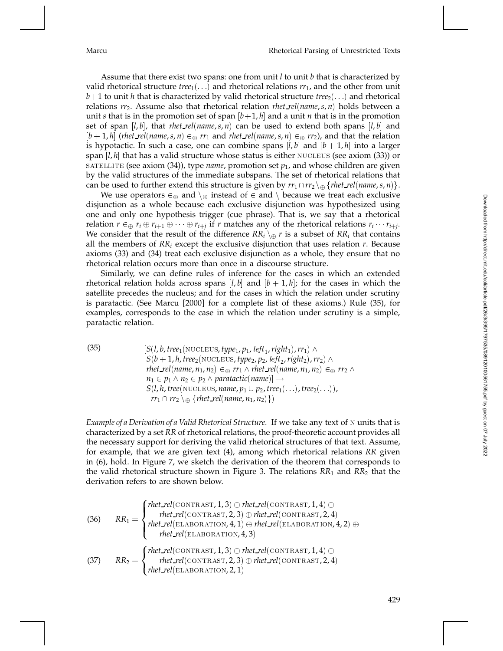Assume that there exist two spans: one from unit *l* to unit *b* that is characterized by valid rhetorical structure *tree*<sub>1</sub>( $\dots$ ) and rhetorical relations  $rr_1$ , and the other from unit  $b+1$  to unit h that is characterized by valid rhetorical structure  $\mathit{tree}_2(\ldots)$  and rhetorical relations *rr* 2. Assume also that rhetorical relation *rhet rel* (*name* , *s* , *n* ) holds between a unit *s* that is in the promotion set of span  $[b+1,h]$  and a unit *n* that is in the promotion set of span [*l*, *b*], that *rhet\_rel*(*name*, s, *n*) can be used to extend both spans [*l*, *b*] and  $[b+1,h]$  (*rhet\_rel*(*name*, *s*, *n*)  $\in_{\oplus}$  *rr*<sub>1</sub> and *rhet\_rel*(*name*, *s*, *n*)  $\in_{\oplus}$  *rr*<sub>2</sub>), and that the relation is hypotactic. In such a case, one can combine spans  $[l,b]$  and  $[b+1,h]$  into a larger span [ $l,h$ ] that has a valid structure whose status is either <code>NUCLEUS</code> (see axiom (33)) or  $\text{SATELLITE}$  (see axiom (34)), type *name*, promotion set  $p_1$ , and whose children are given by the valid structures of the immediate subspans. The set of rhetorical relations that can be used to further extend this structure is given by  $rr_1 \cap rr_2 \setminus_{\oplus} \{ \textit{thet\_rel}(\textit{name},s,n) \}.$  $\}$ .

We use operators  $\in_{\oplus}$  and  $\setminus_{\oplus}$  instead of  $\in$  and  $\setminus$  because we treat each exclusive disjunction as a whole because each exclusive disjunction was hypothesized using one and only one hypothesis trigger (cue phrase). That is, we say that a rhetorical relation  $r \in_{\oplus} r_i \oplus r_{i+1} \oplus \cdots \oplus r_{i+j}$  if  $r$  matches any of the rhetorical relations  $r_i \cdots r_{i+j}$ . <sup>+</sup> We consider that the result of the difference  $RR_i \setminus_{\oplus} r$  is a subset of  $RR_i$  that contains all the members of *RR <sup>i</sup>* except the exclusive disjunction that uses relation *r*. Because axioms (33) and (34) treat each exclusive disjunction as a whole, they ensure that no rhetorical relation occurs more than once in a discourse structure.

Similarly, we can define rules of inference for the cases in which an extended rhetorical relation holds across spans  $[l, b]$  and  $[b + 1, h]$ ; for the cases in which the satellite precedes the nucleus; and for the cases in which the relation under scrutiny is paratactic. (See Marcu [2000] for a complete list of these axioms.) Rule (35), for examples, corresponds to the case in which the relation under scrutiny is a simple, paratactic relation.

(35)  $[S(l,b,tree_1(\text{\tiny NUCLEUS},type_1,p_1,left_1,right_1),rr_1) \wedge$  $\wedge$   $\qquad \qquad$  $S(b+1,h,\textit{tree}_2(\textsc{NUCLEUS},\textit{type}_2,\textit{p}_2,\textit{left}_2,\textit{right}_2),\textit{rr}_2) \wedge$  $\wedge$   $\qquad \qquad$ rhet\_rel(name,  $n_1$ ,  $n_2$ )  $\in$   $\oplus$   $rr_1 \wedge$  rhet\_rel(name,  $n_1$ ,  $n_2$ )  $\in$   $\oplus$   $rr_2 \wedge$  $\wedge$  . The contract of  $\wedge$  $n_1 \in p_1 \land n_2 \in p_2 \land \text{paratactic}(\textit{name})] \rightarrow$  $S(l,h,\textit{tree}(\textsc{nucleus},\textit{name},p_1 \cup p_2,\textit{tree}_1(\dots),\textit{tree}_2(\dots)),$  $rr_1 \cap rr_2 \setminus_{\oplus} \{ \text{rhet\_rel}(\textit{name}, n_1, n_2) \})$  $\})$  $\overline{a}$  ) and  $\overline{a}$  and  $\overline{a}$  and  $\overline{a}$  and  $\overline{a}$  and  $\overline{a}$  and  $\overline{a}$  and  $\overline{a}$  and  $\overline{a}$  and  $\overline{a}$  and  $\overline{a}$  and  $\overline{a}$  and  $\overline{a}$  and  $\overline{a}$  and  $\overline{a}$  and  $\overline{a}$  and  $\overline{a}$  an

*Example of a Derivation of a Valid Rhetorical Structure.* If we take any text of n units that is characterized by a set *RR* of rhetorical relations, the proof-theoretic account provides all the necessary support for deriving the valid rhetorical structures of that text. Assume, for example, that we are given text (4), among which rhetorical relations *RR* given in (6), hold. In Figure 7, we sketch the derivation of the theorem that corresponds to the valid rhetorical structure shown in Figure 3. The relations *RR* <sup>1</sup> and *RR* <sup>2</sup> that the derivation refers to are shown below.

(36) 
$$
RR_{1} = \begin{cases} \ntheta_{rel} = (1.3) + \theta_{rel} = (1.3) + \theta_{rel} = 1.44 \text{ m}^{2} \text{ m}^{2} \text{ m}^{2} \text{ m}^{2} \text{ m}^{2} \text{ m}^{2} \text{ m}^{2} \text{ m}^{2} \text{ m}^{2} \text{ m}^{2} \text{ m}^{2} \text{ m}^{2} \text{ m}^{2} \text{ m}^{2} \text{ m}^{2} \text{ m}^{2} \text{ m}^{2} \text{ m}^{2} \text{ m}^{2} \text{ m}^{2} \text{ m}^{2} \text{ m}^{2} \text{ m}^{2} \text{ m}^{2} \text{ m}^{2} \text{ m}^{2} \text{ m}^{2} \text{ m}^{2} \text{ m}^{2} \text{ m}^{2} \text{ m}^{2} \text{ m}^{2} \text{ m}^{2} \text{ m}^{2} \text{ m}^{2} \text{ m}^{2} \text{ m}^{2} \text{ m}^{2} \text{ m}^{2} \text{ m}^{2} \text{ m}^{2} \text{ m}^{2} \text{ m}^{2} \text{ m}^{2} \text{ m}^{2} \text{ m}^{2} \text{ m}^{2} \text{ m}^{2} \text{ m}^{2} \text{ m}^{2} \text{ m}^{2} \text{ m}^{2} \text{ m}^{2} \text{ m}^{2} \text{ m}^{2} \text{ m}^{2} \text{ m}^{2} \text{ m}^{2} \text{ m}^{2} \text{ m}^{2} \text{ m}^{2} \text{ m}^{2} \text{ m}^{2} \text{ m}^{2} \text{ m}^{2} \text{ m}^{2} \text{ m}^{2} \text{ m}^{2} \text{ m}^{2} \text{ m}^{2} \text{ m}^{2} \text{ m}^{2} \text{ m}^{2} \text{ m}^{2} \text{ m}^{2} \text{ m}^{2} \text{ m}^{2} \text{ m}^{2} \text{ m}^{2} \text{ m}^{2} \text{ m}^{2} \text{ m}^{2} \text{ m}^{2} \text{ m}^{2} \text{ m}^{2} \text{ m}^{2} \text{ m}^{2} \text{ m}^{2} \text{ m}
$$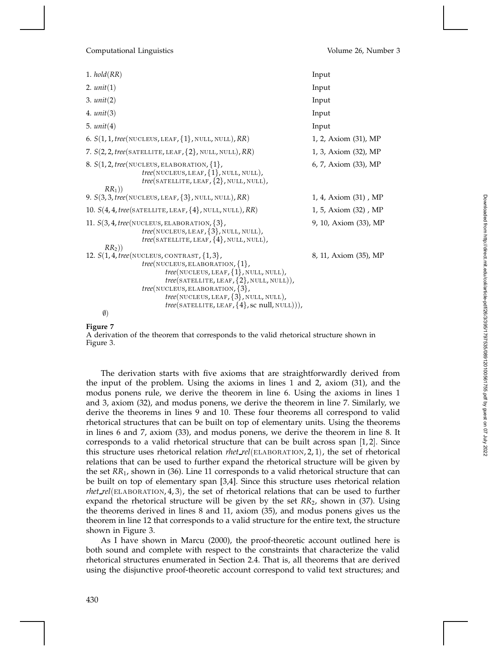| 1. $hold(RR)$                                                                                                                                                                                                                                                                                                                                                            | Input                 |
|--------------------------------------------------------------------------------------------------------------------------------------------------------------------------------------------------------------------------------------------------------------------------------------------------------------------------------------------------------------------------|-----------------------|
| 2. $unit(1)$                                                                                                                                                                                                                                                                                                                                                             | Input                 |
| 3. $unit(2)$                                                                                                                                                                                                                                                                                                                                                             | Input                 |
| 4. $unit(3)$                                                                                                                                                                                                                                                                                                                                                             | Input                 |
| 5. $unit(4)$                                                                                                                                                                                                                                                                                                                                                             | Input                 |
| 6. $S(1, 1, tree(\text{NUCEUS, LEAF}, \{1\}, \text{NULL}, \text{NULL}), RR)$                                                                                                                                                                                                                                                                                             | 1, 2, Axiom (31), MP  |
| 7. $S(2, 2, tree(\text{SATELLITE, LEAF}, \{2\}, \text{NULL}, \text{NULL}), RR)$                                                                                                                                                                                                                                                                                          | 1, 3, Axiom (32), MP  |
| 8. $S(1, 2, tree(\text{NUCEUS, ELABORATION}, \{1\},$<br>$tree(NUCLEUS, LEAF, {1}, NULL, NULL),$<br>tree(SATELLITE, LEAF, {2}, NULL, NULL),                                                                                                                                                                                                                               | 6, 7, Axiom (33), MP  |
| $RR_1)$<br>9. $S(3,3,tree(NUCLEUS,LEAF, {3}, NULL, NULL), RR)$                                                                                                                                                                                                                                                                                                           | 1, 4, Axiom (31), MP  |
| 10. $S(4, 4, tree(\text{SATELLITE}, \text{LEAF}, \{4\}, \text{NULL}, \text{NULL}), RR)$                                                                                                                                                                                                                                                                                  | 1, 5, Axiom (32), MP  |
| 11. $S(3, 4, tree(\text{NULEUS}, \text{ELABORATION}, \{3\}, \text{III})$<br>$tree(NUCLEUS, LEAF, {3}, NULL, NULL),$<br>$tree(SATELLITE, LEAF, {4}, NULL, NULL),$                                                                                                                                                                                                         | 9, 10, Axiom (33), MP |
| $RR_{2})$<br>12. S(1, 4, tree(NUCLEUS, CONTRAST, {1, 3},<br>tree(NUCLEUS, ELABORATION, {1},<br>$tree(\text{NUCLEUS}, \text{LEAF}, \{1\}, \text{NULL}, \text{NULL}),$<br>$tree(SATELLITE, LEAF, {2}, NULL, NULL)),$<br>$tree($ NUCLEUS, ELABORATION, $\{3\}$ ,<br>tree(NUCLEUS, LEAF, {3}, NULL, NULL),<br>$tree(SATELLITE, LEAF, {4}, sc null, NULL)),$<br>$\emptyset$ ) | 8, 11, Axiom (35), MP |
|                                                                                                                                                                                                                                                                                                                                                                          |                       |

**Figure 7**

A derivation of the theorem that corresponds to the valid rhetorical structure shown in Figure 3.

The derivation starts with five axioms that are straightforwardly derived from the input of the problem. Using the axioms in lines 1 and 2, axiom (31), and the modus ponens rule, we derive the theorem in line 6. Using the axioms in lines 1 and 3, axiom (32), and modus ponens, we derive the theorem in line 7. Similarly, we derive the theorems in lines 9 and 10. These four theorems all correspond to valid rhetorical structures that can be built on top of elementary units. Using the theorems in lines 6 and 7, axiom (33), and modus ponens, we derive the theorem in line 8. It corresponds to a valid rhetorical structure that can be built across span [1, 2 ]. Since this structure uses rhetorical relation *rhet\_rel*(ELABORATION, 2, 1), the set of rhetorical relations that can be used to further expand the rhetorical structure will be given by the set *RR* 1, shown in (36). Line 11 corresponds to a valid rhetorical structure that can be built on top of elementary span [3,4]. Since this structure uses rhetorical relation *rhet\_rel*(ELABORATION, 4, 3), the set of rhetorical relations that can be used to further expand the rhetorical structure will be given by the set *RR* 2, shown in (37). Using the theorems derived in lines 8 and 11, axiom (35), and modus ponens gives us the theorem in line 12 that corresponds to a valid structure for the entire text, the structure shown in Figure 3.

As I have shown in Marcu (2000), the proof-theoretic account outlined here is both sound and complete with respect to the constraints that characterize the valid rhetorical structures enumerated in Section 2.4. That is, all theorems that are derived using the disjunctive proof-theoretic account correspond to valid text structures; and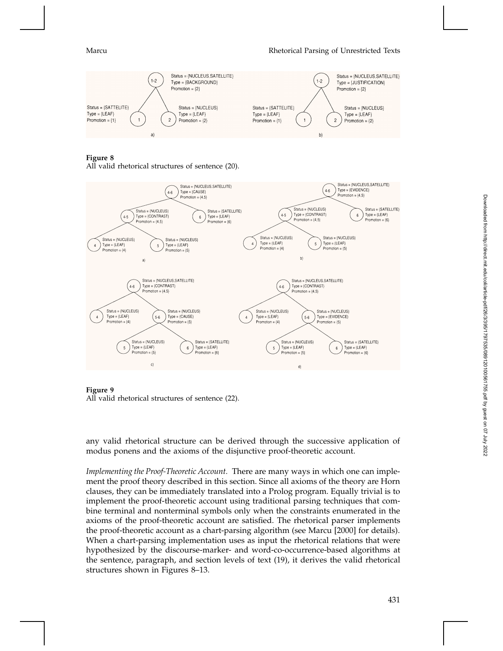#### Marcu Rhetorical Parsing of Unrestricted Texts Status = {NUCLEUS, SATELLITE} Status = {NUCLEUS, SATELLITE}  $1-2$  $Type = { \n **BACKGRODUCTIOND }**$  $1-2$ Type = {JUSTIFICATION} Promotion =  $\{2\}$ Promotion =  ${2}$ Status = {SATTELITE} Status = {NUCLEUS} Status = {SATTELITE} Status = {NUCLEUS}  $Type = \{LEAF\}$  $Type = \{LEAF\}$  $Type = \{LEAF\}$  $Type = \{LEAF\}$  $\overline{1}$  $\overline{c}$  $\mathbf{1}$  $\overline{c}$ Promotion =  ${1}$ Promotion =  $\{2\}$ Promotion =  $(1)$ Promotion =  ${2}$

b)

# **Figure 8**

All valid rhetorical structures of sentence (20).

 $a)$ 



**Figure 9** All valid rhetorical structures of sentence (22).

any valid rhetorical structure can be derived through the successive application of modus ponens and the axioms of the disjunctive proof-theoretic account.

*Implementing the Proof-Theoretic Account.* There are many ways in which one can implement the proof theory described in this section. Since all axioms of the theory are Horn clauses, they can be immediately translated into a Prolog program. Equally trivial is to implement the proof-theoretic account using traditional parsing techniques that combine terminal and nonterminal symbols only when the constraints enumerated in the axioms of the proof-theoretic account are satisfied. The rhetorical parser implements the proof-theoretic account as a chart-parsing algorithm (see Marcu [2000] for details). When a chart-parsing implementation uses as input the rhetorical relations that were hypothesized by the discourse-marker- and word-co-occurrence-based algorithms at the sentence, paragraph, and section levels of text (19), it derives the valid rhetorical structures shown in Figures 8–13.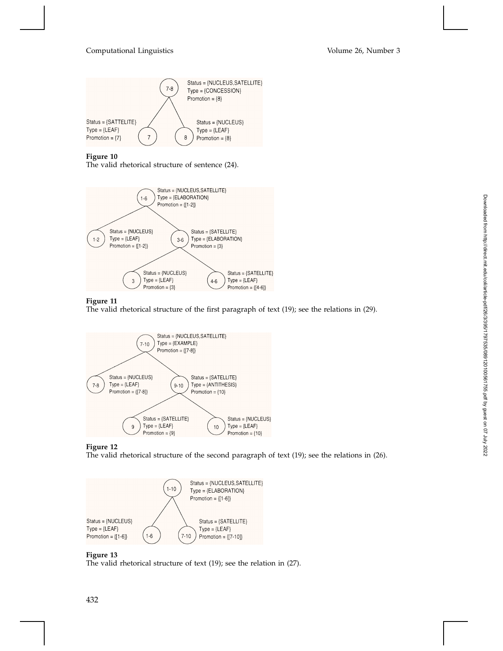



The valid rhetorical structure of sentence (24).



### **Figure 11**

The valid rhetorical structure of the first paragraph of text (19); see the relations in (29).



# **Figure 12**

The valid rhetorical structure of the second paragraph of text (19); see the relations in (26).



#### **Figure 13**

The valid rhetorical structure of text (19); see the relation in (27).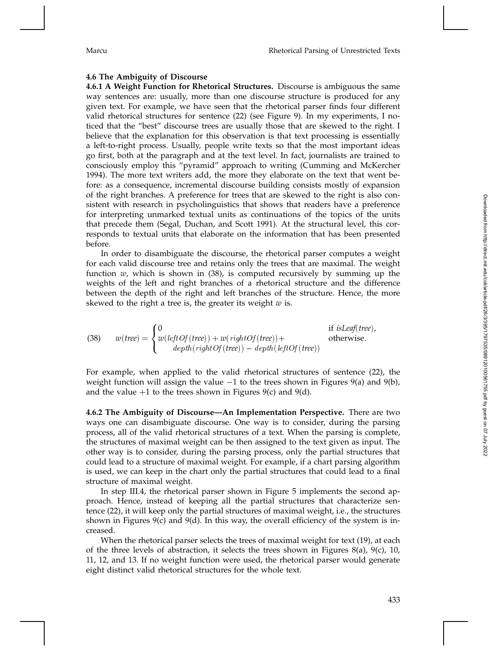# **4.6 The Ambiguity of Discourse**

**4.6.1 A Weight Function for Rhetorical Structures.** Discourse is ambiguous the same way sentences are: usually, more than one discourse structure is produced for any given text. For example, we have seen that the rhetorical parser finds four different valid rhetorical structures for sentence (22) (see Figure 9). In my experiments, I noticed that the "best" discourse trees are usually those that are skewed to the right. I believe that the explanation for this observation is that text processing is essentially a left-to-right process. Usually, people write texts so that the most important ideas go first, both at the paragraph and at the text level. In fact, journalists are trained to consciously employ this "pyramid" approach to writing (Cumming and McKercher 1994). The more text writers add, the more they elaborate on the text that went before: as a consequence, incremental discourse building consists mostly of expansion of the right branches. A preference for trees that are skewed to the right is also consistent with research in psycholinguistics that shows that readers have a preference for interpreting unmarked textual units as continuations of the topics of the units that precede them (Segal, Duchan, and Scott 1991). At the structural level, this corresponds to textual units that elaborate on the information that has been presented before.

In order to disambiguate the discourse, the rhetorical parser computes a weight for each valid discourse tree and retains only the trees that are maximal. The weight function *w*, which is shown in (38), is computed recursively by summing up the weights of the left and right branches of a rhetorical structure and the difference between the depth of the right and left branches of the structure. Hence, the more skewed to the right a tree is, the greater its weight *w* is.

(38)  $w(tree) = \begin{cases} 0 & \text{if } isLeaf(tree) \\ w(leftOf(tree)) + w(rightOf(tree)) + \\ & \text{otherwise.} \end{cases}$ ) ,  $w(leftOf(tree)) + w(rightOf(tree)) +$  otherwise. depth(rightOf (*tree*)) depth(leftOf (*tree*))

For example, when applied to the valid rhetorical structures of sentence (22), the weight function will assign the value  $-1$  to the trees shown in Figures 9(a) and 9(b), and the value <sup>+</sup>1 to the trees shown in Figures 9(c) and 9(d).

**4.6.2 The Ambiguity of Discourse—An Implementation Perspective.** There are two ways one can disambiguate discourse. One way is to consider, during the parsing process, all of the valid rhetorical structures of a text. When the parsing is complete, the structures of maximal weight can be then assigned to the text given as input. The other way is to consider, during the parsing process, only the partial structures that could lead to a structure of maximal weight. For example, if a chart parsing algorithm is used, we can keep in the chart only the partial structures that could lead to a final structure of maximal weight.

In step III.4, the rhetorical parser shown in Figure 5 implements the second approach. Hence, instead of keeping all the partial structures that characterize sentence (22), it will keep only the partial structures of maximal weight, i.e., the structures shown in Figures 9(c) and 9(d). In this way, the overall efficiency of the system is increased.

When the rhetorical parser selects the trees of maximal weight for text (19), at each of the three levels of abstraction, it selects the trees shown in Figures  $8(a)$ ,  $9(c)$ ,  $10$ , 11, 12, and 13. If no weight function were used, the rhetorical parser would generate eight distinct valid rhetorical structures for the whole text.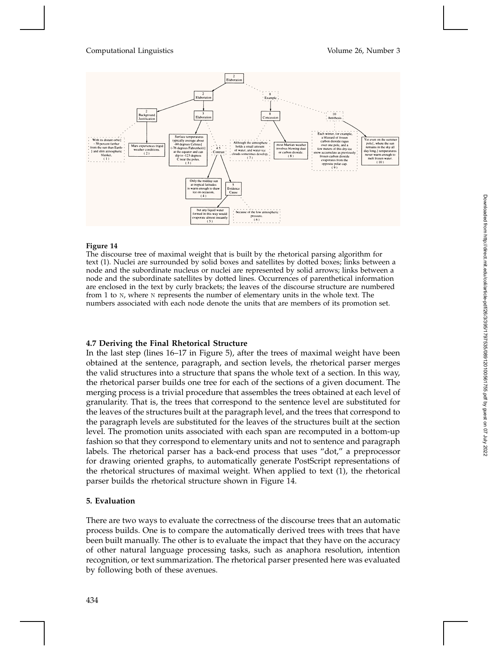

### **Figure 14**

The discourse tree of maximal weight that is built by the rhetorical parsing algorithm for text (1). Nuclei are surrounded by solid boxes and satellites by dotted boxes; links between a node and the subordinate nucleus or nuclei are represented by solid arrows; links between a node and the subordinate satellites by dotted lines. Occurrences of parenthetical information are enclosed in the text by curly brackets; the leaves of the discourse structure are numbered from 1 to <sup>n</sup>, where <sup>n</sup> represents the number of elementary units in the whole text. The numbers associated with each node denote the units that are members of its promotion set.

# **4.7 Deriving the Final Rhetorical Structure**

In the last step (lines 16–17 in Figure 5), after the trees of maximal weight have been obtained at the sentence, paragraph, and section levels, the rhetorical parser merges the valid structures into a structure that spans the whole text of a section. In this way, the rhetorical parser builds one tree for each of the sections of a given document. The merging process is a trivial procedure that assembles the trees obtained at each level of granularity. That is, the trees that correspond to the sentence level are substituted for the leaves of the structures built at the paragraph level, and the trees that correspond to the paragraph levels are substituted for the leaves of the structures built at the section level. The promotion units associated with each span are recomputed in a bottom-up fashion so that they correspond to elementary units and not to sentence and paragraph labels. The rhetorical parser has a back-end process that uses "dot," a preprocessor for drawing oriented graphs, to automatically generate PostScript representations of the rhetorical structures of maximal weight. When applied to text (1), the rhetorical parser builds the rhetorical structure shown in Figure 14.

### **5. Evaluation**

There are two ways to evaluate the correctness of the discourse trees that an automatic process builds. One is to compare the automatically derived trees with trees that have been built manually. The other is to evaluate the impact that they have on the accuracy of other natural language processing tasks, such as anaphora resolution, intention recognition, or text summarization. The rhetorical parser presented here was evaluated by following both of these avenues.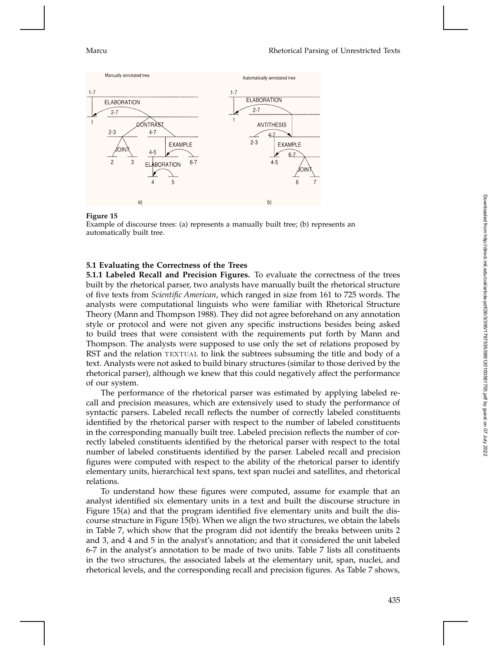#### Marcu Rhetorical Parsing of Unrestricted Texts





# **Figure 15**

Example of discourse trees: (a) represents a manually built tree; (b) represents an automatically built tree.

# **5.1 Evaluating the Correctness of the Trees**

**5.1.1 Labeled Recall and Precision Figures.** To evaluate the correctness of the trees built by the rhetorical parser, two analysts have manually built the rhetorical structure of five texts from *Scientific American*, which ranged in size from 161 to 725 words. The analysts were computational linguists who were familiar with Rhetorical Structure Theory (Mann and Thompson 1988). They did not agree beforehand on any annotation style or protocol and were not given any specific instructions besides being asked to build trees that were consistent with the requirements put forth by Mann and Thompson. The analysts were supposed to use only the set of relations proposed by RST and the relation TEXTUAL to link the subtrees subsuming the title and body of a text. Analysts were not asked to build binary structures (similar to those derived by the rhetorical parser), although we knew that this could negatively affect the performance of our system.

The performance of the rhetorical parser was estimated by applying labeled recall and precision measures, which are extensively used to study the performance of syntactic parsers. Labeled recall reflects the number of correctly labeled constituents identified by the rhetorical parser with respect to the number of labeled constituents in the corresponding manually built tree. Labeled precision reflects the number of correctly labeled constituents identified by the rhetorical parser with respect to the total number of labeled constituents identified by the parser. Labeled recall and precision figures were computed with respect to the ability of the rhetorical parser to identify elementary units, hierarchical text spans, text span nuclei and satellites, and rhetorical relations.

To understand how these figures were computed, assume for example that an analyst identified six elementary units in a text and built the discourse structure in Figure 15(a) and that the program identified five elementary units and built the discourse structure in Figure 15(b). When we align the two structures, we obtain the labels in Table 7, which show that the program did not identify the breaks between units 2 and 3, and 4 and 5 in the analyst's annotation; and that it considered the unit labeled 6-7 in the analyst's annotation to be made of two units. Table 7 lists all constituents in the two structures, the associated labels at the elementary unit, span, nuclei, and rhetorical levels, and the corresponding recall and precision figures. As Table 7 shows,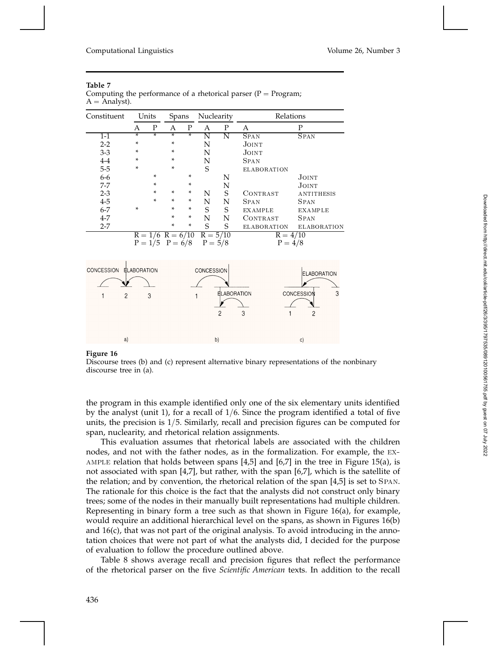| Constituent     | Units                                         |           | Spans                |             | Nuclearity |                                      |                   | Relations                                               |  |  |  |  |
|-----------------|-----------------------------------------------|-----------|----------------------|-------------|------------|--------------------------------------|-------------------|---------------------------------------------------------|--|--|--|--|
|                 | A                                             | ${\bf P}$ | A                    | $\mathbf P$ | A          | $\mathbf P$                          | A                 | $\mathbf{P}$                                            |  |  |  |  |
| $1 - 1$         | *                                             | $\ast$    | $\ast$               | *           | N          | N                                    | <b>SPAN</b>       | <b>SPAN</b>                                             |  |  |  |  |
| $2 - 2$         | *                                             |           | *                    |             | N          |                                      | JOINT             |                                                         |  |  |  |  |
| $3 - 3$         | *                                             |           | *                    |             | N          |                                      | JOINT             |                                                         |  |  |  |  |
| $4-4$           | *                                             |           | *                    |             | N          |                                      | <b>SPAN</b>       |                                                         |  |  |  |  |
| $5 - 5$         | *                                             |           | *                    |             | S          |                                      | ELABORATION       |                                                         |  |  |  |  |
| $6 - 6$         |                                               | *         |                      | *           |            | N                                    |                   | JOINT                                                   |  |  |  |  |
| $7 - 7$         |                                               | *         |                      | *           |            | N                                    |                   | JOINT                                                   |  |  |  |  |
| $2 - 3$         |                                               | *         | *                    | *           | N          | $\mathbf S$                          | CONTRAST          | <b>ANTITHESIS</b>                                       |  |  |  |  |
| $4 - 5$         |                                               | $\ast$    | *                    | *           | N          | N                                    | <b>SPAN</b>       | <b>SPAN</b>                                             |  |  |  |  |
| $6 - 7$         | *                                             |           | *                    | *           | S          | S                                    | <b>EXAMPLE</b>    | <b>EXAMPLE</b>                                          |  |  |  |  |
| $4 - 7$         |                                               |           | *                    | *           | N          | N                                    | CONTRAST          | <b>SPAN</b>                                             |  |  |  |  |
| $2 - 7$         |                                               |           | *                    | *           | S          | S                                    | ELABORATION       | <b>ELABORATION</b>                                      |  |  |  |  |
|                 |                                               |           | $R = 1/6$ $R = 6/10$ |             | $R = 5/10$ |                                      | $R = 4/10$        |                                                         |  |  |  |  |
|                 |                                               |           | $P = 1/5$ $P = 6/8$  |             | $P = 5/8$  |                                      | $P = 4/8$         |                                                         |  |  |  |  |
| CONCESSION<br>1 | <b>ELABORATION</b><br>$\overline{\mathbf{c}}$ | 3         |                      |             | CONCESSION | <b>ELABORATION</b><br>$\overline{2}$ | 3<br>$\mathbf{1}$ | ELABORATION<br>3<br><b>CONCESSION</b><br>$\overline{c}$ |  |  |  |  |
| a)              |                                               |           |                      |             |            | b)                                   |                   | c)                                                      |  |  |  |  |

**Table 7** Computing the performance of a rhetorical parser ( $P = Program$ ; A <sup>=</sup> Analyst).

#### **Figure 16**

Discourse trees (b) and (c) represent alternative binary representations of the nonbinary discourse tree in (a).

the program in this example identified only one of the six elementary units identified by the analyst (unit 1), for a recall of  $1/6$ . Since the program identified a total of five units, the precision is  $1/5$ . Similarly, recall and precision figures can be computed for span, nuclearity, and rhetorical relation assignments.

This evaluation assumes that rhetorical labels are associated with the children nodes, and not with the father nodes, as in the formalization. For example, the example relation that holds between spans [4,5] and [6,7] in the tree in Figure 15(a), is not associated with span [4,7], but rather, with the span [6,7], which is the satellite of the relation; and by convention, the rhetorical relation of the span [4,5] is set to Span . The rationale for this choice is the fact that the analysts did not construct only binary trees; some of the nodes in their manually built representations had multiple children. Representing in binary form a tree such as that shown in Figure 16(a), for example, would require an additional hierarchical level on the spans, as shown in Figures 16(b) and 16(c), that was not part of the original analysis. To avoid introducing in the annotation choices that were not part of what the analysts did, I decided for the purpose of evaluation to follow the procedure outlined above.

Table 8 shows average recall and precision figures that reflect the performance of the rhetorical parser on the five *Scientific American* texts. In addition to the recall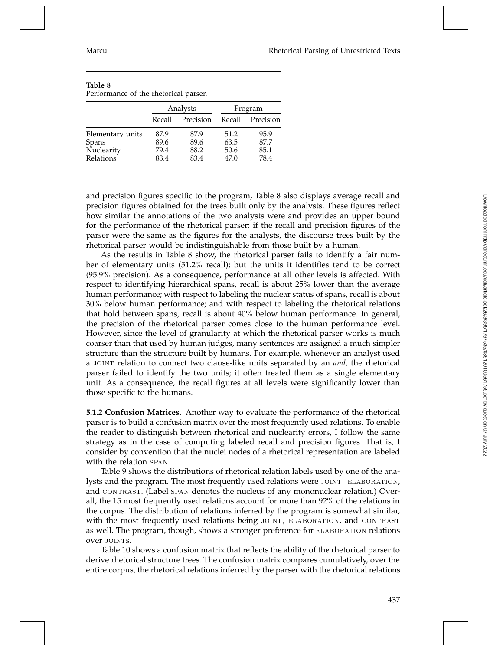# Marcu **Marcu Rhetorical Parsing of Unrestricted Texts** Rhetorical Parsing of Unrestricted Texts

| Table 8<br>Performance of the rhetorical parser. |        |           |        |           |  |  |  |  |  |  |  |
|--------------------------------------------------|--------|-----------|--------|-----------|--|--|--|--|--|--|--|
|                                                  |        | Analysts  |        | Program   |  |  |  |  |  |  |  |
|                                                  | Recall | Precision | Recall | Precision |  |  |  |  |  |  |  |
| Elementary units                                 | 87.9   | 87.9      | 51.2   | 95.9      |  |  |  |  |  |  |  |
| Spans                                            | 89.6   | 89.6      | 63.5   | 87.7      |  |  |  |  |  |  |  |
| Nuclearity                                       | 79.4   | 88.2      | 50.6   | 85.1      |  |  |  |  |  |  |  |
| Relations                                        | 83.4   | 83.4      | 47.0   | 78.4      |  |  |  |  |  |  |  |

and precision figures specific to the program, Table 8 also displays average recall and precision figures obtained for the trees built only by the analysts. These figures reflect how similar the annotations of the two analysts were and provides an upper bound for the performance of the rhetorical parser: if the recall and precision figures of the parser were the same as the figures for the analysts, the discourse trees built by the rhetorical parser would be indistinguishable from those built by a human.

As the results in Table 8 show, the rhetorical parser fails to identify a fair number of elementary units (51.2% recall); but the units it identifies tend to be correct (95.9% precision). As a consequence, performance at all other levels is affected. With respect to identifying hierarchical spans, recall is about 25% lower than the average human performance; with respect to labeling the nuclear status of spans, recall is about 30% below human performance; and with respect to labeling the rhetorical relations that hold between spans, recall is about 40% below human performance. In general, the precision of the rhetorical parser comes close to the human performance level. However, since the level of granularity at which the rhetorical parser works is much coarser than that used by human judges, many sentences are assigned a much simpler structure than the structure built by humans. For example, whenever an analyst used a joint relation to connect two clause-like units separated by an *and*, the rhetorical parser failed to identify the two units; it often treated them as a single elementary unit. As a consequence, the recall figures at all levels were significantly lower than those specific to the humans.

**5.1.2 Confusion Matrices.** Another way to evaluate the performance of the rhetorical parser is to build a confusion matrix over the most frequently used relations. To enable the reader to distinguish between rhetorical and nuclearity errors, I follow the same strategy as in the case of computing labeled recall and precision figures. That is, I consider by convention that the nuclei nodes of a rhetorical representation are labeled with the relation span.

Table 9 shows the distributions of rhetorical relation labels used by one of the analysts and the program. The most frequently used relations were JOINT, ELABORATION, and CONTRAST. (Label SPAN denotes the nucleus of any mononuclear relation.) Overall, the 15 most frequently used relations account for more than 92% of the relations in the corpus. The distribution of relations inferred by the program is somewhat similar, with the most frequently used relations being JOINT, ELABORATION, and CONTRAST as well. The program, though, shows a stronger preference for ELABORATION relations over JOINTS.

Table 10 shows a confusion matrix that reflects the ability of the rhetorical parser to derive rhetorical structure trees. The confusion matrix compares cumulatively, over the entire corpus, the rhetorical relations inferred by the parser with the rhetorical relations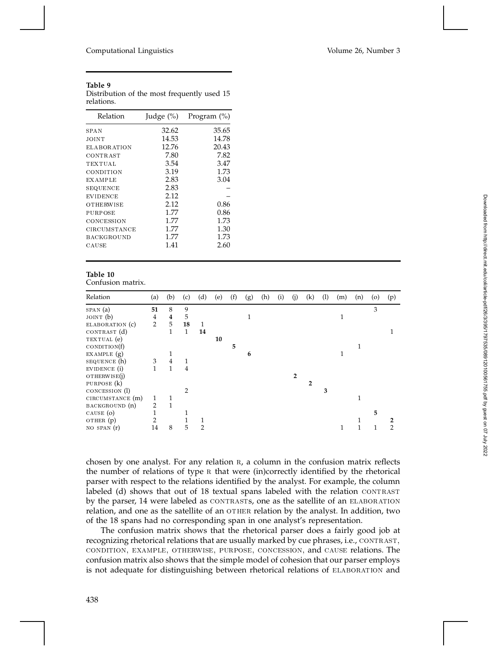### **Table 9**

Distribution of the most frequently used 15 relations.

| Relation          | Judge $(\%)$ | Program $(\%)$ |
|-------------------|--------------|----------------|
| SPAN              | 32.62        | 35.65          |
| JOINT             | 14.53        | 14.78          |
| ELABORATION       | 12.76        | 20.43          |
| CONTRAST          | 7.80         | 7.82           |
| TEXTUAL           | 3.54         | 3.47           |
| CONDITION         | 3.19         | 1.73           |
| <b>EXAMPLE</b>    | 2.83         | 3.04           |
| SEQUENCE          | 2.83         |                |
| <b>EVIDENCE</b>   | 2.12         |                |
| <b>OTHERWISE</b>  | 2.12         | 0.86           |
| PURPOSE           | 1.77         | 0.86           |
| CONCESSION        | 1.77         | 1.73           |
| CIRCUMSTANCE      | 1.77         | 1.30           |
| <b>BACKGROUND</b> | 1.77         | 1.73           |
| CAUSE             | 1.41         | 2.60           |

# **Table 10**

Confusion matrix.

| Relation         | (a)            | (b)          | (c) | (d) | (e) | (f) | (g) | (h) | (i) | (j) | (k) | (1) | (m) | (n) | (0) | (p) |
|------------------|----------------|--------------|-----|-----|-----|-----|-----|-----|-----|-----|-----|-----|-----|-----|-----|-----|
| SPAN(a)          | 51             | 8            | 9   |     |     |     |     |     |     |     |     |     |     |     | 3   |     |
| JOINT (b)        | 4              | 4            | 5   |     |     |     |     |     |     |     |     |     |     |     |     |     |
| ELABORATION (c)  | $\overline{2}$ | 5            | 18  | 1   |     |     |     |     |     |     |     |     |     |     |     |     |
| CONTRAST (d)     |                |              | 1   | 14  |     |     |     |     |     |     |     |     |     |     |     |     |
| TEXTUAL (e)      |                |              |     |     | 10  |     |     |     |     |     |     |     |     |     |     |     |
| CONDITION(f)     |                |              |     |     |     | 5   |     |     |     |     |     |     |     |     |     |     |
| EXAMPLE $(g)$    |                |              |     |     |     |     | 6   |     |     |     |     |     |     |     |     |     |
| SEQUENCE (h)     | 3              | 4            |     |     |     |     |     |     |     |     |     |     |     |     |     |     |
| EVIDENCE (i)     |                |              | 4   |     |     |     |     |     |     |     |     |     |     |     |     |     |
| OTHERWISE(j)     |                |              |     |     |     |     |     |     |     |     |     |     |     |     |     |     |
| PURPOSE (k)      |                |              |     |     |     |     |     |     |     |     |     |     |     |     |     |     |
| CONCESSION (1)   |                |              |     |     |     |     |     |     |     |     |     | 3   |     |     |     |     |
| CIRCUMSTANCE (m) | 1              | 1            |     |     |     |     |     |     |     |     |     |     |     |     |     |     |
| BACKGROUND (n)   | 2              | $\mathbf{1}$ |     |     |     |     |     |     |     |     |     |     |     |     |     |     |
| CAUSE $(o)$      |                |              |     |     |     |     |     |     |     |     |     |     |     |     | 5   |     |
| OTHER (p)        |                |              |     |     |     |     |     |     |     |     |     |     |     |     |     |     |
| $NO$ SPAN $(r)$  | 14             | 8            | 5   |     |     |     |     |     |     |     |     |     |     |     |     |     |

chosen by one analyst. For any relation  $R$ , a column in the confusion matrix reflects the number of relations of type  $R$  that were (in)correctly identified by the rhetorical parser with respect to the relations identified by the analyst. For example, the column labeled (d) shows that out of  $18$  textual spans labeled with the relation CONTRAST by the parser,  $14$  were labeled as CONTRASTS, one as the satellite of an ELABORATION relation, and one as the satellite of an OTHER relation by the analyst. In addition, two of the 18 spans had no corresponding span in one analyst's representation.

The confusion matrix shows that the rhetorical parser does a fairly good job at recognizing rhetorical relations that are usually marked by cue phrases, i.e., CONTRAST, condition, example, otherwise, purpose, concession, and cause relations. The confusion matrix also shows that the simple model of cohesion that our parser employs is not adequate for distinguishing between rhetorical relations of ELABORATION and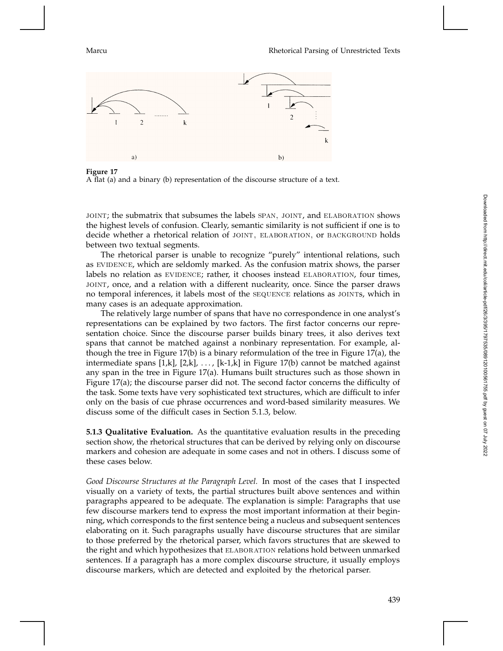# Marcu **Marcu Rhetorical Parsing of Unrestricted Texts** Rhetorical Parsing of Unrestricted Texts



**Figure 17** A flat (a) and a binary (b) representation of the discourse structure of a text.

joint; the submatrix that subsumes the labels span, joint, and elaboration shows the highest levels of confusion. Clearly, semantic similarity is not sufficient if one is to decide whether a rhetorical relation of JOINT, ELABORATION, or BACKGROUND holds between two textual segments.

The rhetorical parser is unable to recognize "purely" intentional relations, such as evidence, which are seldomly marked. As the confusion matrix shows, the parser labels no relation as EVIDENCE; rather, it chooses instead ELABORATION, four times, joint, once, and a relation with a different nuclearity, once. Since the parser draws no temporal inferences, it labels most of the sequence relations as joints, which in many cases is an adequate approximation.

The relatively large number of spans that have no correspondence in one analyst's representations can be explained by two factors. The first factor concerns our representation choice. Since the discourse parser builds binary trees, it also derives text spans that cannot be matched against a nonbinary representation. For example, although the tree in Figure 17(b) is a binary reformulation of the tree in Figure 17(a), the intermediate spans  $[1,k]$ ,  $[2,k]$ ,  $\ldots$ ,  $[k-1,k]$  in Figure 17(b) cannot be matched against any span in the tree in Figure 17(a). Humans built structures such as those shown in Figure 17(a); the discourse parser did not. The second factor concerns the difficulty of the task. Some texts have very sophisticated text structures, which are difficult to infer only on the basis of cue phrase occurrences and word-based similarity measures. We discuss some of the difficult cases in Section 5.1.3, below.

**5.1.3 Qualitative Evaluation.** As the quantitative evaluation results in the preceding section show, the rhetorical structures that can be derived by relying only on discourse markers and cohesion are adequate in some cases and not in others. I discuss some of these cases below.

*Good Discourse Structures at the Paragraph Level.* In most of the cases that I inspected visually on a variety of texts, the partial structures built above sentences and within paragraphs appeared to be adequate. The explanation is simple: Paragraphs that use few discourse markers tend to express the most important information at their beginning, which corresponds to the first sentence being a nucleus and subsequent sentences elaborating on it. Such paragraphs usually have discourse structures that are similar to those preferred by the rhetorical parser, which favors structures that are skewed to the right and which hypothesizes that ELABORATION relations hold between unmarked sentences. If a paragraph has a more complex discourse structure, it usually employs discourse markers, which are detected and exploited by the rhetorical parser.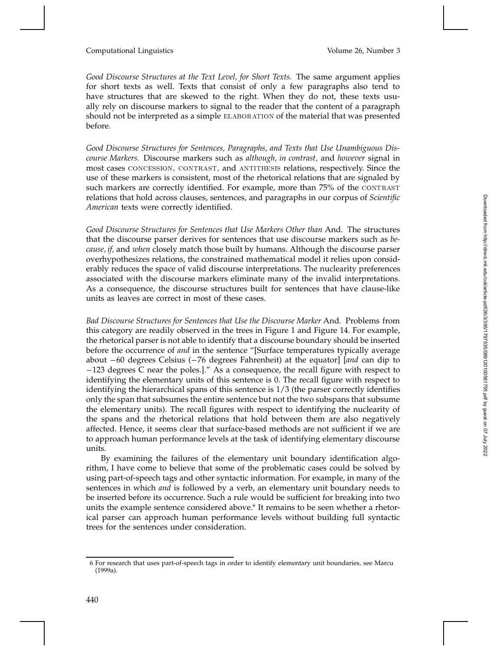*Good Discourse Structures at the Text Level, for Short Texts.* The same argument applies for short texts as well. Texts that consist of only a few paragraphs also tend to have structures that are skewed to the right. When they do not, these texts usually rely on discourse markers to signal to the reader that the content of a paragraph should not be interpreted as a simple ELABORATION of the material that was presented before.

*Good Discourse Structures for Sentences, Paragraphs, and Texts that Use Unambiguous Discourse Markers.* Discourse markers such as *although, in contrast,* and *however* signal in most cases CONCESSION, CONTRAST, and ANTITHESIS relations, respectively. Since the use of these markers is consistent, most of the rhetorical relations that are signaled by such markers are correctly identified. For example, more than 75% of the CONTRAST relations that hold across clauses, sentences, and paragraphs in our corpus of *Scientific American* texts were correctly identified.

*Good Discourse Structures for Sentences that Use Markers Other than* And*.* The structures that the discourse parser derives for sentences that use discourse markers such as *because, if,* and *when* closely match those built by humans. Although the discourse parser overhypothesizes relations, the constrained mathematical model it relies upon considerably reduces the space of valid discourse interpretations. The nuclearity preferences associated with the discourse markers eliminate many of the invalid interpretations. As a consequence, the discourse structures built for sentences that have clause-like units as leaves are correct in most of these cases.

*Bad Discourse Structures for Sentences that Use the Discourse Marker* And*.* Problems from this category are readily observed in the trees in Figure 1 and Figure 14. For example, the rhetorical parser is not able to identify that a discourse boundary should be inserted before the occurrence of *and* in the sentence "[Surface temperatures typically average about -60 degrees Celsius (-76 degrees Fahrenheit) at the equator] [*and* can dip to 123 degrees C near the poles.]." As a consequence, the recall figure with respect to identifying the elementary units of this sentence is 0. The recall figure with respect to identifying the hierarchical spans of this sentence is 1/3 (the parser correctly identifies only the span that subsumes the entire sentence but not the two subspans that subsume the elementary units). The recall figures with respect to identifying the nuclearity of the spans and the rhetorical relations that hold between them are also negatively affected. Hence, it seems clear that surface-based methods are not sufficient if we are to approach human performance levels at the task of identifying elementary discourse units.

By examining the failures of the elementary unit boundary identification algorithm, I have come to believe that some of the problematic cases could be solved by using part-of-speech tags and other syntactic information. For example, in many of the sentences in which *and* is followed by a verb, an elementary unit boundary needs to be inserted before its occurrence. Such a rule would be sufficient for breaking into two units the example sentence considered above.<sup>6</sup> It remains to be seen whether a rhetorical parser can approach human performance levels without building full syntactic trees for the sentences under consideration.

<sup>6</sup> For research that uses part-of-speech tags in order to identify elementary unit boundaries, see Marcu (1999a).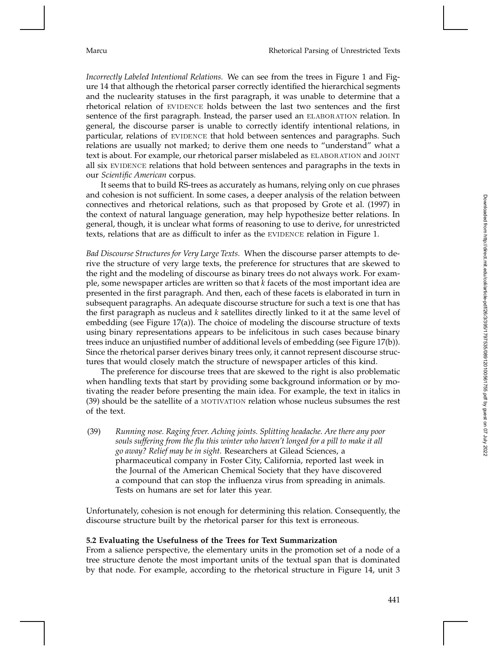*Incorrectly Labeled Intentional Relations.* We can see from the trees in Figure 1 and Figure 14 that although the rhetorical parser correctly identified the hierarchical segments and the nuclearity statuses in the first paragraph, it was unable to determine that a rhetorical relation of EVIDENCE holds between the last two sentences and the first sentence of the first paragraph. Instead, the parser used an ELABORATION relation. In general, the discourse parser is unable to correctly identify intentional relations, in particular, relations of EVIDENCE that hold between sentences and paragraphs. Such relations are usually not marked; to derive them one needs to "understand" what a text is about. For example, our rhetorical parser mislabeled as ELABORATION and JOINT all six EVIDENCE relations that hold between sentences and paragraphs in the texts in our *Scientific American* corpus.

It seems that to build RS-trees as accurately as humans, relying only on cue phrases and cohesion is not sufficient. In some cases, a deeper analysis of the relation between connectives and rhetorical relations, such as that proposed by Grote et al. (1997) in the context of natural language generation, may help hypothesize better relations. In general, though, it is unclear what forms of reasoning to use to derive, for unrestricted texts, relations that are as difficult to infer as the EVIDENCE relation in Figure 1.

*Bad Discourse Structures for Very Large Texts.* When the discourse parser attempts to derive the structure of very large texts, the preference for structures that are skewed to the right and the modeling of discourse as binary trees do not always work. For example, some newspaper articles are written so that *k* facets of the most important idea are presented in the first paragraph. And then, each of these facets is elaborated in turn in subsequent paragraphs. An adequate discourse structure for such a text is one that has the first paragraph as nucleus and *k* satellites directly linked to it at the same level of embedding (see Figure 17(a)). The choice of modeling the discourse structure of texts using binary representations appears to be infelicitous in such cases because binary trees induce an unjustified number of additional levels of embedding (see Figure 17(b)). Since the rhetorical parser derives binary trees only, it cannot represent discourse structures that would closely match the structure of newspaper articles of this kind.

The preference for discourse trees that are skewed to the right is also problematic when handling texts that start by providing some background information or by motivating the reader before presenting the main idea. For example, the text in italics in (39) should be the satellite of a motivation relation whose nucleus subsumes the rest of the text.

(39) *Running nose. Raging fever. Aching joints. Splitting headache. Are there any poor souls suffering from the flu this winter who haven't longed for a pill to make it all go away? Relief may be in sight.* Researchers at Gilead Sciences, a pharmaceutical company in Foster City, California, reported last week in the Journal of the American Chemical Society that they have discovered a compound that can stop the influenza virus from spreading in animals. Tests on humans are set for later this year.

Unfortunately, cohesion is not enough for determining this relation. Consequently, the discourse structure built by the rhetorical parser for this text is erroneous.

# **5.2 Evaluating the Usefulness of the Trees for Text Summarization**

From a salience perspective, the elementary units in the promotion set of a node of a tree structure denote the most important units of the textual span that is dominated by that node. For example, according to the rhetorical structure in Figure 14, unit 3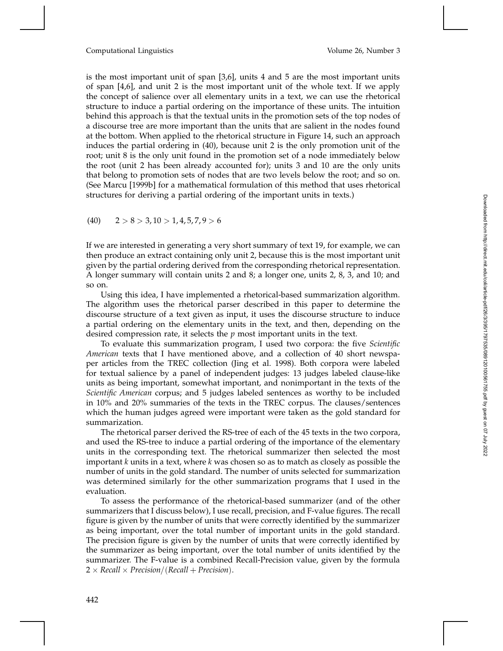is the most important unit of span [3,6], units 4 and 5 are the most important units of span [4,6], and unit 2 is the most important unit of the whole text. If we apply the concept of salience over all elementary units in a text, we can use the rhetorical structure to induce a partial ordering on the importance of these units. The intuition behind this approach is that the textual units in the promotion sets of the top nodes of a discourse tree are more important than the units that are salient in the nodes found at the bottom. When applied to the rhetorical structure in Figure 14, such an approach induces the partial ordering in (40), because unit 2 is the only promotion unit of the root; unit 8 is the only unit found in the promotion set of a node immediately below the root (unit 2 has been already accounted for); units 3 and 10 are the only units that belong to promotion sets of nodes that are two levels below the root; and so on. (See Marcu [1999b] for a mathematical formulation of this method that uses rhetorical structures for deriving a partial ordering of the important units in texts.)

 $(40)$  $> 8 > 3, 10 > 1, 4, 5, 7, 9 > 6$ 

If we are interested in generating a very short summary of text 19, for example, we can then produce an extract containing only unit 2, because this is the most important unit given by the partial ordering derived from the corresponding rhetorical representation. A longer summary will contain units 2 and 8; a longer one, units 2, 8, 3, and 10; and so on.

Using this idea, I have implemented a rhetorical-based summarization algorithm. The algorithm uses the rhetorical parser described in this paper to determine the discourse structure of a text given as input, it uses the discourse structure to induce a partial ordering on the elementary units in the text, and then, depending on the desired compression rate, it selects the *p* most important units in the text.

To evaluate this summarization program, I used two corpora: the five *Scientific American* texts that I have mentioned above, and a collection of 40 short newspaper articles from the TREC collection (Jing et al. 1998). Both corpora were labeled for textual salience by a panel of independent judges: 13 judges labeled clause-like units as being important, somewhat important, and nonimportant in the texts of the *Scientific American* corpus; and 5 judges labeled sentences as worthy to be included in 10% and 20% summaries of the texts in the TREC corpus. The clauses/sentences which the human judges agreed were important were taken as the gold standard for summarization.

The rhetorical parser derived the RS-tree of each of the 45 texts in the two corpora, and used the RS-tree to induce a partial ordering of the importance of the elementary units in the corresponding text. The rhetorical summarizer then selected the most important *k* units in a text, where *k* was chosen so as to match as closely as possible the number of units in the gold standard. The number of units selected for summarization was determined similarly for the other summarization programs that I used in the evaluation.

To assess the performance of the rhetorical-based summarizer (and of the other summarizers that I discuss below), I use recall, precision, and F-value figures. The recall figure is given by the number of units that were correctly identified by the summarizer as being important, over the total number of important units in the gold standard. The precision figure is given by the number of units that were correctly identified by the summarizer as being important, over the total number of units identified by the summarizer. The F-value is a combined Recall-Precision value, given by the formula 2 - *Recall* - *Precision*=(*Recall* <sup>+</sup> *Precision*).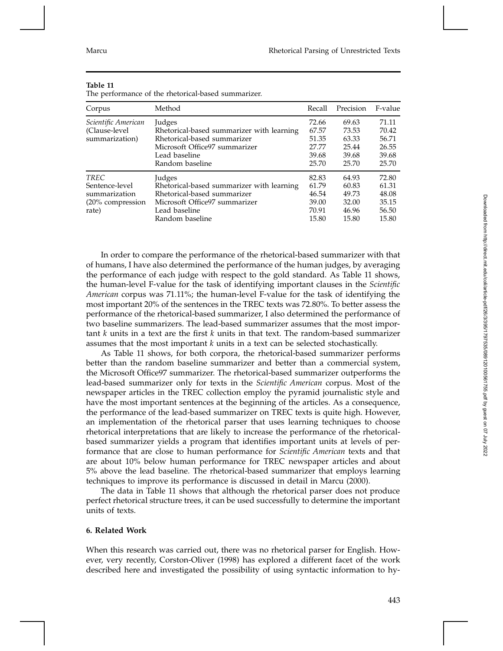| Corpus                                                                         | Method                                                                                                                                                  | Recall                                             | Precision                                          | F-value                                            |
|--------------------------------------------------------------------------------|---------------------------------------------------------------------------------------------------------------------------------------------------------|----------------------------------------------------|----------------------------------------------------|----------------------------------------------------|
| Scientific American<br>(Clause-level<br>summarization)                         | Judges<br>Rhetorical-based summarizer with learning<br>Rhetorical-based summarizer<br>Microsoft Office97 summarizer<br>Lead baseline<br>Random baseline | 72.66<br>67.57<br>51.35<br>27.77<br>39.68<br>25.70 | 69.63<br>73.53<br>63.33<br>25.44<br>39.68<br>25.70 | 71.11<br>70.42<br>56.71<br>26.55<br>39.68<br>25.70 |
| <b>TREC</b><br>Sentence-level<br>summarization<br>$(20\%$ compression<br>rate) | Judges<br>Rhetorical-based summarizer with learning<br>Rhetorical-based summarizer<br>Microsoft Office97 summarizer<br>Lead baseline<br>Random baseline | 82.83<br>61.79<br>46.54<br>39.00<br>70.91<br>15.80 | 64.93<br>60.83<br>49.73<br>32.00<br>46.96<br>15.80 | 72.80<br>61.31<br>48.08<br>35.15<br>56.50<br>15.80 |

#### **Table 11**

The performance of the rhetorical-based summarizer.

In order to compare the performance of the rhetorical-based summarizer with that of humans, I have also determined the performance of the human judges, by averaging the performance of each judge with respect to the gold standard. As Table 11 shows, the human-level F-value for the task of identifying important clauses in the *Scientific American* corpus was 71.11%; the human-level F-value for the task of identifying the most important 20% of the sentences in the TREC texts was 72.80%. To better assess the performance of the rhetorical-based summarizer, I also determined the performance of two baseline summarizers. The lead-based summarizer assumes that the most important *k* units in a text are the first *k* units in that text. The random-based summarizer assumes that the most important *k* units in a text can be selected stochastically.

As Table 11 shows, for both corpora, the rhetorical-based summarizer performs better than the random baseline summarizer and better than a commercial system, the Microsoft Office97 summarizer. The rhetorical-based summarizer outperforms the lead-based summarizer only for texts in the *Scientific American* corpus. Most of the newspaper articles in the TREC collection employ the pyramid journalistic style and have the most important sentences at the beginning of the articles. As a consequence, the performance of the lead-based summarizer on TREC texts is quite high. However, an implementation of the rhetorical parser that uses learning techniques to choose rhetorical interpretations that are likely to increase the performance of the rhetoricalbased summarizer yields a program that identifies important units at levels of performance that are close to human performance for *Scientific American* texts and that are about 10% below human performance for TREC newspaper articles and about 5% above the lead baseline. The rhetorical-based summarizer that employs learning techniques to improve its performance is discussed in detail in Marcu (2000).

The data in Table 11 shows that although the rhetorical parser does not produce perfect rhetorical structure trees, it can be used successfully to determine the important units of texts.

# **6. Related Work**

When this research was carried out, there was no rhetorical parser for English. However, very recently, Corston-Oliver (1998) has explored a different facet of the work described here and investigated the possibility of using syntactic information to hy-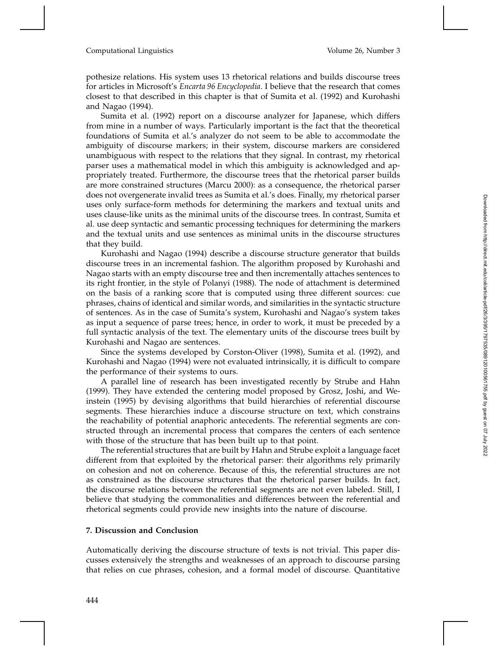pothesize relations. His system uses 13 rhetorical relations and builds discourse trees for articles in Microsoft's *Encarta 96 Encyclopedia*. I believe that the research that comes closest to that described in this chapter is that of Sumita et al. (1992) and Kurohashi and Nagao (1994).

Sumita et al. (1992) report on a discourse analyzer for Japanese, which differs from mine in a number of ways. Particularly important is the fact that the theoretical foundations of Sumita et al.'s analyzer do not seem to be able to accommodate the ambiguity of discourse markers; in their system, discourse markers are considered unambiguous with respect to the relations that they signal. In contrast, my rhetorical parser uses a mathematical model in which this ambiguity is acknowledged and appropriately treated. Furthermore, the discourse trees that the rhetorical parser builds are more constrained structures (Marcu 2000): as a consequence, the rhetorical parser does not overgenerate invalid trees as Sumita et al.'s does. Finally, my rhetorical parser uses only surface-form methods for determining the markers and textual units and uses clause-like units as the minimal units of the discourse trees. In contrast, Sumita et al. use deep syntactic and semantic processing techniques for determining the markers and the textual units and use sentences as minimal units in the discourse structures that they build.

Kurohashi and Nagao (1994) describe a discourse structure generator that builds discourse trees in an incremental fashion. The algorithm proposed by Kurohashi and Nagao starts with an empty discourse tree and then incrementally attaches sentences to its right frontier, in the style of Polanyi (1988). The node of attachment is determined on the basis of a ranking score that is computed using three different sources: cue phrases, chains of identical and similar words, and similarities in the syntactic structure of sentences. As in the case of Sumita's system, Kurohashi and Nagao's system takes as input a sequence of parse trees; hence, in order to work, it must be preceded by a full syntactic analysis of the text. The elementary units of the discourse trees built by Kurohashi and Nagao are sentences.

Since the systems developed by Corston-Oliver (1998), Sumita et al. (1992), and Kurohashi and Nagao (1994) were not evaluated intrinsically, it is difficult to compare the performance of their systems to ours.

A parallel line of research has been investigated recently by Strube and Hahn (1999). They have extended the centering model proposed by Grosz, Joshi, and Weinstein (1995) by devising algorithms that build hierarchies of referential discourse segments. These hierarchies induce a discourse structure on text, which constrains the reachability of potential anaphoric antecedents. The referential segments are constructed through an incremental process that compares the centers of each sentence with those of the structure that has been built up to that point.

The referential structures that are built by Hahn and Strube exploit a language facet different from that exploited by the rhetorical parser: their algorithms rely primarily on cohesion and not on coherence. Because of this, the referential structures are not as constrained as the discourse structures that the rhetorical parser builds. In fact, the discourse relations between the referential segments are not even labeled. Still, I believe that studying the commonalities and differences between the referential and rhetorical segments could provide new insights into the nature of discourse.

# **7. Discussion and Conclusion**

Automatically deriving the discourse structure of texts is not trivial. This paper discusses extensively the strengths and weaknesses of an approach to discourse parsing that relies on cue phrases, cohesion, and a formal model of discourse. Quantitative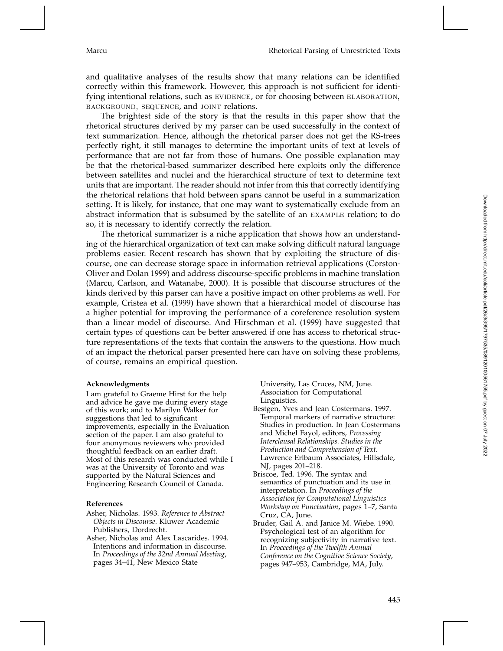and qualitative analyses of the results show that many relations can be identified correctly within this framework. However, this approach is not sufficient for identifying intentional relations, such as EVIDENCE, or for choosing between ELABORATION, background, sequence, and joint relations.

The brightest side of the story is that the results in this paper show that the rhetorical structures derived by my parser can be used successfully in the context of text summarization. Hence, although the rhetorical parser does not get the RS-trees perfectly right, it still manages to determine the important units of text at levels of performance that are not far from those of humans. One possible explanation may be that the rhetorical-based summarizer described here exploits only the difference between satellites and nuclei and the hierarchical structure of text to determine text units that are important. The reader should not infer from this that correctly identifying the rhetorical relations that hold between spans cannot be useful in a summarization setting. It is likely, for instance, that one may want to systematically exclude from an abstract information that is subsumed by the satellite of an example relation; to do so, it is necessary to identify correctly the relation.

The rhetorical summarizer is a niche application that shows how an understanding of the hierarchical organization of text can make solving difficult natural language problems easier. Recent research has shown that by exploiting the structure of discourse, one can decrease storage space in information retrieval applications (Corston-Oliver and Dolan 1999) and address discourse-specific problems in machine translation (Marcu, Carlson, and Watanabe, 2000). It is possible that discourse structures of the kinds derived by this parser can have a positive impact on other problems as well. For example, Cristea et al. (1999) have shown that a hierarchical model of discourse has a higher potential for improving the performance of a coreference resolution system than a linear model of discourse. And Hirschman et al. (1999) have suggested that certain types of questions can be better answered if one has access to rhetorical structure representations of the texts that contain the answers to the questions. How much of an impact the rhetorical parser presented here can have on solving these problems, of course, remains an empirical question.

### **Acknowledgments**

I am grateful to Graeme Hirst for the help and advice he gave me during every stage of this work; and to Marilyn Walker for suggestions that led to significant improvements, especially in the Evaluation section of the paper. I am also grateful to four anonymous reviewers who provided thoughtful feedback on an earlier draft. Most of this research was conducted while I was at the University of Toronto and was supported by the Natural Sciences and Engineering Research Council of Canada.

### **References**

- Asher, Nicholas. 1993. *Reference to Abstract Objects in Discourse*. Kluwer Academic Publishers, Dordrecht.
- Asher, Nicholas and Alex Lascarides. 1994. Intentions and information in discourse. In *Proceedings of the 32nd Annual Meeting* , pages 34–41, New Mexico State

University, Las Cruces, NM, June. Association for Computational Linguistics.

- Bestgen, Yves and Jean Costermans. 1997. Temporal markers of narrative structure: Studies in production. In Jean Costermans and Michel Fayol, editors, *Processing Interclausal Relationships. Studies in the Production and Comprehension of Text* . Lawrence Erlbaum Associates, Hillsdale, NJ, pages 201–218.
- Briscoe, Ted. 1996. The syntax and semantics of punctuation and its use in interpretation. In *Proceedings of the Association for Computational Linguistics Workshop on Punctuation*, pages 1–7, Santa Cruz, CA, June.
- Bruder, Gail A. and Janice M. Wiebe. 1990. Psychological test of an algorithm for recognizing subjectivity in narrative text. In *Proceedings of the Twelfth Annual Conference on the Cognitive Science Society* , pages 947–953, Cambridge, MA, July.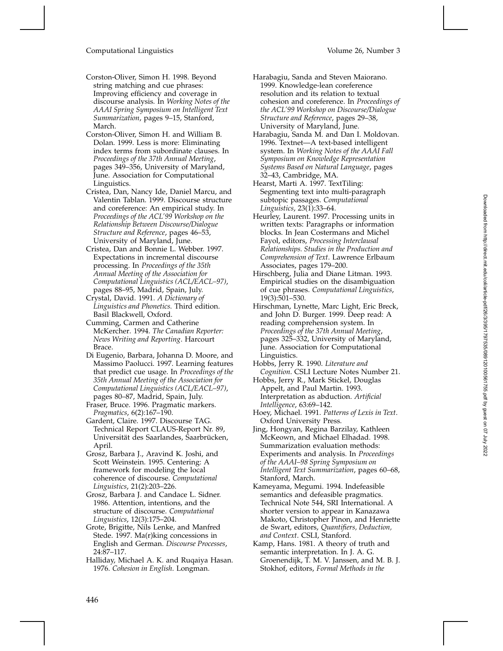- Corston-Oliver, Simon H. 1998. Beyond string matching and cue phrases: Improving efficiency and coverage in discourse analysis. In *Working Notes of the AAAI Spring Symposium on Intelligent Text Summarization*, pages 9–15, Stanford, March.
- Corston-Oliver, Simon H. and William B. Dolan. 1999. Less is more: Eliminating index terms from subordinate clauses. In *Proceedings of the 37th Annual Meeting* , pages 349–356, University of Maryland, June. Association for Computational Linguistics.
- Cristea, Dan, Nancy Ide, Daniel Marcu, and Valentin Tablan. 1999. Discourse structure and coreference: An empirical study. In *Proceedings of the ACL'99 Workshop on the Relationship Between Discourse/Dialogue Structure and Reference*, pages 46–53, University of Maryland, June.
- Cristea, Dan and Bonnie L. Webber. 1997. Expectations in incremental discourse processing. In *Proceedings of the 35th Annual Meeting of the Association for Computational Linguistics (ACL/EACL–97)* , pages 88–95, Madrid, Spain, July.

Crystal, David. 1991. *A Dictionary of Linguistics and Phonetics*. Third edition. Basil Blackwell, Oxford.

- Cumming, Carmen and Catherine McKercher. 1994. *The Canadian Reporter: News Writing and Reporting*. Harcourt Brace.
- Di Eugenio, Barbara, Johanna D. Moore, and Massimo Paolucci. 1997. Learning features that predict cue usage. In *Proceedings of the 35th Annual Meeting of the Association for Computational Linguistics (ACL/EACL–97)* , pages 80–87, Madrid, Spain, July.
- Fraser, Bruce. 1996. Pragmatic markers. *Pragmatics*, 6(2):167–190.
- Gardent, Claire. 1997. Discourse TAG. Technical Report CLAUS-Report Nr. 89, Universität des Saarlandes, Saarbrücken, April.
- Grosz, Barbara J., Aravind K. Joshi, and Scott Weinstein. 1995. Centering: A framework for modeling the local coherence of discourse. *Computational Linguistics*, 21(2):203–226.
- Grosz, Barbara J. and Candace L. Sidner. 1986. Attention, intentions, and the structure of discourse. *Computational Linguistics*, 12(3):175–204.
- Grote, Brigitte, Nils Lenke, and Manfred Stede. 1997. Ma(r)king concessions in English and German. *Discourse Processes* , 24:87–117.
- Halliday, Michael A. K. and Ruqaiya Hasan. 1976. *Cohesion in English*. Longman.
- Harabagiu, Sanda and Steven Maiorano. 1999. Knowledge-lean coreference resolution and its relation to textual cohesion and coreference. In *Proceedings of the ACL'99 Workshop on Discourse/Dialogue Structure and Reference*, pages 29–38, University of Maryland, June.
- Harabagiu, Sanda M. and Dan I. Moldovan. 1996. Textnet—A text-based intelligent system. In *Working Notes of the AAAI Fall Symposium on Knowledge Representation Systems Based on Natural Language*, pages 32–43, Cambridge, MA.
- Hearst, Marti A. 1997. TextTiling: Segmenting text into multi-paragraph subtopic passages. *Computational Linguistics*, 23(1):33–64.
- Heurley, Laurent. 1997. Processing units in written texts: Paragraphs or information blocks. In Jean Costermans and Michel Fayol, editors, *Processing Interclausal Relationships. Studies in the Production and Comprehension of Text*. Lawrence Erlbaum Associates, pages 179–200.
- Hirschberg, Julia and Diane Litman. 1993. Empirical studies on the disambiguation of cue phrases. *Computational Linguistics* , 19(3):501–530.
- Hirschman, Lynette, Marc Light, Eric Breck, and John D. Burger. 1999. Deep read: A reading comprehension system. In *Proceedings of the 37th Annual Meeting* , pages 325–332, University of Maryland, June. Association for Computational Linguistics.
- Hobbs, Jerry R. 1990. *Literature and Cognition*. CSLI Lecture Notes Number 21.
- Hobbs, Jerry R., Mark Stickel, Douglas Appelt, and Paul Martin. 1993. Interpretation as abduction. *Artificial Intelligence*, 63:69–142.
- Hoey, Michael. 1991. *Patterns of Lexis in Text* . Oxford University Press.
- Jing, Hongyan, Regina Barzilay, Kathleen McKeown, and Michael Elhadad. 1998. Summarization evaluation methods: Experiments and analysis. In *Proceedings of the AAAI–98 Spring Symposium on Intelligent Text Summarization*, pages 60–68, Stanford, March.
- Kameyama, Megumi. 1994. Indefeasible semantics and defeasible pragmatics. Technical Note 544, SRI International. A shorter version to appear in Kanazawa Makoto, Christopher Pinon, and Henriette de Swart, editors, *Quantifiers, Deduction, and Context*. CSLI, Stanford.
- Kamp, Hans. 1981. A theory of truth and semantic interpretation. In J. A. G. Groenendijk, T. M. V. Janssen, and M. B. J. Stokhof, editors, *Formal Methods in the*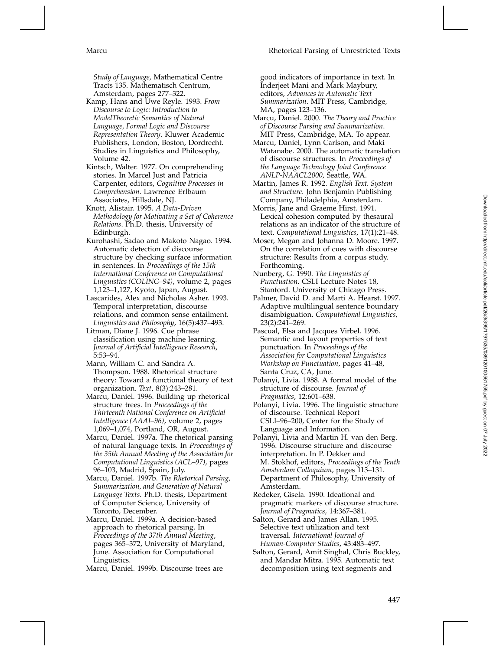#### Marcu **Rhetorical Parsing of Unrestricted Texts**

*Study of Language*, Mathematical Centre Tracts 135. Mathematisch Centrum, Amsterdam, pages 277–322.

Kamp, Hans and Uwe Reyle. 1993. *From Discourse to Logic: Introduction to ModelTheoretic Semantics of Natural Language, Formal Logic and Discourse Representation Theory*. Kluwer Academic Publishers, London, Boston, Dordrecht. Studies in Linguistics and Philosophy, Volume 42.

Kintsch, Walter. 1977. On comprehending stories. In Marcel Just and Patricia Carpenter, editors, *Cognitive Processes in Comprehension*. Lawrence Erlbaum Associates, Hillsdale, NJ.

Knott, Alistair. 1995. *A Data-Driven Methodology for Motivating a Set of Coherence Relations*. Ph.D. thesis, University of Edinburgh.

Kurohashi, Sadao and Makoto Nagao. 1994. Automatic detection of discourse structure by checking surface information in sentences. In *Proceedings of the 15th International Conference on Computational Linguistics (COLING–94)*, volume 2, pages 1,123–1,127, Kyoto, Japan, August.

Lascarides, Alex and Nicholas Asher. 1993. Temporal interpretation, discourse relations, and common sense entailment. *Linguistics and Philosophy*, 16(5):437–493.

Litman, Diane J. 1996. Cue phrase classification using machine learning. *Journal of Artificial Intelligence Research* , 5:53–94.

- Mann, William C. and Sandra A. Thompson. 1988. Rhetorical structure theory: Toward a functional theory of text organization. *Text*, 8(3):243–281.
- Marcu, Daniel. 1996. Building up rhetorical structure trees. In *Proceedings of the Thirteenth National Conference on Artificial Intelligence (AAAI–96)*, volume 2, pages 1,069–1,074, Portland, OR, August.

Marcu, Daniel. 1997a. The rhetorical parsing of natural language texts. In *Proceedings of the 35th Annual Meeting of the Association for Computational Linguistics (ACL–97)*, pages 96–103, Madrid, Spain, July.

Marcu, Daniel. 1997b. *The Rhetorical Parsing, Summarization, and Generation of Natural Language Texts*. Ph.D. thesis, Department of Computer Science, University of Toronto, December.

Marcu, Daniel. 1999a. A decision-based approach to rhetorical parsing. In *Proceedings of the 37th Annual Meeting* , pages 365–372, University of Maryland, June. Association for Computational Linguistics.

Marcu, Daniel. 1999b. Discourse trees are

good indicators of importance in text. In Inderjeet Mani and Mark Maybury, editors, *Advances in Automatic Text Summarization*. MIT Press, Cambridge, MA, pages 123–136.

Marcu, Daniel. 2000. *The Theory and Practice of Discourse Parsing and Summarization* . MIT Press, Cambridge, MA. To appear.

Marcu, Daniel, Lynn Carlson, and Maki Watanabe. 2000. The automatic translation of discourse structures. In *Proceedings of the Language Technology Joint Conference ANLP-NAACL2000*, Seattle, WA.

- Martin, James R. 1992. *English Text. System and Structure*. John Benjamin Publishing Company, Philadelphia, Amsterdam.
- Morris, Jane and Graeme Hirst. 1991. Lexical cohesion computed by thesaural relations as an indicator of the structure of text. *Computational Linguistics*, 17(1):21–48.
- Moser, Megan and Johanna D. Moore. 1997. On the correlation of cues with discourse structure: Results from a corpus study. Forthcoming.
- Nunberg, G. 1990. *The Linguistics of Punctuation*. CSLI Lecture Notes 18, Stanford. University of Chicago Press.

Palmer, David D. and Marti A. Hearst. 1997. Adaptive multilingual sentence boundary disambiguation. *Computational Linguistics* , 23(2):241–269.

- Pascual, Elsa and Jacques Virbel. 1996. Semantic and layout properties of text punctuation. In *Proceedings of the Association for Computational Linguistics Workshop on Punctuation*, pages 41–48, Santa Cruz, CA, June.
- Polanyi, Livia. 1988. A formal model of the structure of discourse. *Journal of Pragmatics*, 12:601–638.
- Polanyi, Livia. 1996. The linguistic structure of discourse. Technical Report CSLI–96–200, Center for the Study of Language and Information.
- Polanyi, Livia and Martin H. van den Berg. 1996. Discourse structure and discourse interpretation. In P. Dekker and M. Stokhof, editors, *Proceedings of the Tenth Amsterdam Colloquium*, pages 113–131. Department of Philosophy, University of Amsterdam.
- Redeker, Gisela. 1990. Ideational and pragmatic markers of discourse structure. *Journal of Pragmatics*, 14:367–381.
- Salton, Gerard and James Allan. 1995. Selective text utilization and text traversal. *International Journal of Human-Computer Studies*, 43:483–497.
- Salton, Gerard, Amit Singhal, Chris Buckley, and Mandar Mitra. 1995. Automatic text decomposition using text segments and